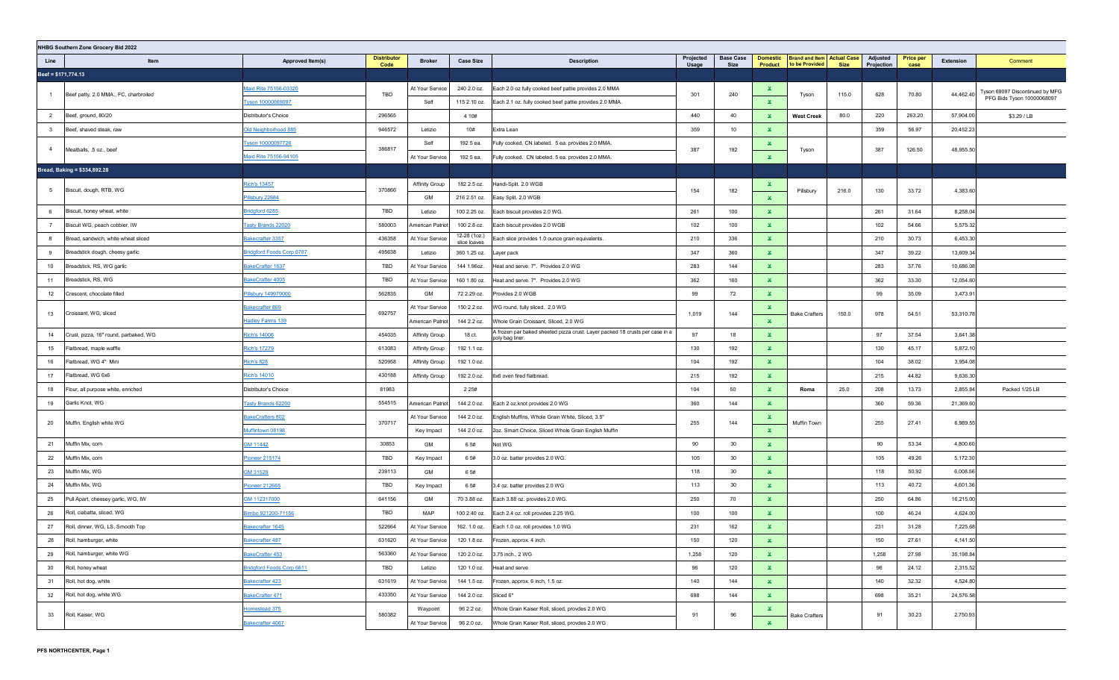|                     | NHBG Southern Zone Grocery Bid 2022   |                                  |                            |                       |                              |                                                                                                 |                    |                          |                            |                                                     |       |                        |                          |           |                                 |
|---------------------|---------------------------------------|----------------------------------|----------------------------|-----------------------|------------------------------|-------------------------------------------------------------------------------------------------|--------------------|--------------------------|----------------------------|-----------------------------------------------------|-------|------------------------|--------------------------|-----------|---------------------------------|
| Line                | Item                                  | Approved Item(s)                 | <b>Distributor</b><br>Code | <b>Broker</b>         | <b>Case Size</b>             | <b>Description</b>                                                                              | Projected<br>Usage | <b>Base Case</b><br>Size | <b>Domestic</b><br>Product | <b>Brand and Item Actual Case</b><br>to be Provided | Size  | Adjusted<br>Projection | <b>Price per</b><br>case | Extension | Comment                         |
| Beef = \$171,774.13 |                                       |                                  |                            |                       |                              |                                                                                                 |                    |                          |                            |                                                     |       |                        |                          |           |                                 |
|                     |                                       | Maid Rite 75156-03320            |                            | At Your Service       | 240 2.0 oz.                  | Each 2.0 oz fully cooked beef pattie provides 2.0 MMA                                           |                    |                          | ×.                         |                                                     |       |                        |                          |           | Tyson 69097 Discontinued by MFG |
| $\overline{1}$      | Beef patty, 2.0 MMA., FC, charbroiled | Tyson 10000069097                | TBD                        | Self                  | 115 2.10 oz.                 | Each 2.1 oz. fully cooked beef pattie provides 2.0 MMA.                                         | 301                | 240                      | $\mathbf{x}$               | Tyson                                               | 115.0 | 628                    | 70.80                    | 44,462.40 | PFG Bids Tyson 10000068097      |
| 2                   | Beef, ground, 80/20                   | Distributor's Choice             | 296565                     |                       | 4 10#                        |                                                                                                 | 440                | 40                       | $\mathbf{x}$               | <b>West Creek</b>                                   | 80.0  | 220                    | 263.20                   | 57,904.00 | \$3.29 / LB                     |
| $\mathbf{3}$        | Beef, shaved steak, raw               | Old Neighborhood 885             | 946572                     | Letizio               | 10#                          | Extra Lean                                                                                      | 359                | 10                       | $\mathbf{x}$               |                                                     |       | 359                    | 56.97                    | 20,452.23 |                                 |
| $\overline{4}$      | Meatballs, .5 oz., beef               | Tyson 10000097726                | 386817                     | Self                  | 1925 ea.                     | Fully cooked, CN labeled. 5 ea. provides 2.0 MMA.                                               | 387                | 192                      | ×.                         | Tyson                                               |       | 387                    | 126.50                   | 48,955.50 |                                 |
|                     |                                       | Maid Rite 75156-94105            |                            | At Your Service       | 1925 ea.                     | Fully cooked. CN labeled. 5 ea. provides 2.0 MMA.                                               |                    |                          | $\mathbf{x}$               |                                                     |       |                        |                          |           |                                 |
|                     | Bread, Baking = \$334,892.28          |                                  |                            |                       |                              |                                                                                                 |                    |                          |                            |                                                     |       |                        |                          |           |                                 |
| 5 <sub>5</sub>      | Biscuit, dough, RTB, WG               | lich's 13457                     | 370866                     | <b>Affinity Group</b> | 182 2.5 oz.                  | Handi-Split. 2.0 WGB                                                                            | 154                | 182                      | $\mathbf{x}$               | Pillsbury                                           | 216.0 | 130                    | 33.72                    | 4,383.60  |                                 |
|                     |                                       | Pillsbury 22684                  |                            | GM                    | 216 2.51 oz.                 | Easy Split. 2.0 WGB                                                                             |                    |                          | $\mathbf{x}$               |                                                     |       |                        |                          |           |                                 |
| 6                   | Biscuit, honey wheat, white           | Bridgford 6285                   | <b>TBD</b>                 | Letizio               | 100 2.25 oz.                 | Each biscuit provides 2.0 WG.                                                                   | 261                | 100                      | $\mathbf{x}$               |                                                     |       | 261                    | 31.64                    | 8,258.04  |                                 |
| $\overline{7}$      | Biscuit WG, peach cobbler, IW         | Tasty Brands 22020               | 580003                     | American Patrio       | 100 2.8 oz.                  | Each biscuit provides 2.0 WGB                                                                   | 102                | 100                      | $\mathbf{x}$               |                                                     |       | 102                    | 54.66                    | 5,575.32  |                                 |
| 8                   | Bread, sandwich, white wheat sliced   | Bakecrafter 3357                 | 436358                     | At Your Service       | 12-28 (1oz.)<br>slice loaves | Each slice provides 1.0 ounce grain equivalents.                                                | 210                | 336                      | $\mathbf{x}$               |                                                     |       | 210                    | 30.73                    | 6,453.30  |                                 |
| 9                   | Breadstick dough, cheesy garlic       | <b>Bridgford Foods Corp 6787</b> | 495638                     | Letizio               | 360 1.25 oz.                 | Layer pack                                                                                      | 347                | 360                      | $\mathbf{x}$               |                                                     |       | 347                    | 39.22                    | 13,609.34 |                                 |
| 10                  | Breadstick, RS, WG garlic             | BakeCrafter 1637                 | TBD                        | At Your Service       | 144 1.96oz.                  | Heat and serve. 7". Provides 2.0 WG                                                             | 283                | 144                      | $\mathbf{x}$               |                                                     |       | 283                    | 37.76                    | 10,686.08 |                                 |
| 11                  | Breadstick, RS, WG                    | BakeCrafter 4005                 | TBD                        | At Your Service       | 160 1.80 oz.                 | Heat and serve. 7". Provides 2.0 WG                                                             | 362                | 160                      | ×                          |                                                     |       | 362                    | 33.30                    | 12,054.60 |                                 |
| 12                  | Crescent, chocolate filled            | Pillsbury 149979000              | 562835                     | GM                    | 72 2.29 oz.                  | Provides 2.0 WGB                                                                                | 99                 | 72                       | $\mathbf{x}$               |                                                     |       | 99                     | 35.09                    | 3,473.91  |                                 |
| 13                  | Croissant, WG, sliced                 | akecrafter 869                   | 692757                     | At Your Service       | 150 2.2 oz.                  | WG round, fully sliced. 2.0 WG                                                                  | 1,019              | 144                      | $\mathbf{x}$               | <b>Bake Crafters</b>                                | 150.0 | 978                    | 54.51                    | 53,310.78 |                                 |
|                     |                                       | Hadley Farms 139                 |                            | American Patriot      | 144 2.2 oz.                  | Whole Grain Croissant, Sliced, 2.0 WG                                                           |                    |                          | $\mathbf{x}$               |                                                     |       |                        |                          |           |                                 |
| 14                  | Crust, pizza, 16" round, parbaked, WG | Rich's 14006                     | 454035                     | <b>Affinity Group</b> | 18 ct.                       | م frozen par baked sheeted pizza crust. Layer packed 18 crusts per case in a<br>poly bag liner. | 97                 | 18                       | $\mathbf{x}$               |                                                     |       | 97                     | 37.54                    | 3,641.38  |                                 |
| 15                  | Flatbread, maple waffle               | Rich's 17279                     | 613083                     | <b>Affinity Group</b> | 192 1.1 oz.                  |                                                                                                 | 130                | 192                      | ×                          |                                                     |       | 130                    | 45.17                    | 5,872.10  |                                 |
| 16                  | Flatbread, WG 4" Mini                 | <b>Rich's 828</b>                | 520958                     | <b>Affinity Group</b> | 192 1.0 oz.                  |                                                                                                 | 104                | 192                      | ×.                         |                                                     |       | 104                    | 38.02                    | 3,954.08  |                                 |
| 17                  | Flatbread, WG 6x6                     | Rich's 14010                     | 430188                     | <b>Affinity Group</b> | 192 2.0 oz.                  | 6x6 oven fired flatbread.                                                                       | 215                | 192                      | ×.                         |                                                     |       | 215                    | 44.82                    | 9,636.30  |                                 |
| 18                  | Flour, all purpose white, enriched    | Distributor's Choice             | 81983                      |                       | 2 2 5 #                      |                                                                                                 | 104                | 50                       | ×.                         | Roma                                                | 25.0  | 208                    | 13.73                    | 2,855.84  | Packed 1/25 LB                  |
| 19                  | Garlic Knot, WG                       | <u>Tasty Brands 62200</u>        | 554515                     | American Patriot      | 144 2.0 oz.                  | Each 2 oz.knot provides 2.0 WG                                                                  | 360                | 144                      | $\mathbf{x}$               |                                                     |       | 360                    | 59.36                    | 21,369.60 |                                 |
| 20                  | Muffin, English white WG              | BakeCrafters 802                 | 370717                     | At Your Service       | 144 2.0 oz.                  | English Muffins, Whole Grain White, Sliced, 3.5"                                                | 255                | 144                      | ×.                         | Muffin Town                                         |       | 255                    | 27.41                    | 6,989.55  |                                 |
|                     |                                       | Muffintown 08198                 |                            | Key Impact            | 144 2.0 oz.                  | 2oz. Smart Choice, Sliced Whole Grain English Muffin                                            |                    |                          | $\mathbf{x}$               |                                                     |       |                        |                          |           |                                 |
| 21                  | Muffin Mix, corn                      | GM 11442                         | 30853                      | GM                    | 6 5#                         | Not WG                                                                                          | 90                 | 30                       | $\mathbf{x}$               |                                                     |       | 90                     | 53.34                    | 4,800.60  |                                 |
| 22                  | Muffin Mix, corn                      | Pioneer 215174                   | TBD                        | Key Impact            | 6 5#                         | 3.0 oz. batter provides 2.0 WG.                                                                 | 105                | 30                       | $\mathbf{x}$               |                                                     |       | 105                    | 49.26                    | 5,172.30  |                                 |
| 23                  | Muffin Mix, WG                        | GM 31529                         | 239113                     | GM                    | 6 5#                         |                                                                                                 | 118                | 30                       | $\mathbf{x}$               |                                                     |       | 118                    | 50.92                    | 6,008.56  |                                 |
| 24                  | Muffin Mix, WG                        | Pioneer 212665                   | TBD                        | Key Impact            | 6 5#                         | 3.4 oz. batter provides 2.0 WG                                                                  | 113                | 30                       | $\mathbf{x}$               |                                                     |       | 113                    | 40.72                    | 4,601.36  |                                 |
| 25                  | Pull Apart, cheesey garlic, WG, IW    | SM 112317000                     | 641156                     | GM                    | 70 3.88 oz.                  | Each 3.88 oz. provides 2.0 WG.                                                                  | 250                | 70                       | ×.                         |                                                     |       | 250                    | 64.86                    | 16,215.00 |                                 |
| 26                  | Roll, ciabatta, sliced, WG            | Bimbo 921200-71156               | TBD                        | MAP                   | 100 2.40 oz.                 | Each 2.4 oz. roll provides 2.25 WG.                                                             | 100                | 100                      | $\mathbf{x}$               |                                                     |       | 100                    | 46.24                    | 4,624.00  |                                 |
| 27                  | Roll, dinner, WG, LS, Smooth Top      | Bakecrafter 1645                 | 522664                     | At Your Service       | 162. 1.0 oz.                 | Each 1.0 oz. roll provides 1.0 WG                                                               | 231                | 162                      | ×.                         |                                                     |       | 231                    | 31.28                    | 7,225.68  |                                 |
| 28                  | Roll. hamburger, white                | Bakecrafter 487                  | 631620                     | At Your Service       |                              | 120 1.8 oz. Frozen, approx. 4 inch.                                                             | 150                | 120                      | X.                         |                                                     |       | 150                    | 27.61                    | 4,141.50  |                                 |
| 29                  | Roll, hamburger, white WG             | BakeCrafter 453                  | 563360                     | At Your Service       | 120 2.0 oz.                  | 3.75 inch., 2 WG                                                                                | 1,258              | 120                      | $\mathbf{x}$               |                                                     |       | 1,258                  | 27.98                    | 35,198.84 |                                 |
| 30                  | Roll, honey wheat                     | Bridgford Foods Corp 6611        | TBD                        | Letizio               | 120 1.0 oz.                  | Heat and serve                                                                                  | 96                 | 120                      | $\mathbf{x}$               |                                                     |       | 96                     | 24.12                    | 2,315.52  |                                 |
| 31                  | Roll, hot dog, white                  | Bakecrafter 423                  | 631619                     | At Your Service       | 144 1.5 oz.                  | Frozen, approx. 6 inch, 1.5 oz.                                                                 | 140                | 144                      | $\mathbf{x}$               |                                                     |       | 140                    | 32.32                    | 4,524.80  |                                 |
| 32                  | Roll, hot dog, white WG               | BakeCrafter 471                  | 433350                     | At Your Service       | 144 2.0 oz.                  | Sliced 6"                                                                                       | 698                | 144                      | $\mathbf{x}$               |                                                     |       | 698                    | 35.21                    | 24,576.58 |                                 |
| 33                  | Roll, Kaiser, WG                      | Homestead 375                    | 580382                     | Waypoint              | 96 2.2 oz.                   | Whole Grain Kaiser Roll, sliced, provdes 2.0 WG                                                 | 91                 | 96                       | ×.                         | <b>Bake Crafters</b>                                |       | 91                     | 30.23                    | 2,750.93  |                                 |
|                     |                                       | Bakecrafter 4067                 |                            | At Your Service       | 96 2.0 oz.                   | Whole Grain Kaiser Roll, sliced, provdes 2.0 WG                                                 |                    |                          | $\mathbf{x}$               |                                                     |       |                        |                          |           |                                 |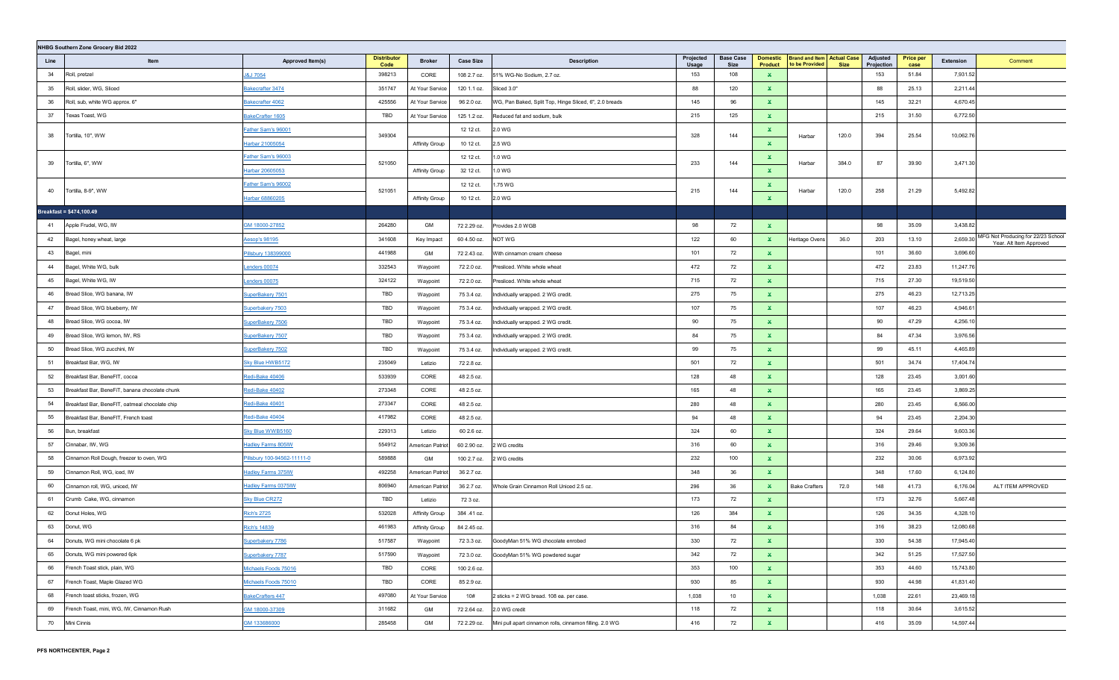|      | NHBG Southern Zone Grocery Bid 2022            |                             |                            |                       |                  |                                                          |                    |                          |                                   |                                                     |             |                        |                          |           |                                                               |
|------|------------------------------------------------|-----------------------------|----------------------------|-----------------------|------------------|----------------------------------------------------------|--------------------|--------------------------|-----------------------------------|-----------------------------------------------------|-------------|------------------------|--------------------------|-----------|---------------------------------------------------------------|
| Line | Item                                           | Approved Item(s)            | <b>Distributor</b><br>Code | <b>Broker</b>         | <b>Case Size</b> | <b>Description</b>                                       | Projected<br>Usage | <b>Base Case</b><br>Size | <b>Domestic</b><br><b>Product</b> | <b>Brand and Item Actual Case</b><br>to be Provided | <b>Size</b> | Adjusted<br>Projection | <b>Price per</b><br>case | Extension | Comment                                                       |
| 34   | Roll, pretzel                                  | <b>J&amp;J 7054</b>         | 398213                     | CORE                  | 108 2.7 oz.      | 51% WG-No Sodium, 2.7 oz.                                | 153                | 108                      | $\mathbf{x}$                      |                                                     |             | 153                    | 51.84                    | 7,931.52  |                                                               |
| 35   | Roll, slider, WG, Sliced                       | Bakecrafter 3474            | 351747                     | At Your Service       | 120 1.1 oz.      | Sliced 3.0"                                              | 88                 | 120                      | $\mathbf{x}$                      |                                                     |             | 88                     | 25.13                    | 2,211.44  |                                                               |
| 36   | Roll, sub, white WG approx. 6"                 | Bakecrafter 4062            | 425556                     | At Your Service       | 96 2.0 oz.       | WG, Pan Baked, Split Top, Hinge Sliced, 6", 2.0 breads   | 145                | 96                       | $\mathbf x$                       |                                                     |             | 145                    | 32.21                    | 4,670.45  |                                                               |
| 37   | Texas Toast, WG                                | BakeCrafter 1605            | TBD                        | At Your Service       | 125 1.2 oz.      | Reduced fat and sodium, bulk                             | 215                | 125                      | $\mathbf x$                       |                                                     |             | 215                    | 31.50                    | 6,772.50  |                                                               |
| 38   | Tortilla, 10", WW                              | Father Sam's 96001          | 349304                     |                       | 12 12 ct.        | 2.0 WG                                                   | 328                | 144                      | $\mathbf{x}$                      | Harbar                                              | 120.0       | 394                    | 25.54                    | 10,062.76 |                                                               |
|      |                                                | Harbar 21005054             |                            | Affinity Group        | 10 12 ct.        | 2.5 WG                                                   |                    |                          | $\mathbf x$                       |                                                     |             |                        |                          |           |                                                               |
| 39   | Tortilla, 6", WW                               | Father Sam's 96003          | 521050                     |                       | 12 12 ct.        | 1.0 WG                                                   | 233                | 144                      | ×                                 | Harbar                                              | 384.0       | 87                     | 39.90                    | 3,471.30  |                                                               |
|      |                                                | Harbar 20605053             |                            | <b>Affinity Group</b> | 32 12 ct.        | 1.0 WG                                                   |                    |                          | $\mathbf{x}$                      |                                                     |             |                        |                          |           |                                                               |
| 40   | Tortilla, 8-9", WW                             | Father Sam's 96002          | 521051                     |                       | 12 12 ct.        | 1.75 WG                                                  | 215                | 144                      | ×                                 | Harbar                                              | 120.0       | 258                    | 21.29                    | 5,492.82  |                                                               |
|      |                                                | Harbar 68860205             |                            | Affinity Group        | 10 12 ct.        | 2.0 WG                                                   |                    |                          | $\mathbf x$                       |                                                     |             |                        |                          |           |                                                               |
|      | Breakfast = \$474,100.49                       |                             |                            |                       |                  |                                                          |                    |                          |                                   |                                                     |             |                        |                          |           |                                                               |
| 41   | Apple Frudel, WG, IW                           | GM 18000-27852              | 264280                     | GM                    | 72 2.29 oz.      | Provides 2.0 WGB                                         | 98                 | 72                       | ×.                                |                                                     |             | 98                     | 35.09                    | 3,438.82  |                                                               |
| 42   | Bagel, honey wheat, large                      | Aesop's 98195               | 341608                     | Key Impact            | 60 4.50 oz.      | NOT WG                                                   | 122                | 60                       | $\mathbf{x}$                      | Heritage Ovens                                      | 36.0        | 203                    | 13.10                    | 2,659.30  | MFG Not Producing for 22/23 School<br>Year. Alt Item Approved |
| 43   | Bagel, mini                                    | Pillsbury 138399000         | 441988                     | GM                    | 72 2.43 oz.      | With cinnamon cream cheese                               | 101                | 72                       | $\mathbf{x}$                      |                                                     |             | 101                    | 36.60                    | 3,696.60  |                                                               |
| 44   | Bagel, White WG, bulk                          | enders 00074                | 332543                     | Waypoint              | 72 2.0 oz.       | Presliced. White whole wheat                             | 472                | 72                       | $\mathbf{x}$                      |                                                     |             | 472                    | 23.83                    | 11,247.76 |                                                               |
| 45   | Bagel, White WG, IW                            | enders 00075                | 324122                     | Waypoint              | 72 2.0 oz.       | Presliced. White whole wheat                             | 715                | 72                       | $\mathbf{x}$                      |                                                     |             | 715                    | 27.30                    | 19,519.50 |                                                               |
| 46   | Bread Slice, WG banana, IW                     | SuperBakery 7501            | TBD                        | Waypoint              | 75 3.4 oz.       | Individually wrapped. 2 WG credit.                       | 275                | 75                       | $\mathbf{x}$                      |                                                     |             | 275                    | 46.23                    | 12,713.25 |                                                               |
| 47   | Bread Slice, WG blueberry, IW                  | Superbakery 7503            | TBD                        | Waypoint              | 75 3.4 oz.       | Individually wrapped. 2 WG credit.                       | 107                | 75                       | $\mathbf{x}$                      |                                                     |             | 107                    | 46.23                    | 4,946.6   |                                                               |
| 48   | Bread Slice, WG cocoa, IW                      | SuperBakery 7506            | TBD                        | Waypoint              | 75 3.4 oz.       | Individually wrapped. 2 WG credit.                       | 90                 | 75                       | $\mathbf{x}$                      |                                                     |             | 90                     | 47.29                    | 4,256.10  |                                                               |
| 49   | Bread Slice, WG lemon, IW, RS                  | SuperBakery 7507            | TBD                        | Waypoint              | 75 3.4 oz.       | Individually wrapped. 2 WG credit.                       | 84                 | 75                       | x.                                |                                                     |             | 84                     | 47.34                    | 3,976.56  |                                                               |
| 50   | Bread Slice, WG zucchini, IW                   | SuperBakery 7502            | TBD                        | Waypoint              | 75 3.4 oz.       | Individually wrapped. 2 WG credit.                       | 99                 | 75                       | $\mathbf{x}$                      |                                                     |             | 99                     | 45.11                    | 4,465.89  |                                                               |
| 51   | Breakfast Bar, WG, IW                          | Sky Blue HWB5172            | 235049                     | Letizio               | 72 2.8 oz.       |                                                          | 501                | 72                       | $\mathbf x$                       |                                                     |             | 501                    | 34.74                    | 17,404.74 |                                                               |
| 52   | Breakfast Bar, BeneFIT, cocoa                  | Redi-Bake 40406             | 533939                     | CORE                  | 48 2.5 oz.       |                                                          | 128                | 48                       | $\mathbf{x}$                      |                                                     |             | 128                    | 23.45                    | 3,001.60  |                                                               |
| 53   | Breakfast Bar, BeneFiT, banana chocolate chunk | Redi-Bake 40402             | 273348                     | CORE                  | 48 2.5 oz.       |                                                          | 165                | 48                       | $\mathbf x$                       |                                                     |             | 165                    | 23.45                    | 3,869.25  |                                                               |
| 54   | Breakfast Bar, BeneFIT, oatmeal chocolate chip | Redi-Bake 40401             | 273347                     | CORE                  | 48 2.5 oz.       |                                                          | 280                | 48                       | $\mathbf{x}$                      |                                                     |             | 280                    | 23.45                    | 6,566.00  |                                                               |
| 55   | Breakfast Bar, BeneFIT, French toast           | Redi-Bake 40404             | 417982                     | CORE                  | 48 2.5 oz.       |                                                          | 94                 | 48                       | $\mathbf{x}$                      |                                                     |             | 94                     | 23.45                    | 2,204.30  |                                                               |
| 56   | Bun, breakfast                                 | Sky Blue WWB5160            | 229313                     | Letizio               | 60 2.6 oz.       |                                                          | 324                | 60                       | $\mathbf{x}$                      |                                                     |             | 324                    | 29.64                    | 9,603.36  |                                                               |
| 57   | Cinnabar, IW, WG                               | Hadley Farms 805IW          | 554912                     | American Patriot      | 60 2.90 oz.      | WG credits                                               | 316                | 60                       | $\mathbf{x}$                      |                                                     |             | 316                    | 29.46                    | 9,309.36  |                                                               |
| 58   | Cinnamon Roll Dough, freezer to oven, WG       | Pillsbury 100-94562-11111-0 | 589888                     | GM                    | 100 2.7 oz.      | 2 WG credits                                             | 232                | 100                      | $\mathbf{x}$                      |                                                     |             | 232                    | 30.06                    | 6,973.92  |                                                               |
| 59   | Cinnamon Roll, WG, iced, IW                    | Hadley Farms 375IW          | 492258                     | American Patriot      | 36 2.7 oz.       |                                                          | 348                | 36                       | $\mathbf{x}$                      |                                                     |             | 348                    | 17.60                    | 6,124.80  |                                                               |
| 60   | Cinnamon roll, WG, uniced, IW                  | Hadley Farms 0375IW         | 806940                     | American Patriot      | 36 2.7 oz.       | Whole Grain Cinnamon Roll Uniced 2.5 oz.                 | 296                | 36                       | ×.                                | <b>Bake Crafters</b>                                | 72.0        | 148                    | 41.73                    | 6,176.04  | ALT ITEM APPROVED                                             |
| 61   | Crumb Cake, WG, cinnamon                       | <b>Sky Blue CR272</b>       | TBD                        | Letizio               | 72 3 oz.         |                                                          | 173                | 72                       | $\mathbf{x}$                      |                                                     |             | 173                    | 32.76                    | 5,667.48  |                                                               |
| 62   | Donut Holes, WG                                | <u>Rich's 2725</u>          | 532028                     | Affinity Group        | 384 .41 oz.      |                                                          | 126                | 384                      | $\mathbf{x}$                      |                                                     |             | 126                    | 34.35                    | 4,328.10  |                                                               |
| 63   | Donut, WG                                      | Rich's 14839                | 461983                     | <b>Affinity Group</b> | 84 2.45 oz.      |                                                          | 316                | 84                       | $\mathbf{x}$                      |                                                     |             | 316                    | 38.23                    | 12,080.68 |                                                               |
| 64   | Donuts, WG mini chocolate 6 pk                 | Superbakery 7786            | 517587                     | Waypoint              | 72 3.3 oz.       | GoodyMan 51% WG chocolate enrobed                        | 330                | 72                       | ×.                                |                                                     |             | 330                    | 54.38                    | 17,945.40 |                                                               |
| 65   | Donuts, WG mini powered 6pk                    | Superbakery 7787            | 517590                     | Waypoint              | 72 3.0 oz.       | GoodyMan 51% WG powdered sugar                           | 342                | 72                       | $\mathbf{x}$                      |                                                     |             | 342                    | 51.25                    | 17,527.50 |                                                               |
| 66   | French Toast stick, plain, WG                  | Michaels Foods 75016        | TBD                        | CORE                  | 100 2.6 oz.      |                                                          | 353                | 100                      | $\mathbf{x}$                      |                                                     |             | 353                    | 44.60                    | 15,743.80 |                                                               |
| 67   | French Toast, Maple Glazed WG                  | Michaels Foods 75010        | TBD                        | CORE                  | 85 2.9 oz.       |                                                          | 930                | 85                       | $\mathbf{x}$                      |                                                     |             | 930                    | 44.98                    | 41,831.40 |                                                               |
| 68   | French toast sticks, frozen, WG                | <b>BakeCrafters 447</b>     | 497080                     | At Your Service       | 10#              | 2 sticks = 2 WG bread. 108 ea. per case.                 | 1,038              | 10                       | $\mathbf{x}$                      |                                                     |             | 1,038                  | 22.61                    | 23,469.18 |                                                               |
| 69   | French Toast, mini, WG, IW, Cinnamon Rush      | GM 18000-37309              | 311682                     | GM                    | 72 2.64 oz.      | 2.0 WG credit                                            | 118                | 72                       | ×.                                |                                                     |             | 118                    | 30.64                    | 3,615.52  |                                                               |
| 70   | Mini Cinnis                                    | GM 133686000                | 285458                     | GM                    | 72 2.29 oz.      | Mini pull apart cinnamon rolls, cinnamon filling. 2.0 WG | 416                | 72                       | $\mathbf{x}$                      |                                                     |             | 416                    | 35.09                    | 14,597.44 |                                                               |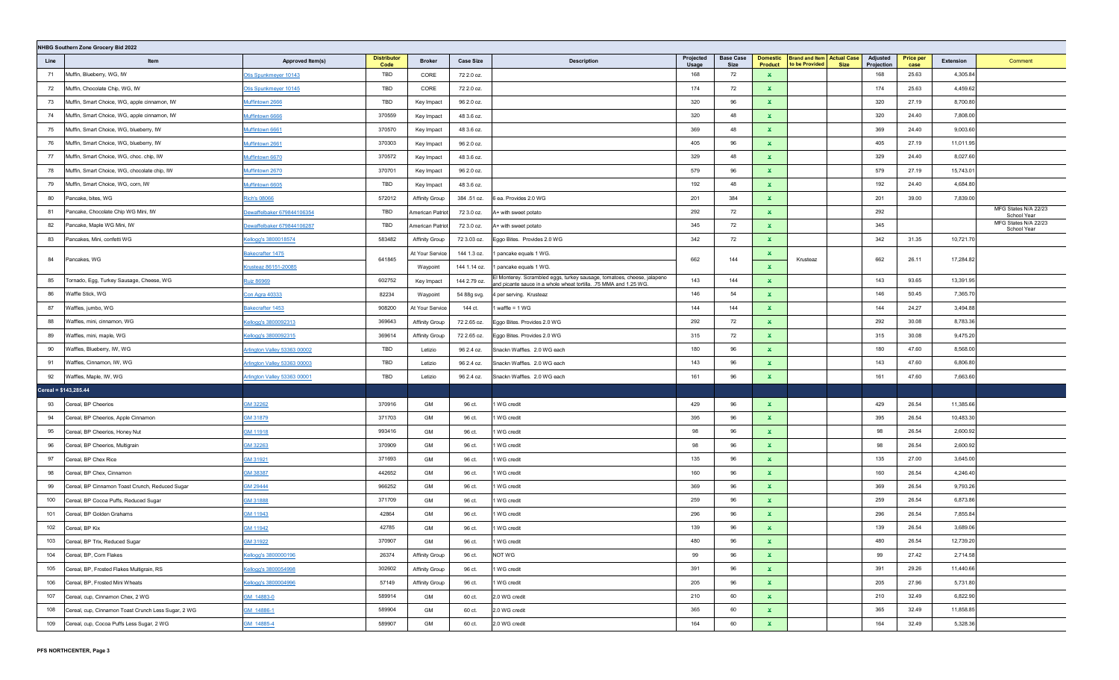|      | NHBG Southern Zone Grocery Bid 2022                 |                                     |                            |                       |                  |                                                                                                                                              |                    |                          |                                   |                                                     |                                       |                          |           |                                     |
|------|-----------------------------------------------------|-------------------------------------|----------------------------|-----------------------|------------------|----------------------------------------------------------------------------------------------------------------------------------------------|--------------------|--------------------------|-----------------------------------|-----------------------------------------------------|---------------------------------------|--------------------------|-----------|-------------------------------------|
| Line | Item                                                | Approved Item(s)                    | <b>Distributor</b><br>Code | <b>Broker</b>         | <b>Case Size</b> | <b>Description</b>                                                                                                                           | Projected<br>Usage | <b>Base Case</b><br>Size | <b>Domestic</b><br><b>Product</b> | <b>Brand and Item Actual Case</b><br>to be Provided | Adjusted<br>Projection<br><b>Size</b> | <b>Price per</b><br>case | Extension | Comment                             |
| 71   | Muffin, Blueberry, WG, IW                           | Otis Spunkmeyer 10143               | TBD                        | CORE                  | 72 2.0 oz.       |                                                                                                                                              | 168                | 72                       | $\mathbf{x}$                      |                                                     | 168                                   | 25.63                    | 4,305.84  |                                     |
| 72   | Muffin, Chocolate Chip, WG, IW                      | Otis Spunkmeyer 10145               | TBD                        | CORE                  | 72 2.0 oz.       |                                                                                                                                              | 174                | 72                       | ×.                                |                                                     | 174                                   | 25.63                    | 4,459.62  |                                     |
| 73   | Muffin, Smart Choice, WG, apple cinnamon, IW        | Muffintown 2666                     | <b>TBD</b>                 | Key Impact            | 96 2.0 oz.       |                                                                                                                                              | 320                | 96                       | $\mathbf x$                       |                                                     | 320                                   | 27.19                    | 8,700.80  |                                     |
| 74   | Muffin, Smart Choice, WG, apple cinnamon, IW        | Muffintown 6666                     | 370559                     | Key Impact            | 48 3.6 oz.       |                                                                                                                                              | 320                | 48                       | $\mathbf x$                       |                                                     | 320                                   | 24.40                    | 7,808.00  |                                     |
| 75   | Muffin, Smart Choice, WG, blueberry, IW             | Muffintown 6661                     | 370570                     | Key Impact            | 48 3.6 oz.       |                                                                                                                                              | 369                | 48                       | $\mathbf{x}$                      |                                                     | 369                                   | 24.40                    | 9,003.60  |                                     |
| 76   | Muffin, Smart Choice, WG, blueberry, IW             | Muffintown 2661                     | 370303                     | Key Impact            | 96 2.0 oz.       |                                                                                                                                              | 405                | 96                       | $\mathbf x$                       |                                                     | 405                                   | 27.19                    | 11,011.95 |                                     |
| 77   | Muffin, Smart Choice, WG, choc. chip, IW            | Muffintown 6670                     | 370572                     | Key Impact            | 48 3.6 oz.       |                                                                                                                                              | 329                | 48                       | $\mathbf{x}$                      |                                                     | 329                                   | 24.40                    | 8,027.60  |                                     |
| 78   | Muffin, Smart Choice, WG, chocolate chip, IW        | Muffintown 2670                     | 370701                     | Key Impact            | 96 2.0 oz.       |                                                                                                                                              | 579                | 96                       | $\mathbf x$                       |                                                     | 579                                   | 27.19                    | 15,743.01 |                                     |
| 79   | Muffin, Smart Choice, WG, corn, IW                  | Muffintown 6605                     | TBD                        | Key Impact            | 48 3.6 oz.       |                                                                                                                                              | 192                | 48                       | $\mathbf{x}$                      |                                                     | 192                                   | 24.40                    | 4,684.80  |                                     |
| 80   | Pancake, bites, WG                                  | <b>Rich's 08066</b>                 | 572012                     | <b>Affinity Group</b> | 384 .51 oz.      | 6 ea. Provides 2.0 WG                                                                                                                        | 201                | 384                      | $\mathbf{x}$                      |                                                     | 201                                   | 39.00                    | 7,839.00  |                                     |
| 81   | Pancake, Chocolate Chip WG Mini, IW                 | ewaffelbaker 679844106354           | TBD                        | American Patriot      | 72 3.0 oz.       | A+ with sweet potato                                                                                                                         | 292                | 72                       | $\mathbf{x}$                      |                                                     | 292                                   |                          |           | MFG States N/A 22/23<br>School Year |
| 82   | Pancake, Maple WG Mini, IW                          | Dewaffelbaker 679844106287          | TBD                        | American Patriot      | 72 3.0 oz.       | A+ with sweet potato                                                                                                                         | 345                | 72                       | $\mathbf{x}$                      |                                                     | 345                                   |                          |           | MFG States N/A 22/23<br>School Year |
| 83   | Pancakes, Mini, confetti WG                         | Cellogg's 3800018574                | 583482                     | Affinity Group        | 72 3.03 oz.      | Eggo Bites. Provides 2.0 WG                                                                                                                  | 342                | 72                       | ×.                                |                                                     | 342                                   | 31.35                    | 10,721.70 |                                     |
|      |                                                     | <u> Bakecrafter 1475</u>            |                            | At Your Service       | 144 1.3 oz.      | 1 pancake equals 1 WG.                                                                                                                       |                    |                          | ×.                                |                                                     |                                       |                          |           |                                     |
| 84   | Pancakes, WG                                        | rusteaz 86151-20085                 | 641845                     | Waypoint              | 144 1.14 oz.     | 1 pancake equals 1 WG.                                                                                                                       | 662                | 144                      | $\mathbf{x}$                      | Krusteaz                                            | 662                                   | 26.11                    | 17,284.82 |                                     |
| 85   | Tornado, Egg, Turkey Sausage, Cheese, WG            | <u><b>Ruiz 86969</b></u>            | 602752                     | Key Impact            | 144 2.79 oz.     | El Monterey. Scrambled eggs, turkey sausage, tomatoes, cheese, jalapeno<br>and picante sauce in a whole wheat tortilla. .75 MMA and 1.25 WG. | 143                | 144                      | $\mathbf{x}$                      |                                                     | 143                                   | 93.65                    | 13,391.95 |                                     |
| 86   | Waffle Stick, WG                                    | Con Agra 40333                      | 82234                      | Waypoint              | 54 88g svg.      | 4 per serving. Krusteaz                                                                                                                      | 146                | 54                       | $\mathbf{x}$                      |                                                     | 146                                   | 50.45                    | 7,365.70  |                                     |
| 87   | Waffles, jumbo, WG                                  | Bakecrafter 1453                    | 908200                     | At Your Service       | 144 ct.          | waffle = $1$ WG                                                                                                                              | 144                | 144                      | $\mathbf{x}$                      |                                                     | 144                                   | 24.27                    | 3,494.88  |                                     |
| 88   | Waffles, mini, cinnamon, WG                         | Cellogg's 3800092313                | 369643                     | Affinity Group        | 72 2.65 oz.      | Eggo Bites. Provides 2.0 WG                                                                                                                  | 292                | 72                       | $\mathbf{x}$                      |                                                     | 292                                   | 30.08                    | 8,783.36  |                                     |
| 89   | Waffles, mini, maple, WG                            | Cellogg's 3800092315                | 369614                     | Affinity Group        | 72 2.65 oz.      | Eggo Bites. Provides 2.0 WG                                                                                                                  | 315                | 72                       | ×.                                |                                                     | 315                                   | 30.08                    | 9,475.20  |                                     |
| 90   | Waffles, Blueberry, IW, WG                          | Arlington Valley 53363 00002        | TBD                        | Letizio               | 96 2.4 oz.       | Snackn Waffles. 2.0 WG each                                                                                                                  | 180                | 96                       | $\mathbf{x}$                      |                                                     | 180                                   | 47.60                    | 8,568.00  |                                     |
| 91   | Waffles, Cinnamon, IW, WG                           | <u>Arlington Valley 53363 00003</u> | TBD                        | Letizio               | 96 2.4 oz.       | Snackn Waffles. 2.0 WG each                                                                                                                  | 143                | 96                       | $\mathbf{x}$                      |                                                     | 143                                   | 47.60                    | 6,806.80  |                                     |
| 92   | Waffles, Maple, IW, WG                              | <u>Arlington Valley 53363 00001</u> | TBD                        | Letizio               | 96 2.4 oz.       | Snackn Waffles. 2.0 WG each                                                                                                                  | 161                | 96                       | $\mathbf{x}$                      |                                                     | 161                                   | 47.60                    | 7,663.60  |                                     |
|      | Cereal = \$143,285.44                               |                                     |                            |                       |                  |                                                                                                                                              |                    |                          |                                   |                                                     |                                       |                          |           |                                     |
| 93   | Cereal, BP Cheerios                                 | 3M 32262                            | 370916                     | GM                    | 96 ct.           | WG credit                                                                                                                                    | 429                | 96                       | $\mathbf{x}$                      |                                                     | 429                                   | 26.54                    | 11,385.66 |                                     |
| 94   | Cereal, BP Cheerios, Apple Cinnamon                 | GM 31879                            | 371703                     | GM                    | 96 ct.           | WG credit                                                                                                                                    | 395                | 96                       | $\mathbf{x}$                      |                                                     | 395                                   | 26.54                    | 10,483.30 |                                     |
| 95   | Cereal, BP Cheerios, Honey Nut                      | GM 11918                            | 993416                     | GM                    | 96 ct.           | 1 WG credit                                                                                                                                  | 98                 | 96                       | $\mathbf x$                       |                                                     | 98                                    | 26.54                    | 2,600.92  |                                     |
| 96   | Cereal, BP Cheerios, Multigrain                     | GM 32263                            | 370909                     | GM                    | 96 ct.           | 1 WG credit                                                                                                                                  | 98                 | 96                       | $\mathbf{x}$                      |                                                     | 98                                    | 26.54                    | 2,600.92  |                                     |
| 97   | Cereal, BP Chex Rice                                | GM 31921                            | 371693                     | GM                    | 96 ct.           | 1 WG credit                                                                                                                                  | 135                | 96                       | $\mathbf x$                       |                                                     | 135                                   | 27.00                    | 3,645.00  |                                     |
| 98   | Cereal, BP Chex, Cinnamon                           | GM 38387                            | 442652                     | GM                    | 96 ct.           | WG credit                                                                                                                                    | 160                | 96                       | $\mathbf{x}$                      |                                                     | 160                                   | 26.54                    | 4,246.40  |                                     |
| 99   | Cereal, BP Cinnamon Toast Crunch, Reduced Sugar     | SM 29444                            | 966252                     | GM                    | 96 ct.           | WG credit                                                                                                                                    | 369                | 96                       | $\mathbf x$                       |                                                     | 369                                   | 26.54                    | 9,793.26  |                                     |
| 100  | Cereal, BP Cocoa Puffs, Reduced Sugar               | SM 31888                            | 371709                     | GM                    | 96 ct.           | WG credit                                                                                                                                    | 259                | 96                       | $\mathbf{x}$                      |                                                     | 259                                   | 26.54                    | 6,873.86  |                                     |
| 101  | Cereal, BP Golden Grahams                           | GM 11943                            | 42864                      | GM                    | 96 ct.           | WG credit                                                                                                                                    | 296                | 96                       | $\mathbf x$                       |                                                     | 296                                   | 26.54                    | 7,855.84  |                                     |
| 102  | Cereal, BP Kix                                      | GM 11942                            | 42785                      | GM                    | 96 ct.           | WG credit                                                                                                                                    | 139                | 96                       | $\mathbf{x}$                      |                                                     | 139                                   | 26.54                    | 3,689.06  |                                     |
| 103  | Cereal, BP Trix, Reduced Sugar                      | SM 31922                            | 370907                     | GM                    | 96 ct.           | 1 WG credit                                                                                                                                  | 480                | 96                       | $\mathbf x$                       |                                                     | 480                                   | 26.54                    | 12,739.20 |                                     |
| 104  | Cereal, BP, Corn Flakes                             | Kellogg's 3800000196                | 26374                      | <b>Affinity Group</b> | 96 ct.           | NOT WG                                                                                                                                       | 99                 | 96                       | $\mathbf{x}$                      |                                                     | 99                                    | 27.42                    | 2,714.58  |                                     |
| 105  | Cereal, BP, Frosted Flakes Multigrain, RS           | Kellogg's 3800054998                | 302602                     | Affinity Group        | 96 ct.           | 1 WG credit                                                                                                                                  | 391                | 96                       | $\mathbf{x}$                      |                                                     | 391                                   | 29.26                    | 11,440.66 |                                     |
| 106  | Cereal, BP, Frosted Mini Wheats                     | Kellogg's 3800004996                | 57149                      | Affinity Group        | 96 ct.           | 1 WG credit                                                                                                                                  | 205                | 96                       | $\mathbf{x}$                      |                                                     | 205                                   | 27.96                    | 5,731.80  |                                     |
| 107  | Cereal, cup, Cinnamon Chex, 2 WG                    | GM 14883-0                          | 589914                     | GM                    | 60 ct.           | 2.0 WG credit                                                                                                                                | 210                | 60                       | $\mathbf{x}$                      |                                                     | 210                                   | 32.49                    | 6,822.90  |                                     |
| 108  | Cereal, cup, Cinnamon Toast Crunch Less Sugar, 2 WG | GM_14886-1                          | 589904                     | GM                    | 60 ct.           | 2.0 WG credit                                                                                                                                | 365                | 60                       | $\mathbf{x}$                      |                                                     | 365                                   | 32.49                    | 11,858.85 |                                     |
| 109  | Cereal, cup, Cocoa Puffs Less Sugar, 2 WG           | GM 14885-4                          | 589907                     | GM                    | 60 ct.           | 2.0 WG credit                                                                                                                                | 164                | 60                       | $\mathbf{x}$                      |                                                     | 164                                   | 32.49                    | 5,328.36  |                                     |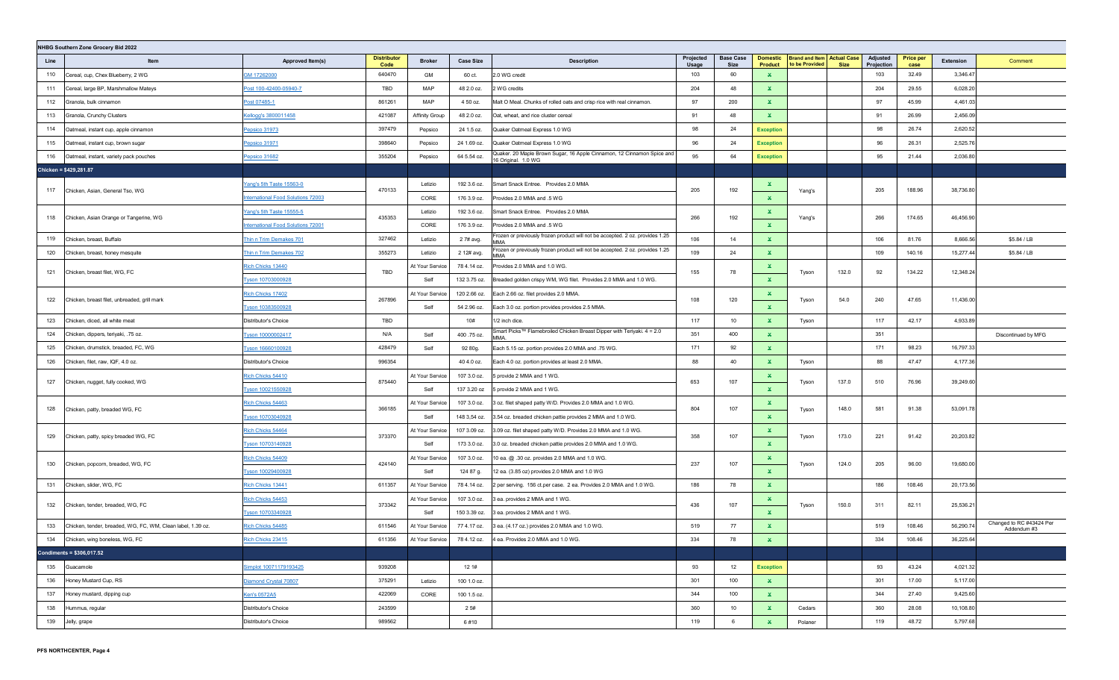|      | NHBG Southern Zone Grocery Bid 2022                         |                                          |                            |                 |                  |                                                                                               |                           |                                 |                                   |                                                                    |                        |                          |           |                                         |
|------|-------------------------------------------------------------|------------------------------------------|----------------------------|-----------------|------------------|-----------------------------------------------------------------------------------------------|---------------------------|---------------------------------|-----------------------------------|--------------------------------------------------------------------|------------------------|--------------------------|-----------|-----------------------------------------|
| Line | Item                                                        | Approved Item(s)                         | <b>Distributor</b><br>Code | <b>Broker</b>   | <b>Case Size</b> | <b>Description</b>                                                                            | Projected<br><b>Usage</b> | <b>Base Case</b><br><b>Size</b> | <b>Domestic</b><br><b>Product</b> | <b>Brand and Item Actual Case</b><br>to be Provided<br><b>Size</b> | Adjusted<br>Projection | <b>Price per</b><br>case | Extension | Comment                                 |
| 110  | Cereal, cup, Chex Blueberry, 2 WG                           | GM 17262000                              | 640470                     | GM              | 60 ct.           | 2.0 WG credit                                                                                 | 103                       | 60                              | $\mathbf{x}$                      |                                                                    | 103                    | 32.49                    | 3,346.47  |                                         |
| 111  | Cereal, large BP, Marshmallow Mateys                        | Post 100-42400-05940-7                   | TBD                        | MAP             | 48 2.0 oz.       | 2 WG credits                                                                                  | 204                       | 48                              | $\mathbf{x}$                      |                                                                    | 204                    | 29.55                    | 6,028.20  |                                         |
| 112  | Granola, bulk cinnamon                                      | Post 07485-1                             | 861261                     | MAP             | 4 50 oz.         | Malt O Meal. Chunks of rolled oats and crisp rice with real cinnamon.                         | 97                        | 200                             | ×.                                |                                                                    | 97                     | 45.99                    | 4,461.03  |                                         |
| 113  | Granola, Crunchy Clusters                                   | Kellogg's 3800011458                     | 421087                     | Affinity Group  | 48 2.0 oz.       | Oat, wheat, and rice cluster cereal                                                           | 91                        | 48                              | $\mathbf{x}$                      |                                                                    | 91                     | 26.99                    | 2,456.09  |                                         |
| 114  | Oatmeal, instant cup, apple cinnamon                        | Pepsico 31973                            | 397479                     | Pepsico         | 24 1.5 oz.       | Quaker Oatmeal Express 1.0 WG                                                                 | 98                        | 24                              | <b>Exception</b>                  |                                                                    | 98                     | 26.74                    | 2,620.52  |                                         |
| 115  | Oatmeal, instant cup, brown sugar                           | Pepsico 31971                            | 398640                     | Pepsico         | 24 1.69 oz.      | Quaker Oatmeal Express 1.0 WG                                                                 | 96                        | 24                              | <b>Exception</b>                  |                                                                    | 96                     | 26.31                    | 2,525.76  |                                         |
| 116  | Oatmeal, instant, variety pack pouches                      | epsico 31682                             | 355204                     | Pepsico         | 64 5.54 oz.      | Quaker. 20 Maple Brown Sugar, 16 Apple Cinnamon, 12 Cinnamon Spice and<br>16 Original. 1.0 WG | 95                        | 64                              | <b>Exception</b>                  |                                                                    | 95                     | 21.44                    | 2,036.80  |                                         |
|      | Chicken = \$429,281.87                                      |                                          |                            |                 |                  |                                                                                               |                           |                                 |                                   |                                                                    |                        |                          |           |                                         |
| 117  | Chicken, Asian, General Tso, WG                             | ang's 5th Taste 15563-0                  | 470133                     | Letizio         | 192 3.6 oz.      | Smart Snack Entree. Provides 2.0 MMA                                                          | 205                       | 192                             | ж,                                |                                                                    | 205                    | 188.96                   | 38,736.80 |                                         |
|      |                                                             | <b>Iternational Food Solutions 72003</b> |                            | CORE            | 176 3.9 oz.      | Provides 2.0 MMA and .5 WG                                                                    |                           |                                 | $\mathbf x$                       | Yang's                                                             |                        |                          |           |                                         |
|      |                                                             | Yang's 5th Taste 15555-5                 | 435353                     | Letizio         | 192 3.6 oz.      | Smart Snack Entree. Provides 2.0 MMA                                                          | 266                       | 192                             | $\mathbf{x}$                      |                                                                    | 266                    | 174.65                   | 46,456.90 |                                         |
| 118  | Chicken, Asian Orange or Tangerine, WG                      | <b>nternational Food Solutions 72001</b> |                            | CORE            | 176 3.9 oz.      | Provides 2.0 MMA and .5 WG                                                                    |                           |                                 | $\mathbf x$                       | Yang's                                                             |                        |                          |           |                                         |
| 119  | Chicken, breast, Buffalo                                    | Thin n Trim Demakes 701                  | 327462                     | Letizio         | 2 7# avg.        | Frozen or previously frozen product will not be accepted. 2 oz. provides 1.25<br>MMA          | 106                       | 14                              | $\mathbf{x}$                      |                                                                    | 106                    | 81.76                    | 8,666.56  | \$5.84 / LB                             |
| 120  | Chicken, breast, honey mesquite                             | <u> Fhin n Trim Demakes 702</u>          | 355273                     | Letizio         | 2 12# avg.       | Frozen or previously frozen product will not be accepted. 2 oz. provides 1.25<br>MMA          | 109                       | 24                              | $\mathbf x$                       |                                                                    | 109                    | 140.16                   | 15,277.44 | \$5.84 / LB                             |
|      |                                                             | Rich Chicks 13440                        | TBD                        | At Your Service | 78 4.14 oz.      | Provides 2.0 MMA and 1.0 WG.                                                                  |                           |                                 | $\mathbf{x}$                      | 132.0                                                              | 92                     |                          |           |                                         |
| 121  | Chicken, breast filet, WG, FC                               | Tyson 10703000928                        |                            | Self            | 132 3.75 oz.     | Breaded golden crispy WM, WG filet. Provides 2.0 MMA and 1.0 WG.                              | 155                       | 78                              | $\mathbf{x}$                      | Tyson                                                              |                        | 134.22                   | 12,348.24 |                                         |
|      |                                                             | Rich Chicks 17402                        | 267896                     | At Your Service | 120 2.66 oz.     | Each 2.66 oz. filet provides 2.0 MMA.                                                         | 108                       | 120                             | ×.                                | 54.0                                                               |                        | 47.65                    |           |                                         |
| 122  | Chicken, breast filet, unbreaded, grill mark                | Tyson 10383500928                        |                            | Self            | 54 2.96 oz.      | Each 3.0 oz. portion provides provides 2.5 MMA.                                               |                           |                                 | $\mathbf{x}$                      | Tyson                                                              | 240                    |                          | 11,436.00 |                                         |
| 123  | Chicken, diced, all white meat                              | Distributor's Choice                     | TBD                        |                 | 10#              | 1/2 inch dice.                                                                                | 117                       | 10                              | $\mathbf x$                       | Tyson                                                              | 117                    | 42.17                    | 4,933.89  |                                         |
| 124  | Chicken, dippers, teriyaki, .75 oz.                         | Tyson 10000002417                        | N/A                        | Self            | 400.75 oz.       | Smart Picks™ Flamebroiled Chicken Breast Dipper with Teriyaki. 4 = 2.0<br><b>AMM</b>          | 351                       | 400                             | $\mathbf{x}$                      |                                                                    | 351                    |                          |           | Discontinued by MFG                     |
| 125  | Chicken, drumstick, breaded, FC, WG                         | Tyson 16660100928                        | 428479                     | Self            | 92 80g.          | Each 5.15 oz. portion provides 2.0 MMA and .75 WG.                                            | 171                       | 92                              | $\mathbf x$                       |                                                                    | 171                    | 98.23                    | 16,797.33 |                                         |
| 126  | Chicken, filet, raw, IQF, 4.0 oz.                           | Distributor's Choice                     | 996354                     |                 | 40 4.0 oz.       | Each 4.0 oz. portion provides at least 2.0 MMA.                                               | 88                        | 40                              | $\mathbf x$                       | Tyson                                                              | 88                     | 47.47                    | 4,177.36  |                                         |
|      |                                                             | Rich Chicks 54410                        | 875440                     | At Your Service | 107 3.0 oz.      | 5 provide 2 MMA and 1 WG.                                                                     |                           |                                 | ×.                                |                                                                    | 510                    |                          |           |                                         |
| 127  | Chicken, nugget, fully cooked, WG                           | Fyson 10021550928                        |                            | Self            | 137 3.20 oz      | 5 provide 2 MMA and 1 WG.                                                                     | 653                       | 107                             | $\mathbf{x}$                      | 137.0<br>Tyson                                                     |                        | 76.96                    | 39,249.60 |                                         |
|      |                                                             | Rich Chicks 54463                        |                            | At Your Service | 107 3.0 oz.      | 3 oz. filet shaped patty W/D. Provides 2.0 MMA and 1.0 WG.                                    |                           |                                 | $\mathbf{x}$                      |                                                                    |                        |                          |           |                                         |
| 128  | Chicken, patty, breaded WG, FC                              | Tyson 10703040928                        | 366185                     | Self            | 148 3,54 oz.     | 3.54 oz. breaded chicken pattie provides 2 MMA and 1.0 WG.                                    | 804                       | 107                             | $\mathbf{x}$                      | 148.0<br>Tyson                                                     | 581                    | 91.38                    | 53,091.78 |                                         |
|      |                                                             | Rich Chicks 54464                        |                            | At Your Service | 107 3.09 oz.     | 3.09 oz. filet shaped patty W/D. Provides 2.0 MMA and 1.0 WG.                                 |                           | 107                             | $\mathbf{x}$                      |                                                                    |                        |                          |           |                                         |
| 129  | Chicken, patty, spicy breaded WG, FC                        | yson 10703140928                         | 373370                     | Self            | 173 3.0 oz.      | 3.0 oz. breaded chicken pattie provides 2.0 MMA and 1.0 WG.                                   | 358                       |                                 | $\mathbf x$                       | 173.0<br>Tyson                                                     | 221                    | 91.42                    | 20,203.82 |                                         |
|      |                                                             | Rich Chicks 54409                        |                            | At Your Service | 107 3.0 oz.      | 10 ea. @ .30 oz. provides 2.0 MMA and 1.0 WG.                                                 |                           |                                 | ×.                                |                                                                    |                        |                          |           |                                         |
| 130  | Chicken, popcorn, breaded, WG, FC                           | Tyson 10029400928                        | 424140                     | Self            | 124 87 g.        | 12 ea. (3.85 oz) provides 2.0 MMA and 1.0 WG                                                  | 237                       | 107                             | $\mathbf x$                       | 124.0<br>Tyson                                                     | 205                    | 96.00                    | 19,680.00 |                                         |
| 131  | Chicken, slider, WG, FC                                     | Rich Chicks 13441                        | 611357                     | At Your Service | 78 4.14 oz.      | 2 per serving. 156 ct.per case. 2 ea. Provides 2.0 MMA and 1.0 WG.                            | 186                       | 78                              | ×.                                |                                                                    | 186                    | 108.46                   | 20,173.56 |                                         |
|      |                                                             | Rich Chicks 54453                        |                            | At Your Service | 107 3.0 oz.      | 3 ea. provides 2 MMA and 1 WG.                                                                |                           |                                 | $\mathbf x$                       |                                                                    |                        |                          |           |                                         |
| 132  | Chicken, tender, breaded, WG, FC                            | Tyson 10703340928                        | 373342                     | Self            | 150 3.39 oz.     | 3 ea. provides 2 MMA and 1 WG.                                                                | 436                       | 107                             | $\mathbf{x}$                      | Tyson<br>150.0                                                     | 311                    | 82.11                    | 25,536.21 |                                         |
| 133  | Chicken, tender, breaded, WG, FC, WM, Clean label, 1.39 oz. | Rich Chicks 54485                        | 611546                     | At Your Service | 77 4.17 oz.      | 3 ea. (4.17 oz.) provides 2.0 MMA and 1.0 WG.                                                 | 519                       | 77                              | $\mathbf x$                       |                                                                    | 519                    | 108.46                   | 56,290.74 | Changed to RC #43424 Per<br>Addendum #3 |
|      | 134 Chicken, wing boneless, WG, FC                          | Rich Chicks 23415                        | 611356                     |                 |                  | At Your Service 78 4.12 oz. 4 ea. Provides 2.0 MMA and 1.0 WG.                                | 334                       | 78                              | ×.                                |                                                                    | 334                    | 108.46                   | 36,225.64 |                                         |
|      | Condiments = $$306,017.52$                                  |                                          |                            |                 |                  |                                                                                               |                           |                                 |                                   |                                                                    |                        |                          |           |                                         |
| 135  | Guacamole                                                   | Simplot 10071179193425                   | 939208                     |                 | 12 1#            |                                                                                               | 93                        | 12                              | <b>Exception</b>                  |                                                                    | 93                     | 43.24                    | 4,021.32  |                                         |
| 136  | Honey Mustard Cup, RS                                       | Diamond Crystal 70807                    | 375291                     | Letizio         | 100 1.0 oz.      |                                                                                               | 301                       | 100                             | $\mathbf{x}$                      |                                                                    | 301                    | 17.00                    | 5,117.00  |                                         |
| 137  | Honey mustard, dipping cup                                  | Ken's 0572A5                             | 422069                     | CORE            | 100 1.5 oz.      |                                                                                               | 344                       | 100                             | $\mathbf{x}$                      |                                                                    | 344                    | 27.40                    | 9,425.60  |                                         |
| 138  | Hummus, regular                                             | Distributor's Choice                     | 243599                     |                 | 2 5#             |                                                                                               | 360                       | 10                              | ×.                                | Cedars                                                             | 360                    | 28.08                    | 10,108.80 |                                         |
| 139  | Jelly, grape                                                | Distributor's Choice                     | 989562                     |                 | 6#10             |                                                                                               | 119                       | 6                               | $\mathbf x$                       | Polaner                                                            | 119                    | 48.72                    | 5,797.68  |                                         |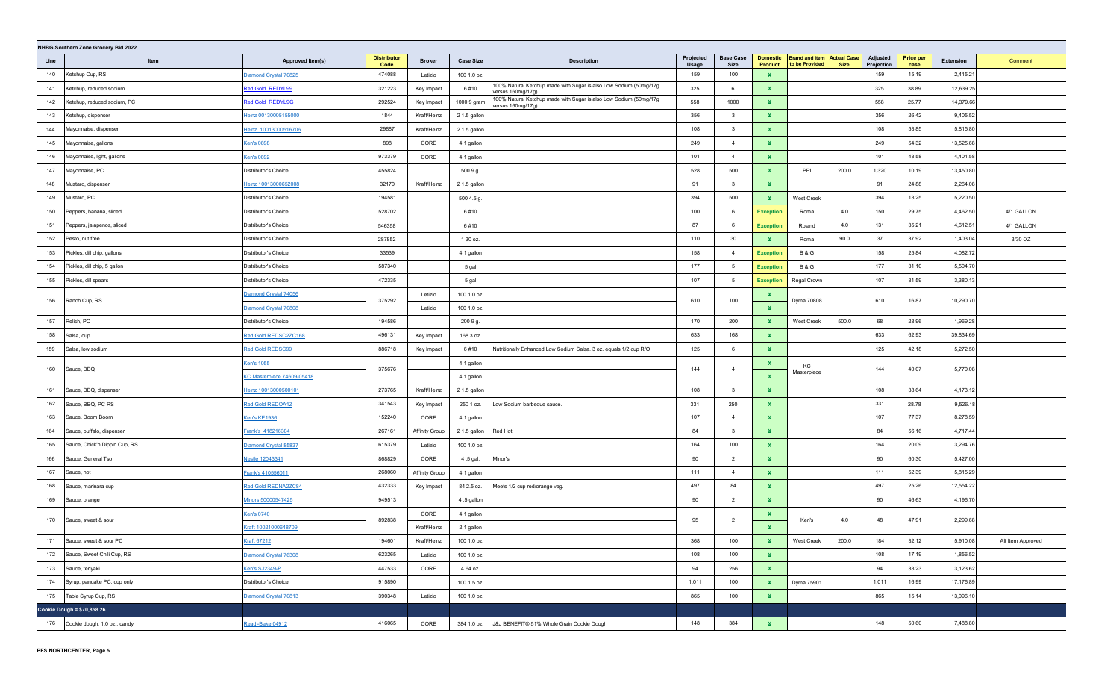|      | NHBG Southern Zone Grocery Bid 2022 |                                                                                                                                                                                                                                |                            |                |                  |                                                                                        |                           |                          |                                   |                                                     |             |                        |                          |           |                   |
|------|-------------------------------------|--------------------------------------------------------------------------------------------------------------------------------------------------------------------------------------------------------------------------------|----------------------------|----------------|------------------|----------------------------------------------------------------------------------------|---------------------------|--------------------------|-----------------------------------|-----------------------------------------------------|-------------|------------------------|--------------------------|-----------|-------------------|
| Line | Item                                | Approved Item(s)                                                                                                                                                                                                               | <b>Distributor</b><br>Code | <b>Broker</b>  | <b>Case Size</b> | <b>Description</b>                                                                     | Projected<br><b>Usage</b> | <b>Base Case</b><br>Size | <b>Domestic</b><br><b>Product</b> | <b>Brand and Item Actual Case</b><br>to be Provided | <b>Size</b> | Adjusted<br>Projection | <b>Price per</b><br>case | Extension | Comment           |
| 140  | Ketchup Cup, RS                     | Diamond Crystal 70825                                                                                                                                                                                                          | 474088                     | Letizio        | 100 1.0 oz.      |                                                                                        | 159                       | 100                      | $\mathbf{x}$                      |                                                     |             | 159                    | 15.19                    | 2,415.21  |                   |
| 141  | Ketchup, reduced sodium             | Red Gold REDYL99                                                                                                                                                                                                               | 321223                     | Key Impact     | 6#10             | 100% Natural Ketchup made with Sugar is also Low Sodium (50mg/17g<br>versus 160mg/17g) | 325                       | 6                        | ×.                                |                                                     |             | 325                    | 38.89                    | 12,639.25 |                   |
| 142  | Ketchup, reduced sodium, PC         | Red Gold REDYL9G                                                                                                                                                                                                               | 292524                     | Key Impact     | 1000 9 gram      | 100% Natural Ketchup made with Sugar is also Low Sodium (50mg/17g<br>versus 160mg/17g) | 558                       | 1000                     | $\mathbf{x}$                      |                                                     |             | 558                    | 25.77                    | 14,379.66 |                   |
| 143  | Ketchup, dispenser                  | Heinz 00130005155000                                                                                                                                                                                                           | 1844                       | Kraft/Heinz    | 2 1.5 gallon     |                                                                                        | 356                       | $\overline{\mathbf{3}}$  | $\mathbf{x}$                      |                                                     |             | 356                    | 26.42                    | 9,405.52  |                   |
| 144  | Mayonnaise, dispenser               | Heinz 10013000516706                                                                                                                                                                                                           | 29887                      | Kraft/Heinz    | 2 1.5 gallon     |                                                                                        | 108                       | $\overline{\mathbf{3}}$  | $\mathbf{x}$                      |                                                     |             | 108                    | 53.85                    | 5,815.80  |                   |
| 145  | Mayonnaise, gallons                 | <b>Ken's 0898</b>                                                                                                                                                                                                              | 898                        | CORE           | 4 1 gallon       |                                                                                        | 249                       | $\overline{4}$           | $\mathbf{x}$                      |                                                     |             | 249                    | 54.32                    | 13,525.68 |                   |
| 146  | Mayonnaise, light, gallons          | <b>Ken's 0892</b>                                                                                                                                                                                                              | 973379                     | CORE           | 4 1 gallon       |                                                                                        | 101                       | $\overline{4}$           | $\mathbf{x}$                      |                                                     |             | 101                    | 43.58                    | 4,401.58  |                   |
| 147  | Mayonnaise, PC                      | Distributor's Choice                                                                                                                                                                                                           | 455824                     |                | 500 9 g.         |                                                                                        | 528                       | 500                      | $\mathbf{x}$                      | PPI                                                 | 200.0       | 1,320                  | 10.19                    | 13,450.80 |                   |
| 148  | Mustard, dispenser                  | leinz 10013000652008                                                                                                                                                                                                           | 32170                      | Kraft/Heinz    | 2 1.5 gallon     |                                                                                        | 91                        | $\overline{\mathbf{3}}$  | $\mathbf{x}$                      |                                                     |             | 91                     | 24.88                    | 2,264.08  |                   |
| 149  | Mustard, PC                         | Distributor's Choice                                                                                                                                                                                                           | 194581                     |                | 500 4.5 g.       |                                                                                        | 394                       | 500                      | $\mathbf{x}$                      | West Creek                                          |             | 394                    | 13.25                    | 5,220.50  |                   |
| 150  | Peppers, banana, sliced             | Distributor's Choice                                                                                                                                                                                                           | 528702                     |                | 6#10             |                                                                                        | 100                       | 6                        | <b>Exception</b>                  | Roma                                                | 4.0         | 150                    | 29.75                    | 4,462.50  | 4/1 GALLON        |
| 151  | Peppers, jalapenos, sliced          | Distributor's Choice                                                                                                                                                                                                           | 546358                     |                | 6#10             |                                                                                        | 87                        | 6                        | <b>Exception</b>                  | Roland                                              | 4.0         | 131                    | 35.21                    | 4,612.51  | 4/1 GALLON        |
| 152  | Pesto, nut free                     | Distributor's Choice                                                                                                                                                                                                           | 287852                     |                | 1 30 oz.         |                                                                                        | 110                       | 30                       | $\mathbf{x}$                      | Roma                                                | 90.0        | 37                     | 37.92                    | 1,403.04  | 3/30 OZ           |
| 153  | Pickles, dill chip, gallons         | Distributor's Choice                                                                                                                                                                                                           | 33539                      |                | 4 1 gallon       |                                                                                        | 158                       | $\overline{4}$           | <b>Exception</b>                  | <b>B&amp;G</b>                                      |             | 158                    | 25.84                    | 4,082.72  |                   |
| 154  | Pickles, dill chip, 5 gallon        | Distributor's Choice                                                                                                                                                                                                           | 587340                     |                | 5 gal            |                                                                                        | 177                       | 5                        | <b>Exception</b>                  | <b>B&amp;G</b>                                      |             | 177                    | 31.10                    | 5,504.70  |                   |
| 155  | Pickles, dill spears                | Distributor's Choice                                                                                                                                                                                                           | 472335                     |                | 5 gal            |                                                                                        | 107                       | 5                        | <b>Exception</b>                  | Regal Crown                                         |             | 107                    | 31.59                    | 3,380.13  |                   |
| 156  | Ranch Cup, RS                       | Diamond Crystal 74056                                                                                                                                                                                                          | 375292                     | Letizio        | 100 1.0 oz.      |                                                                                        | 610                       | 100                      | ×.                                |                                                     |             | 610                    | 16.87                    | 10,290.70 |                   |
|      |                                     | Diamond Crystal 70808                                                                                                                                                                                                          |                            | Letizio        | 100 1.0 oz.      |                                                                                        |                           |                          | $\mathbf{x}$                      | Dyma 70808                                          |             |                        |                          |           |                   |
| 157  | Relish, PC                          | Distributor's Choice                                                                                                                                                                                                           | 194586                     |                | 200 9 g.         |                                                                                        | 170                       | 200                      | $\mathbf{x}$                      | West Creek                                          | 500.0       | 68                     | 28.96                    | 1,969.28  |                   |
| 158  | Salsa, cup                          | Red Gold REDSC2ZC168                                                                                                                                                                                                           | 496131                     | Key Impact     | 168 3 oz.        |                                                                                        | 633                       | 168                      | $\mathbf{x}$                      |                                                     |             | 633                    | 62.93                    | 39,834.69 |                   |
| 159  | Salsa, low sodium                   | <b>Red Gold REDSC99</b>                                                                                                                                                                                                        | 886718                     | Key Impact     | 6#10             | Nutritionally Enhanced Low Sodium Salsa. 3 oz. equals 1/2 cup R/O                      | 125                       | 6                        | $\mathbf{x}$                      |                                                     |             | 125                    | 42.18                    | 5,272.50  |                   |
| 160  | Sauce, BBQ                          | Ken's 1055                                                                                                                                                                                                                     | 375676                     |                | 4 1 gallon       |                                                                                        | 144                       | $\overline{4}$           | ×.                                | KC                                                  |             | 144                    | 40.07                    | 5,770.08  |                   |
|      |                                     | <c 74609-05418<="" masterpiece="" td=""><td></td><td></td><td>4 1 gallon</td><td></td><td></td><td></td><td><math display="inline">\mathbf{x}</math></td><td>Masterpiece</td><td></td><td></td><td></td><td></td><td></td></c> |                            |                | 4 1 gallon       |                                                                                        |                           |                          | $\mathbf{x}$                      | Masterpiece                                         |             |                        |                          |           |                   |
| 161  | Sauce, BBQ, dispenser               | Heinz 10013000500101                                                                                                                                                                                                           | 273765                     | Kraft/Heinz    | 2 1.5 gallon     |                                                                                        | 108                       | $\overline{\mathbf{3}}$  | $\mathbf{x}$                      |                                                     |             | 108                    | 38.64                    | 4,173.12  |                   |
| 162  | Sauce, BBQ, PC RS                   | Red Gold REDOA1Z                                                                                                                                                                                                               | 341543                     | Key Impact     | 250 1 oz.        | Low Sodium barbeque sauce.                                                             | 331                       | 250                      | $\mathbf{x}$                      |                                                     |             | 331                    | 28.78                    | 9,526.18  |                   |
| 163  | Sauce, Boom Boom                    | <b>Ken's KE1936</b>                                                                                                                                                                                                            | 152240                     | CORE           | 4 1 gallon       |                                                                                        | 107                       | $\overline{4}$           | $\mathbf{x}$                      |                                                     |             | 107                    | 77.37                    | 8,278.59  |                   |
| 164  | Sauce, buffalo, dispenser           | Frank's 418216304                                                                                                                                                                                                              | 267161                     | Affinity Group | 2 1.5 gallon     | Red Hot                                                                                | 84                        | $\overline{\mathbf{3}}$  | ×.                                |                                                     |             | 84                     | 56.16                    | 4,717.44  |                   |
| 165  | Sauce, Chick'n Dippin Cup, RS       | Diamond Crystal 85837                                                                                                                                                                                                          | 615379                     | Letizio        | 100 1.0 oz.      |                                                                                        | 164                       | 100                      | $\mathbf{x}$                      |                                                     |             | 164                    | 20.09                    | 3,294.76  |                   |
| 166  | Sauce, General Tso                  | Nestle 12043341                                                                                                                                                                                                                | 868829                     | CORE           | 4.5 gal.         | Minor's                                                                                | 90                        | $\overline{2}$           | $\mathbf{x}$                      |                                                     |             | 90                     | 60.30                    | 5,427.00  |                   |
| 167  | Sauce, hot                          | Frank's 410556011                                                                                                                                                                                                              | 268060                     | Affinity Group | 4 1 gallon       |                                                                                        | 111                       | $\overline{4}$           | $\mathbf{x}$                      |                                                     |             | 111                    | 52.39                    | 5,815.29  |                   |
| 168  | Sauce, marinara cup                 | Red Gold REDNA2ZC84                                                                                                                                                                                                            | 432333                     | Key Impact     | 84 2.5 oz.       | Meets 1/2 cup red/orange veg.                                                          | 497                       | 84                       | $\mathbf{x}$                      |                                                     |             | 497                    | 25.26                    | 12,554.22 |                   |
| 169  | Sauce, orange                       | Minors 50000547425                                                                                                                                                                                                             | 949513                     |                | 4.5 gallon       |                                                                                        | 90                        | $\overline{2}$           | ×.                                |                                                     |             | 90                     | 46.63                    | 4,196.70  |                   |
| 170  | Sauce, sweet & sour                 | Ken's 0740                                                                                                                                                                                                                     | 892838                     | CORE           | 4 1 gallon       |                                                                                        | 95                        | $\overline{2}$           | ×.                                | Ken's                                               | 4.0         | 48                     | 47.91                    | 2,299.68  |                   |
|      |                                     | Kraft 10021000648709                                                                                                                                                                                                           |                            | Kraft/Heinz    | 2 1 gallon       |                                                                                        |                           |                          | $\mathbf{x}$                      |                                                     |             |                        |                          |           |                   |
| 171  | Sauce, sweet & sour PC              | <b>Kraft 67212</b>                                                                                                                                                                                                             | 194601                     | Kraft/Heinz    | 100 1.0 oz.      |                                                                                        | 368                       | 100                      | $\mathbf{x}$                      | West Creek                                          | 200.0       | 184                    | 32.12                    | 5,910.08  | Alt Item Approved |
| 172  | Sauce, Sweet Chili Cup, RS          | Diamond Crystal 76308                                                                                                                                                                                                          | 623265                     | Letizio        | 100 1.0 oz.      |                                                                                        | 108                       | 100                      | $\mathbf{x}$                      |                                                     |             | 108                    | 17.19                    | 1,856.52  |                   |
| 173  | Sauce, teriyaki                     | Ken's SJ2349-P                                                                                                                                                                                                                 | 447533                     | CORE           | 4 64 oz.         |                                                                                        | 94                        | 256                      | $\mathbf{x}$                      |                                                     |             | 94                     | 33.23                    | 3,123.62  |                   |
|      | 174 Syrup, pancake PC, cup only     | Distributor's Choice                                                                                                                                                                                                           | 915890                     |                | 100 1.5 oz.      |                                                                                        | 1,011                     | 100                      | $\mathbf{x}$                      | Dyma 75901                                          |             | 1,011                  | 16.99                    | 17,176.89 |                   |
| 175  | Table Syrup Cup, RS                 | Diamond Crystal 70813                                                                                                                                                                                                          | 390348                     | Letizio        | 100 1.0 oz.      |                                                                                        | 865                       | 100                      | $\mathbf{x}$                      |                                                     |             | 865                    | 15.14                    | 13,096.10 |                   |
|      | Cookie Dough = \$70,858.26          |                                                                                                                                                                                                                                |                            |                |                  |                                                                                        |                           |                          |                                   |                                                     |             |                        |                          |           |                   |
|      | 176 Cookie dough, 1.0 oz., candy    | Readi-Bake 04912                                                                                                                                                                                                               | 416065                     | CORE           | 384 1.0 oz.      | J&J BENEFIT® 51% Whole Grain Cookie Dough                                              | 148                       | 384                      | $\mathbf{x}$                      |                                                     |             | 148                    | 50.60                    | 7,488.80  |                   |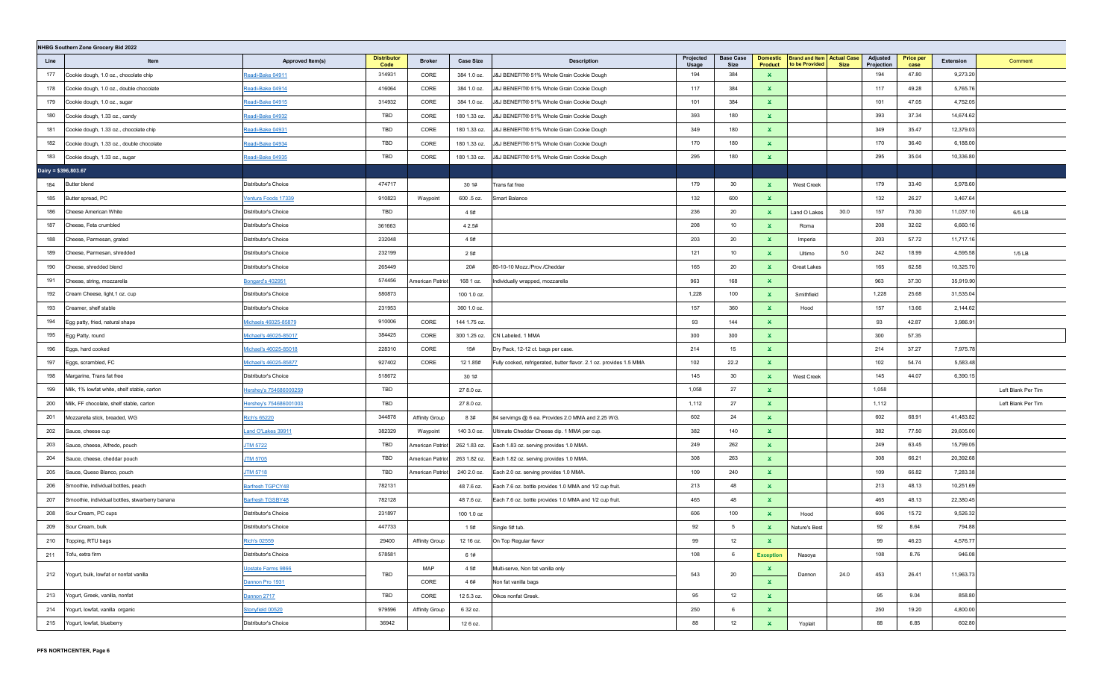|      | NHBG Southern Zone Grocery Bid 2022             |                              |                            |                       |                  |                                                                     |                    |                                 |                                   |                                                     |             |                        |                          |           |                    |
|------|-------------------------------------------------|------------------------------|----------------------------|-----------------------|------------------|---------------------------------------------------------------------|--------------------|---------------------------------|-----------------------------------|-----------------------------------------------------|-------------|------------------------|--------------------------|-----------|--------------------|
| Line | Item                                            | Approved Item(s)             | <b>Distributor</b><br>Code | <b>Broker</b>         | <b>Case Size</b> | <b>Description</b>                                                  | Projected<br>Usage | <b>Base Case</b><br><b>Size</b> | <b>Domestic</b><br><b>Product</b> | <b>Brand and Item Actual Case</b><br>to be Provided | <b>Size</b> | Adjusted<br>Projection | <b>Price per</b><br>case | Extension | Comment            |
| 177  | Cookie dough, 1.0 oz., chocolate chip           | Readi-Bake 04911             | 314931                     | CORE                  | 384 1.0 oz.      | J&J BENEFIT® 51% Whole Grain Cookie Dough                           | 194                | 384                             | $\mathbf x$                       |                                                     |             | 194                    | 47.80                    | 9,273.20  |                    |
| 178  | Cookie dough, 1.0 oz., double chocolate         | Readi-Bake 04914             | 416064                     | CORE                  | 384 1.0 oz.      | J&J BENEFIT® 51% Whole Grain Cookie Dough                           | 117                | 384                             | $\mathbf x$                       |                                                     |             | 117                    | 49.28                    | 5,765.76  |                    |
| 179  | Cookie dough, 1.0 oz., sugar                    | Readi-Bake 04915             | 314932                     | CORE                  | 384 1.0 oz.      | J&J BENEFIT® 51% Whole Grain Cookie Dough                           | 101                | 384                             | $\mathbf x$                       |                                                     |             | 101                    | 47.05                    | 4,752.05  |                    |
| 180  | Cookie dough, 1.33 oz., candy                   | Readi-Bake 04932             | TBD                        | CORE                  | 180 1.33 oz.     | J&J BENEFIT® 51% Whole Grain Cookie Dough                           | 393                | 180                             | $\mathbf x$                       |                                                     |             | 393                    | 37.34                    | 14,674.62 |                    |
| 181  | Cookie dough, 1.33 oz., chocolate chip          | Readi-Bake 04931             | TBD                        | CORE                  | 180 1.33 oz.     | J&J BENEFIT® 51% Whole Grain Cookie Dough                           | 349                | 180                             | $\pmb{\times}$                    |                                                     |             | 349                    | 35.47                    | 12,379.03 |                    |
| 182  | Cookie dough, 1.33 oz., double chocolate        | Readi-Bake 04934             | TBD                        | CORE                  | 180 1.33 oz.     | J&J BENEFIT® 51% Whole Grain Cookie Dough                           | 170                | 180                             | $\mathbf x$                       |                                                     |             | 170                    | 36.40                    | 6,188.00  |                    |
| 183  | Cookie dough, 1.33 oz., sugar                   | Readi-Bake 04935             | TBD                        | CORE                  | 180 1.33 oz.     | J&J BENEFIT® 51% Whole Grain Cookie Dough                           | 295                | 180                             | $\mathbf x$                       |                                                     |             | 295                    | 35.04                    | 10,336.80 |                    |
|      | Dairy = \$396,803.67                            |                              |                            |                       |                  |                                                                     |                    |                                 |                                   |                                                     |             |                        |                          |           |                    |
| 184  | <b>Butter blend</b>                             | Distributor's Choice         | 474717                     |                       | 30 1#            | Trans fat free                                                      | 179                | 30                              | $\mathbf x$                       | West Creek                                          |             | 179                    | 33.40                    | 5,978.60  |                    |
| 185  | Butter spread, PC                               | /entura Foods 17339          | 910823                     | Waypoint              | 600 .5 oz.       | Smart Balance                                                       | 132                | 600                             | $\mathbf{x}$                      |                                                     |             | 132                    | 26.27                    | 3,467.64  |                    |
| 186  | Cheese American White                           | Distributor's Choice         | TBD                        |                       | 4 5#             |                                                                     | 236                | 20                              | $\mathbf{x}$                      | Land O Lakes                                        | 30.0        | 157                    | 70.30                    | 11,037.10 | 6/5 LB             |
| 187  | Cheese, Feta crumbled                           | Distributor's Choice         | 361663                     |                       | 4 2.5#           |                                                                     | 208                | 10                              | ×.                                | Roma                                                |             | 208                    | 32.02                    | 6,660.16  |                    |
| 188  | Cheese, Parmesan, grated                        | Distributor's Choice         | 232048                     |                       | 4 5#             |                                                                     | 203                | 20                              | $\mathbf{x}$                      | Imperia                                             |             | 203                    | 57.72                    | 11,717.16 |                    |
| 189  | Cheese, Parmesan, shredded                      | Distributor's Choice         | 232199                     |                       | 25#              |                                                                     | 121                | 10                              | $\mathbf{x}$                      | Ultimo                                              | 5.0         | 242                    | 18.99                    | 4,595.58  | $1/5$ LB           |
| 190  | Cheese, shredded blend                          | Distributor's Choice         | 265449                     |                       | 20#              | 80-10-10 Mozz./Prov./Cheddar                                        | 165                | 20                              | $\mathbf{x}$                      | Great Lakes                                         |             | 165                    | 62.58                    | 10,325.70 |                    |
| 191  | Cheese, string, mozzarella                      | <b>Bongard's 402951</b>      | 574456                     | American Patriot      | 168 1 oz.        | ndividually wrapped, mozzarella                                     | 963                | 168                             | $\mathbf{x}$                      |                                                     |             | 963                    | 37.30                    | 35,919.90 |                    |
| 192  | Cream Cheese, light, 1 oz. cup                  | Distributor's Choice         | 580873                     |                       | 100 1.0 oz.      |                                                                     | 1,228              | 100                             | $\mathbf{x}$                      | Smithfield                                          |             | 1,228                  | 25.68                    | 31,535.04 |                    |
| 193  | Creamer, shelf stable                           | Distributor's Choice         | 231953                     |                       | 360 1.0 oz.      |                                                                     | 157                | 360                             | $\mathbf{x}$                      | Hood                                                |             | 157                    | 13.66                    | 2,144.62  |                    |
| 194  | Egg patty, fried, natural shape                 | Michaels 46025-85879         | 910006                     | CORE                  | 144 1.75 oz.     |                                                                     | 93                 | 144                             | $\mathbf{x}$                      |                                                     |             | 93                     | 42.87                    | 3,986.91  |                    |
| 195  | Egg Patty, round                                | Michael's 46025-85017        | 384425                     | CORE                  | 300 1.25 oz.     | CN Labeled, 1 MMA                                                   | 300                | 300                             | $\mathbf x$                       |                                                     |             | 300                    | 57.35                    |           |                    |
| 196  | Eggs, hard cooked                               | <u>Michael's 46025-85018</u> | 228310                     | CORE                  | 15#              | Dry Pack, 12-12 ct. bags per case.                                  | 214                | 15                              | ×.                                |                                                     |             | 214                    | 37.27                    | 7,975.78  |                    |
| 197  | Eggs, scrambled, FC                             | Michael's 46025-85877        | 927402                     | CORE                  | 12 1.85#         | Fully cooked, refrigerated, butter flavor. 2.1 oz. provides 1.5 MMA | 102                | 22.2                            | $\mathbf{x}$                      |                                                     |             | 102                    | 54.74                    | 5,583.48  |                    |
| 198  | Margarine, Trans fat free                       | Distributor's Choice         | 518672                     |                       | 30 1#            |                                                                     | 145                | 30                              | $\mathbf x$                       | West Creek                                          |             | 145                    | 44.07                    | 6,390.15  |                    |
| 199  | Milk, 1% lowfat white, shelf stable, carton     | lershey's 754686000259       | TBD                        |                       | 27 8.0 oz.       |                                                                     | 1,058              | 27                              | $\mathbf x$                       |                                                     |             | 1,058                  |                          |           | Left Blank Per Tim |
| 200  | Milk, FF chocolate, shelf stable, carton        | lershey's 754686001003       | TBD                        |                       | 27 8.0 oz.       |                                                                     | 1,112              | 27                              | $\mathbf x$                       |                                                     |             | 1,112                  |                          |           | Left Blank Per Tim |
| 201  | Mozzarella stick, breaded, WG                   | Rich's 65220                 | 344878                     | Affinity Group        | 8 3#             | 84 servimgs @ 6 ea. Provides 2.0 MMA and 2.25 WG.                   | 602                | 24                              | $\mathbf x$                       |                                                     |             | 602                    | 68.91                    | 41,483.82 |                    |
| 202  | Sauce, cheese cup                               | and O'Lakes 39911            | 382329                     | Waypoint              | 140 3.0 oz.      | Ultimate Cheddar Cheese dip. 1 MMA per cup.                         | 382                | 140                             | $\mathbf x$                       |                                                     |             | 382                    | 77.50                    | 29,605.00 |                    |
| 203  | Sauce, cheese, Alfredo, pouch                   | <b>JTM 5722</b>              | TBD                        | American Patriot      | 262 1.83 oz.     | Each 1.83 oz. serving provides 1.0 MMA.                             | 249                | 262                             | $\mathbf{x}$                      |                                                     |             | 249                    | 63.45                    | 15,799.05 |                    |
| 204  | Sauce, cheese, cheddar pouch                    | <b>JTM 5705</b>              | TBD                        | American Patriot      | 263 1.82 oz.     | Each 1.82 oz. serving provides 1.0 MMA.                             | 308                | 263                             | $\mathbf{x}$                      |                                                     |             | 308                    | 66.21                    | 20,392.68 |                    |
| 205  | Sauce, Queso Blanco, pouch                      | <b>TM 5718</b>               | TBD                        | American Patriot      | 240 2.0 oz.      | Each 2.0 oz. serving provides 1.0 MMA.                              | 109                | 240                             | $\mathbf{x}$                      |                                                     |             | 109                    | 66.82                    | 7,283.38  |                    |
| 206  | Smoothie, individual bottles, peach             | Barfresh TGPCY48             | 782131                     |                       | 48 7.6 oz.       | Each 7.6 oz. bottle provides 1.0 MMA and 1/2 cup fruit.             | 213                | 48                              | $\mathbf{x}$                      |                                                     |             | 213                    | 48.13                    | 10,251.69 |                    |
| 207  | Smoothie, individual bottles, stwarberry banana | Barfresh TGSBY48             | 782128                     |                       | 48 7.6 oz.       | Each 7.6 oz. bottle provides 1.0 MMA and 1/2 cup fruit.             | 465                | 48                              | $\mathbf{x}$                      |                                                     |             | 465                    | 48.13                    | 22,380.45 |                    |
| 208  | Sour Cream, PC cups                             | Distributor's Choice         | 231897                     |                       | 100 1.0 oz       |                                                                     | 606                | 100                             | $\mathbf{x}$                      | Hood                                                |             | 606                    | 15.72                    | 9,526.32  |                    |
| 209  | Sour Cream, bulk                                | Distributor's Choice         | 447733                     |                       | 1 5#             | Single 5# tub.                                                      | 92                 | 5                               | $\mathbf{x}$                      | Nature's Best                                       |             | 92                     | 8.64                     | 794.88    |                    |
| 210  | Topping, RTU bags                               | Rich's 02559                 | 29400                      | <b>Affinity Group</b> | 12 16 oz.        | On Top Regular flavor                                               | 99                 | 12                              | $\mathbf x$                       |                                                     |             | 99                     | 46.23                    | 4,576.77  |                    |
| 211  | Tofu, extra firm                                | Distributor's Choice         | 578581                     |                       | 6 1#             |                                                                     | 108                | 6                               | <b>Exception</b>                  | Nasoya                                              |             | 108                    | 8.76                     | 946.08    |                    |
|      |                                                 | Upstate Farms 9866           |                            | MAP                   | 4 5#             | Multi-serve, Non fat vanilla only                                   |                    |                                 | ×.                                |                                                     |             |                        |                          |           |                    |
|      | 212 Yogurt, bulk, lowfat or nonfat vanilla      | Dannon Pro 1931              | TBD                        | CORE                  | 4 6#             | Non fat vanilla bags                                                | 543                | 20                              | $\mathbf{x}$                      | Dannon                                              | 24.0        | 453                    | 26.41                    | 11,963.73 |                    |
| 213  | Yogurt, Greek, vanilla, nonfat                  | Dannon 2717                  | TBD                        | CORE                  | 12 5.3 oz.       | Oikos nonfat Greek.                                                 | 95                 | 12                              | $\mathbf{x}$                      |                                                     |             | 95                     | 9.04                     | 858.80    |                    |
| 214  | Yogurt, lowfat, vanilla organic                 | Stonyfield 00520             | 979596                     | Affinity Group        | 6 32 oz.         |                                                                     | 250                | $6\phantom{.}6$                 | $\mathbf{x}$                      |                                                     |             | 250                    | 19.20                    | 4,800.00  |                    |
| 215  | Yogurt, lowfat, blueberry                       | Distributor's Choice         | 36942                      |                       | 12 6 oz.         |                                                                     | 88                 | 12                              | $\mathbf{x}$                      | Yoplait                                             |             | 88                     | 6.85                     | 602.80    |                    |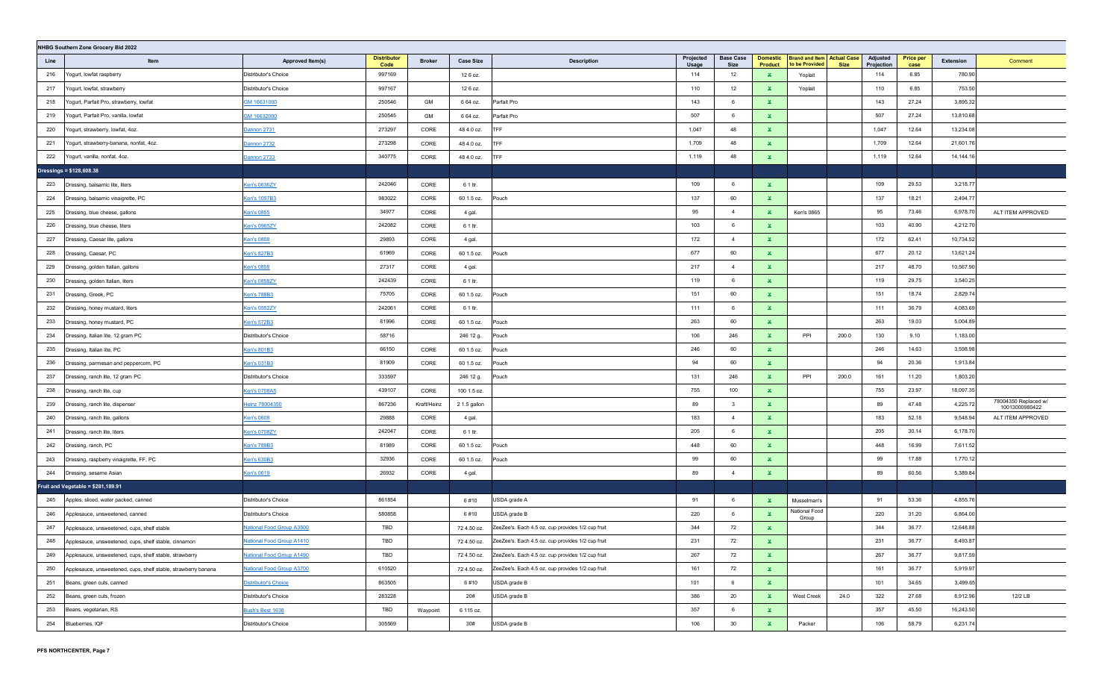|      | NHBG Southern Zone Grocery Bid 2022                            |                                     |                            |               |                  |                                                   |                    |                          |                                   |                                                     |             |                        |                          |           |                                        |
|------|----------------------------------------------------------------|-------------------------------------|----------------------------|---------------|------------------|---------------------------------------------------|--------------------|--------------------------|-----------------------------------|-----------------------------------------------------|-------------|------------------------|--------------------------|-----------|----------------------------------------|
| Line | Item                                                           | Approved Item(s)                    | <b>Distributor</b><br>Code | <b>Broker</b> | <b>Case Size</b> | <b>Description</b>                                | Projected<br>Usage | <b>Base Case</b><br>Size | <b>Domestic</b><br><b>Product</b> | <b>Brand and Item Actual Case</b><br>to be Provided | <b>Size</b> | Adjusted<br>Projection | <b>Price per</b><br>case | Extension | Comment                                |
| 216  | Yogurt, lowfat raspberry                                       | Distributor's Choice                | 997169                     |               | 12 6 oz.         |                                                   | 114                | 12                       | ×.                                | Yoplait                                             |             | 114                    | 6.85                     | 780.90    |                                        |
| 217  | Yogurt, lowfat, strawberry                                     | Distributor's Choice                | 997167                     |               | 12 6 oz.         |                                                   | 110                | 12                       | $\mathbf{x}$                      | Yoplait                                             |             | 110                    | 6.85                     | 753.50    |                                        |
| 218  | Yogurt, Parfait Pro, strawberry, lowfat                        | GM 16631000                         | 250546                     | GM            | 6 64 oz.         | Parfait Pro                                       | 143                | 6                        | ×.                                |                                                     |             | 143                    | 27.24                    | 3,895.32  |                                        |
| 219  | Yogurt, Parfait Pro, vanilla, lowfat                           | GM 16632000                         | 250545                     | GM            | 6 64 oz.         | Parfait Pro                                       | 507                | 6                        | ×.                                |                                                     |             | 507                    | 27.24                    | 13,810.68 |                                        |
| 220  | Yogurt, strawberry, lowfat, 4oz.                               | Dannon 2731                         | 273297                     | CORE          | 48 4.0 oz.       | <b>TFF</b>                                        | 1,047              | 48                       | ×.                                |                                                     |             | 1,047                  | 12.64                    | 13,234.08 |                                        |
| 221  | Yogurt, strawberry-banana, nonfat, 4oz.                        | Dannon 2732                         | 273298                     | CORE          | 48 4.0 oz.       | <b>TFF</b>                                        | 1,709              | 48                       | ×.                                |                                                     |             | 1,709                  | 12.64                    | 21,601.76 |                                        |
| 222  | Yogurt, vanilla, nonfat, 4oz.                                  | Dannon 2733                         | 340775                     | CORE          | 48 4.0 oz.       | TFF                                               | 1,119              | 48                       | ×.                                |                                                     |             | 1,119                  | 12.64                    | 14,144.16 |                                        |
|      | Dressings = \$128,608.38                                       |                                     |                            |               |                  |                                                   |                    |                          |                                   |                                                     |             |                        |                          |           |                                        |
| 223  | Dressing, balsamic lite, liters                                | Ken's 0636ZY                        | 242046                     | CORE          | 6 1 ltr.         |                                                   | 109                | 6                        | $\mathbf{x}$                      |                                                     |             | 109                    | 29.53                    | 3,218.77  |                                        |
| 224  | Dressing, balsamic vinaigrette, PC                             | Ken's 1057B3                        | 983022                     | CORE          | 60 1.5 oz.       | Pouch                                             | 137                | 60                       | $\mathbf{x}$                      |                                                     |             | 137                    | 18.21                    | 2,494.77  |                                        |
| 225  | Dressing, blue cheese, gallons                                 | <u>Ken's 0855</u>                   | 34977                      | CORE          | 4 gal.           |                                                   | 95                 | $\overline{4}$           | $\mathbf{x}$                      | Ken's 0865                                          |             | 95                     | 73.46                    | 6,978.70  | ALT ITEM APPROVED                      |
| 226  | Dressing, blue cheese, liters                                  | Ken's 0965ZY                        | 242082                     | CORE          | 6 1 ltr.         |                                                   | 103                | 6                        | $\mathbf{x}$                      |                                                     |             | 103                    | 40.90                    | 4,212.70  |                                        |
| 227  | Dressing, Caesar lite, gallons                                 | <b>Ken's 0808</b>                   | 29893                      | CORE          | 4 gal.           |                                                   | 172                | $\overline{4}$           | $\mathbf{x}$                      |                                                     |             | 172                    | 62.41                    | 10,734.52 |                                        |
| 228  | Dressing, Caesar, PC                                           | <u><en's 827b3<="" u=""></en's></u> | 61969                      | CORE          | 60 1.5 oz.       | Pouch                                             | 677                | 60                       | $\mathbf{x}$                      |                                                     |             | 677                    | 20.12                    | 13,621.24 |                                        |
| 229  | Dressing, golden Italian, gallons                              | <u> Ken's 0858</u>                  | 27317                      | CORE          | 4 gal.           |                                                   | 217                | $\overline{4}$           | $\mathbf{x}$                      |                                                     |             | 217                    | 48.70                    | 10,567.90 |                                        |
| 230  | Dressing, golden Italian, liters                               | <b>Ken's 0858ZY</b>                 | 242439                     | CORE          | 6 1 ltr.         |                                                   | 119                | 6                        | $\mathbf{x}$                      |                                                     |             | 119                    | 29.75                    | 3,540.25  |                                        |
| 231  | Dressing, Greek, PC                                            | <u><b>Cen's 788B3</b></u>           | 75705                      | CORE          | 60 1.5 oz.       | Pouch                                             | 151                | 60                       | $\mathbf{x}$                      |                                                     |             | 151                    | 18.74                    | 2,829.74  |                                        |
| 232  | Dressing, honey mustard, liters                                | Ken's 0552ZY                        | 242061                     | CORE          | 6 1 ltr.         |                                                   | 111                | 6                        | $\mathbf{x}$                      |                                                     |             | 111                    | 36.79                    | 4,083.69  |                                        |
| 233  | Dressing, honey mustard, PC                                    | Ken's 572B3                         | 81996                      | CORE          | 60 1.5 oz.       | Pouch                                             | 263                | 60                       | $\mathbf{x}$                      |                                                     |             | 263                    | 19.03                    | 5,004.89  |                                        |
| 234  | Dressing, Italian lite, 12 gram PC                             | Distributor's Choice                | 58716                      |               | 246 12 g.        | Pouch                                             | 106                | 246                      | $\mathbf{x}$                      | PPI                                                 | 200.0       | 130                    | 9.10                     | 1,183.00  |                                        |
| 235  | Dressing, Italian lite, PC                                     | Cen's 801B3                         | 66150                      | CORE          | 60 1.5 oz.       | Pouch                                             | 246                | 60                       | ×.                                |                                                     |             | 246                    | 14.63                    | 3,598.98  |                                        |
| 236  | Dressing, parmesan and peppercorn, PC                          | Ken's 031B3                         | 81909                      | CORE          | 60 1.5 oz.       | Pouch                                             | 94                 | 60                       | ×.                                |                                                     |             | 94                     | 20.36                    | 1,913.84  |                                        |
| 237  | Dressing, ranch lite, 12 gram PC                               | Distributor's Choice                | 333597                     |               | 246 12 g.        | Pouch                                             | 131                | 246                      | $\mathbf{x}$                      | PPI                                                 | 200.0       | 161                    | 11.20                    | 1,803.20  |                                        |
| 238  | Dressing, ranch lite, cup                                      | Ken's 0708A5                        | 439107                     | CORE          | 100 1.5 oz.      |                                                   | 755                | 100                      | $\mathbf{x}$                      |                                                     |             | 755                    | 23.97                    | 18,097.35 |                                        |
| 239  | Dressing, ranch lite, dispenser                                | Heinz 78004350                      | 867236                     | Kraft/Heinz   | 2 1.5 gallon     |                                                   | 89                 | $\overline{\mathbf{3}}$  | $\mathbf{x}$                      |                                                     |             | 89                     | 47.48                    | 4,225.72  | 78004350 Replaced w/<br>10013000980422 |
| 240  | Dressing, ranch lite, gallons                                  | <u>Ken's 0608</u>                   | 29888                      | CORE          | 4 gal.           |                                                   | 183                | $\overline{4}$           | $\mathbf{x}$                      |                                                     |             | 183                    | 52.18                    | 9,548.94  | ALT ITEM APPROVED                      |
| 241  | Dressing, ranch lite, liters                                   | Ken's 0708ZY                        | 242047                     | CORE          | 6 1 ltr.         |                                                   | 205                | 6                        | ×.                                |                                                     |             | 205                    | 30.14                    | 6,178.70  |                                        |
| 242  | Dressing, ranch, PC                                            | Ken's 789B3                         | 81989                      | CORE          | 60 1.5 oz.       | Pouch                                             | 448                | 60                       | ×.                                |                                                     |             | 448                    | 16.99                    | 7,611.52  |                                        |
| 243  | Dressing, raspberry vinaigrette, FF, PC                        | Ken's 630B3                         | 32936                      | CORE          | 60 1.5 oz.       | Pouch                                             | 99                 | 60                       | ×.                                |                                                     |             | 99                     | 17.88                    | 1,770.12  |                                        |
| 244  | Dressing, sesame Asian                                         | <u><en's 0619<="" u=""></en's></u>  | 26932                      | CORE          | 4 gal.           |                                                   | 89                 | $\overline{4}$           | $\mathbf{x}$                      |                                                     |             | 89                     | 60.56                    | 5,389.84  |                                        |
|      | Fruit and Vegetable = \$281,189.91                             |                                     |                            |               |                  |                                                   |                    |                          |                                   |                                                     |             |                        |                          |           |                                        |
| 245  | Apples, sliced, water packed, canned                           | Distributor's Choice                | 861854                     |               | 6#10             | USDA grade A                                      | 91                 | 6                        | ×.                                | Musselman's                                         |             | 91                     | 53.36                    | 4,855.76  |                                        |
| 246  | Applesauce, unsweetened, canned                                | Distributor's Choice                | 580858                     |               | 6#10             | USDA grade B                                      | 220                | 6                        | ×.                                | National Food<br>Group                              |             | 220                    | 31.20                    | 6,864.00  |                                        |
| 247  | Applesauce, unsweetened, cups, shelf stable                    | <b>National Food Group A3500</b>    | TBD                        |               | 72 4.50 oz.      | ZeeZee's. Each 4.5 oz. cup provides 1/2 cup fruit | 344                | 72                       | $\mathbf{x}$                      |                                                     |             | 344                    | 36.77                    | 12,648.88 |                                        |
| 248  | Applesauce, unsweetened, cups, shelf stable, cinnamon          | <b>National Food Group A1410</b>    | TBD                        |               | 72 4.50 oz.      | ZeeZee's. Each 4.5 oz. cup provides 1/2 cup fruit | 231                | 72                       | X.                                |                                                     |             | 231                    | 36.77                    | 8,493.87  |                                        |
| 249  | Applesauce, unsweetened, cups, shelf stable, strawberry        | National Food Group A1490           | TBD                        |               | 72 4.50 oz.      | ZeeZee's. Each 4.5 oz. cup provides 1/2 cup fruit | 267                | 72                       | $\mathbf{x}$                      |                                                     |             | 267                    | 36.77                    | 9,817.59  |                                        |
| 250  | Applesauce, unsweetened, cups, shelf stable, strawberry banana | National Food Group A3700           | 610520                     |               | 72 4.50 oz.      | ZeeZee's. Each 4.5 oz. cup provides 1/2 cup fruit | 161                | 72                       | $\mathbf{x}$                      |                                                     |             | 161                    | 36.77                    | 5,919.97  |                                        |
| 251  | Beans, green cuts, canned                                      | Distributor's Choice                | 863505                     |               | 6#10             | USDA grade B                                      | 101                | 6                        | $\mathbf{x}$                      |                                                     |             | 101                    | 34.65                    | 3,499.65  |                                        |
| 252  | Beans, green cuts, frozen                                      | Distributor's Choice                | 283228                     |               | 20#              | USDA grade B                                      | 386                | 20                       | $\mathbf{x}$                      | West Creek                                          | 24.0        | 322                    | 27.68                    | 8,912.96  | 12/2 LB                                |
| 253  | Beans, vegetarian, RS                                          | Bush's Best 1638                    | TBD                        | Waypoint      | 6 115 oz.        |                                                   | 357                | 6                        | $\mathbf{x}$                      |                                                     |             | 357                    | 45.50                    | 16,243.50 |                                        |
| 254  | Blueberries, IQF                                               | Distributor's Choice                | 305569                     |               | 30#              | USDA grade B                                      | 106                | 30                       | $\mathbf{x}$                      | Packer                                              |             | 106                    | 58.79                    | 6,231.74  |                                        |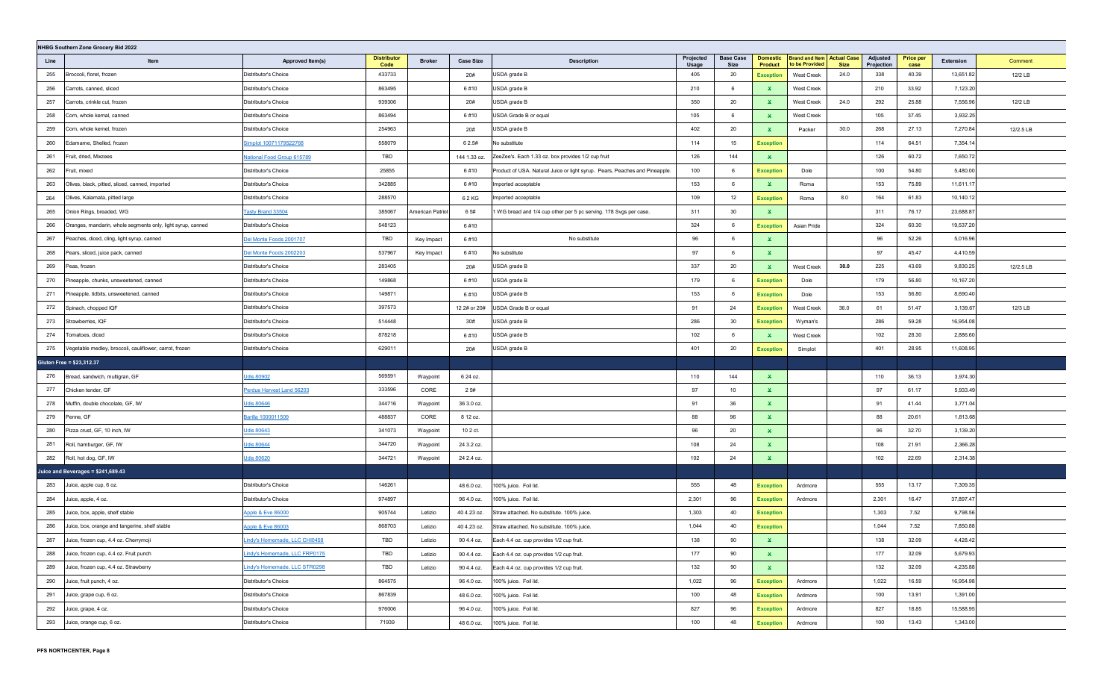|      | NHBG Southern Zone Grocery Bid 2022                         |                                |                            |                  |                  |                                                                             |                    |                          |                                   |                                                     |             |                        |                          |           |           |
|------|-------------------------------------------------------------|--------------------------------|----------------------------|------------------|------------------|-----------------------------------------------------------------------------|--------------------|--------------------------|-----------------------------------|-----------------------------------------------------|-------------|------------------------|--------------------------|-----------|-----------|
| Line | Item                                                        | Approved Item(s)               | <b>Distributor</b><br>Code | <b>Broker</b>    | <b>Case Size</b> | <b>Description</b>                                                          | Projected<br>Usage | <b>Base Case</b><br>Size | <b>Domestic</b><br><b>Product</b> | <b>Brand and Item Actual Case</b><br>to be Provided | <b>Size</b> | Adjusted<br>Projection | <b>Price per</b><br>case | Extension | Comment   |
| 255  | Broccoli, floret, frozen                                    | Distributor's Choice           | 433733                     |                  | 20#              | USDA grade B                                                                | 405                | 20                       | <b>Exception</b>                  | West Creek                                          | 24.0        | 338                    | 40.39                    | 13,651.82 | 12/2 LB   |
| 256  | Carrots, canned, sliced                                     | Distributor's Choice           | 863495                     |                  | 6#10             | USDA grade B                                                                | 210                | 6                        | ×.                                | <b>West Creek</b>                                   |             | 210                    | 33.92                    | 7,123.20  |           |
| 257  | Carrots, crinkle cut, frozen                                | Distributor's Choice           | 939306                     |                  | 20#              | USDA grade B                                                                | 350                | 20                       | ×.                                | <b>West Creek</b>                                   | 24.0        | 292                    | 25.88                    | 7,556.96  | 12/2 LB   |
| 258  | Corn, whole kernal, canned                                  | Distributor's Choice           | 863494                     |                  | 6#10             | USDA Grade B or equal                                                       | 105                | 6                        | ×.                                | <b>West Creek</b>                                   |             | 105                    | 37.45                    | 3,932.25  |           |
| 259  | Corn, whole kernel, frozen                                  | Distributor's Choice           | 254963                     |                  | 20#              | USDA grade B                                                                | 402                | 20                       | ×.                                | Packer                                              | 30.0        | 268                    | 27.13                    | 7,270.84  | 12/2.5 LB |
| 260  | Edamame, Shelled, frozen                                    | Simplot 10071179522768         | 558079                     |                  | 6 2.5#           | No substitute                                                               | 114                | 15                       | <b>Exception</b>                  |                                                     |             | 114                    | 64.51                    | 7,354.14  |           |
| 261  | Fruit, dried, Mixzees                                       | National Food Group 615789     | TBD                        |                  | 144 1.33 oz.     | ZeeZee's. Each 1.33 oz. box provides 1/2 cup fruit                          | 126                | 144                      | $\mathbf{x}$                      |                                                     |             | 126                    | 60.72                    | 7,650.72  |           |
| 262  | Fruit, mixed                                                | Distributor's Choice           | 25855                      |                  | 6#10             | Product of USA. Natural Juice or light syrup. Pears, Peaches and Pineapple. | 100                | 6                        | <b>Exception</b>                  | Dole                                                |             | 100                    | 54.80                    | 5,480.00  |           |
| 263  | Olives, black, pitted, sliced, canned, imported             | Distributor's Choice           | 342885                     |                  | 6#10             | Imported acceptable                                                         | 153                | 6                        | $\mathbf{x}$                      | Roma                                                |             | 153                    | 75.89                    | 11,611.17 |           |
| 264  | Olives, Kalamata, pitted large                              | Distributor's Choice           | 288570                     |                  | 62 KG            | Imported acceptable                                                         | 109                | 12                       | <b>Exception</b>                  | Roma                                                | 8.0         | 164                    | 61.83                    | 10,140.12 |           |
| 265  | Onion Rings, breaded, WG                                    | Tasty Brand 33504              | 385067                     | American Patriot | 6 5#             | 1 WG bread and 1/4 cup other per 5 pc serving. 178 Svgs per case.           | 311                | 30                       | ×.                                |                                                     |             | 311                    | 76.17                    | 23,688.87 |           |
| 266  | Oranges, mandarin, whole segments only, light syrup, canned | Distributor's Choice           | 548123                     |                  | 6#10             |                                                                             | 324                | 6                        | <b>Exception</b>                  | Asian Pride                                         |             | 324                    | 60.30                    | 19,537.20 |           |
| 267  | Peaches, diced, cling, light syrup, canned                  | Del Monte Foods 2001707        | TBD                        | Key Impact       | 6#10             | No substitute                                                               | 96                 | 6                        | ×.                                |                                                     |             | 96                     | 52.26                    | 5,016.96  |           |
| 268  | Pears, sliced, juice pack, canned                           | <u>Del Monte Foods 2002203</u> | 537967                     | Key Impact       | 6#10             | No substitute                                                               | 97                 | 6                        | $\mathbf{x}$                      |                                                     |             | 97                     | 45.47                    | 4,410.59  |           |
| 269  | Peas, frozen                                                | Distributor's Choice           | 283405                     |                  | 20#              | USDA grade B                                                                | 337                | 20                       | ×.                                | West Creek                                          | 30.0        | 225                    | 43.69                    | 9,830.25  | 12/2.5 LB |
| 270  | Pineapple, chunks, unsweetened, canned                      | Distributor's Choice           | 149868                     |                  | 6#10             | USDA grade B                                                                | 179                | 6                        | <b>Exception</b>                  | Dole                                                |             | 179                    | 56.80                    | 10,167.20 |           |
| 271  | Pineapple, tidbits, unsweetened, canned                     | Distributor's Choice           | 149871                     |                  | 6#10             | USDA grade B                                                                | 153                | 6                        | <b>Exception</b>                  | Dole                                                |             | 153                    | 56.80                    | 8,690.40  |           |
| 272  | Spinach, chopped IQF                                        | Distributor's Choice           | 397573                     |                  | 12 2# or 20#     | USDA Grade B or equal                                                       | 91                 | 24                       | <b>Exception</b>                  | West Creek                                          | 36.0        | 61                     | 51.47                    | 3,139.67  | 12/3 LB   |
| 273  | Strawberries, IQF                                           | Distributor's Choice           | 514448                     |                  | 30#              | USDA grade B                                                                | 286                | 30                       | <b>Exception</b>                  | Wyman's                                             |             | 286                    | 59.28                    | 16,954.08 |           |
| 274  | Tomatoes, diced                                             | Distributor's Choice           | 878218                     |                  | 6#10             | USDA grade B                                                                | 102                | 6                        | ×.                                | West Creek                                          |             | 102                    | 28.30                    | 2,886.60  |           |
| 275  | /egetable medley, broccoli, cauliflower, carrot, frozen     | Distributor's Choice           | 629011                     |                  | 20#              | USDA grade B                                                                | 401                | 20                       | <b>Exception</b>                  | Simplot                                             |             | 401                    | 28.95                    | 11,608.95 |           |
|      | Gluten Free = \$23,312.37                                   |                                |                            |                  |                  |                                                                             |                    |                          |                                   |                                                     |             |                        |                          |           |           |
| 276  | Bread, sandwich, multigran, GF                              | <b>Udis 80902</b>              | 569591                     | Waypoint         | 6 24 oz.         |                                                                             | 110                | 144                      | $\mathbf{x}$                      |                                                     |             | 110                    | 36.13                    | 3,974.30  |           |
| 277  | Chicken tender, GF                                          | Perdue Harvest Land 56203      | 333596                     | CORE             | 25#              |                                                                             | 97                 | 10                       | ×.                                |                                                     |             | 97                     | 61.17                    | 5,933.49  |           |
| 278  | Muffin, double chocolate, GF, IW                            | Udis 80646                     | 344716                     | Waypoint         | 36 3.0 oz.       |                                                                             | 91                 | 36                       | $\mathbf{x}$                      |                                                     |             | 91                     | 41.44                    | 3,771.04  |           |
| 279  | Penne, GF                                                   | Barilla 1000011509             | 488837                     | CORE             | 8 12 oz.         |                                                                             | 88                 | 96                       | $\mathbf{x}$                      |                                                     |             | 88                     | 20.61                    | 1,813.68  |           |
| 280  | Pizza crust, GF, 10 inch, IW                                | Udis 80643                     | 341073                     | Waypoint         | 10 2 ct.         |                                                                             | 96                 | 20                       | $\mathbf{x}$                      |                                                     |             | 96                     | 32.70                    | 3,139.20  |           |
| 281  | Roll, hamburger, GF, IW                                     | Udis 80644                     | 344720                     | Waypoint         | 24 3.2 oz.       |                                                                             | 108                | 24                       | $\mathbf{x}$                      |                                                     |             | 108                    | 21.91                    | 2,366.28  |           |
| 282  | Roll, hot dog, GF, IW                                       | Udis 80620                     | 344721                     | Waypoint         | 24 2.4 oz.       |                                                                             | 102                | 24                       | ×.                                |                                                     |             | 102                    | 22.69                    | 2,314.38  |           |
|      | Juice and Beverages = \$241,689.43                          |                                |                            |                  |                  |                                                                             |                    |                          |                                   |                                                     |             |                        |                          |           |           |
| 283  | Juice, apple cup, 6 oz.                                     | Distributor's Choice           | 146261                     |                  | 48 6.0 oz.       | 100% juice. Foil lid.                                                       | 555                | 48                       | <b>Exception</b>                  | Ardmore                                             |             | 555                    | 13.17                    | 7,309.35  |           |
| 284  | Juice, apple, 4 oz.                                         | Distributor's Choice           | 974897                     |                  | 96 4.0 oz.       | 100% juice. Foil lid.                                                       | 2,301              | 96                       | <b>Exception</b>                  | Ardmore                                             |             | 2,301                  | 16.47                    | 37,897.47 |           |
| 285  | Juice, box, apple, shelf stable                             | Apple & Eve 86000              | 905744                     | Letizio          | 40 4.23 oz.      | Straw attached. No substitute. 100% juice.                                  | 1,303              | 40                       | <b>Exception</b>                  |                                                     |             | 1,303                  | 7.52                     | 9,798.56  |           |
| 286  | Juice, box, orange and tangerine, shelf stable              | <u>Apple &amp; Eve 86003</u>   | 868703                     | Letizio          | 40 4.23 oz.      | Straw attached. No substitute. 100% juice.                                  | 1,044              | 40                       | <b>Exception</b>                  |                                                     |             | 1,044                  | 7.52                     | 7,850.88  |           |
| 287  | Juice, frozen cup, 4.4 oz. Cherrymoji                       | Indy's Homemade, LLC CHI0458   | TBD                        | Letizio          | 90 4.4 oz.       | Each 4.4 oz. cup provides 1/2 cup fruit.                                    | 138                | 90                       | X.                                |                                                     |             | 138                    | 32.09                    | 4,428.42  |           |
| 288  | Juice, frozen cup, 4.4 oz. Fruit punch                      | Lindy's Homemade, LLC FRP0175  | TBD                        | Letizio          | 90 4.4 oz.       | Each 4.4 oz. cup provides 1/2 cup fruit.                                    | 177                | 90                       | $\mathbf{x}$                      |                                                     |             | 177                    | 32.09                    | 5,679.93  |           |
| 289  | Juice, frozen cup, 4.4 oz. Strawberry                       | Lindy's Homemade, LLC STR0298  | TBD                        | Letizio          | 90 4.4 oz.       | Each 4.4 oz. cup provides 1/2 cup fruit.                                    | 132                | 90                       | $\mathbf{x}$                      |                                                     |             | 132                    | 32.09                    | 4,235.88  |           |
| 290  | Juice, fruit punch, 4 oz.                                   | Distributor's Choice           | 864575                     |                  | 96 4.0 oz.       | 100% juice. Foil lid.                                                       | 1,022              | 96                       | <b>Exception</b>                  | Ardmore                                             |             | 1,022                  | 16.59                    | 16,954.98 |           |
| 291  | Juice, grape cup, 6 oz.                                     | Distributor's Choice           | 867839                     |                  | 48 6.0 oz.       | 100% juice. Foil lid.                                                       | 100                | 48                       | <b>Exception</b>                  | Ardmore                                             |             | 100                    | 13.91                    | 1,391.00  |           |
| 292  | Juice, grape, 4 oz.                                         | Distributor's Choice           | 976006                     |                  | 96 4.0 oz.       | 100% juice. Foil lid.                                                       | 827                | 96                       | <b>Exception</b>                  | Ardmore                                             |             | 827                    | 18.85                    | 15,588.95 |           |
| 293  | Juice, orange cup, 6 oz.                                    | Distributor's Choice           | 71939                      |                  | 48 6.0 oz.       | 100% juice. Foil lid.                                                       | 100                | 48                       | <b>Exception</b>                  | Ardmore                                             |             | 100                    | 13.43                    | 1,343.00  |           |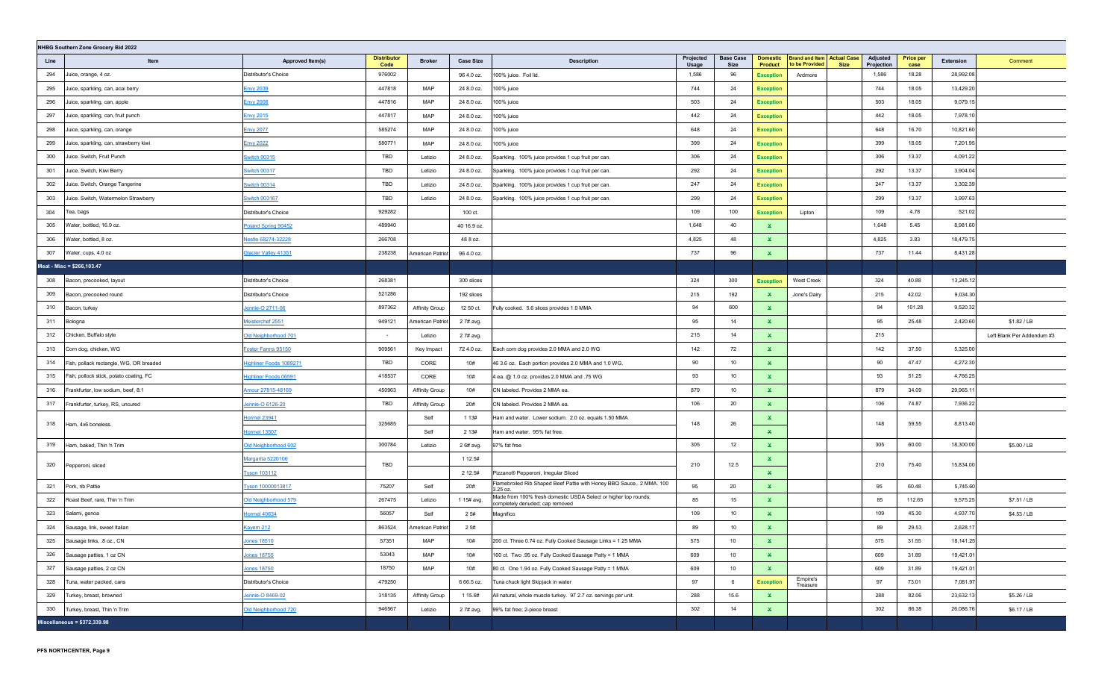|      | NHBG Southern Zone Grocery Bid 2022     |                             |                            |                       |                  |                                                                                                    |                    |                          |                                   |                                                     |             |                        |                          |           |                            |
|------|-----------------------------------------|-----------------------------|----------------------------|-----------------------|------------------|----------------------------------------------------------------------------------------------------|--------------------|--------------------------|-----------------------------------|-----------------------------------------------------|-------------|------------------------|--------------------------|-----------|----------------------------|
| Line | Item                                    | Approved Item(s)            | <b>Distributor</b><br>Code | <b>Broker</b>         | <b>Case Size</b> | <b>Description</b>                                                                                 | Projected<br>Usage | <b>Base Case</b><br>Size | <b>Domestic</b><br><b>Product</b> | <b>Brand and Item Actual Case</b><br>to be Provided | <b>Size</b> | Adjusted<br>Projection | <b>Price per</b><br>case | Extension | Comment                    |
| 294  | Juice, orange, 4 oz.                    | Distributor's Choice        | 976002                     |                       | 96 4.0 oz.       | 100% juice. Foil lid.                                                                              | 1,586              | 96                       | <b>Exception</b>                  | Ardmore                                             |             | 1,586                  | 18.28                    | 28,992.08 |                            |
| 295  | Juice, sparkling, can, acai berry       | <b>Envy 2039</b>            | 447818                     | MAP                   | 24 8.0 oz.       | 100% juice                                                                                         | 744                | 24                       | <b>Exception</b>                  |                                                     |             | 744                    | 18.05                    | 13,429.20 |                            |
| 296  | Juice, sparkling, can, apple            | <b>Envy 2008</b>            | 447816                     | MAP                   | 24 8.0 oz.       | 100% juice                                                                                         | 503                | 24                       | <b>Exception</b>                  |                                                     |             | 503                    | 18.05                    | 9,079.15  |                            |
| 297  | Juice, sparkling, can, fruit punch      | <b>Envy 2015</b>            | 447817                     | MAP                   | 24 8.0 oz.       | 100% juice                                                                                         | 442                | 24                       | <b>Exception</b>                  |                                                     |             | 442                    | 18.05                    | 7,978.10  |                            |
| 298  | Juice, sparkling, can, orange           | <b>Envy 2077</b>            | 585274                     | MAP                   | 24 8.0 oz.       | 100% juice                                                                                         | 648                | 24                       | <b>Exception</b>                  |                                                     |             | 648                    | 16.70                    | 10,821.60 |                            |
| 299  | Juice, sparkling, can, strawberry kiwi  | <b>Envy 2022</b>            | 580771                     | MAP                   | 24 8.0 oz.       | 100% juice                                                                                         | 399                | 24                       | <b>Exception</b>                  |                                                     |             | 399                    | 18.05                    | 7,201.95  |                            |
| 300  | Juice. Switch, Fruit Punch              | <b>Switch 00315</b>         | TBD                        | Letizio               | 24 8.0 oz.       | Sparkling. 100% juice provides 1 cup fruit per can.                                                | 306                | 24                       | <b>Exception</b>                  |                                                     |             | 306                    | 13.37                    | 4,091.22  |                            |
| 301  | Juice. Switch, Kiwi Berry               | <b>Switch 00317</b>         | TBD                        | Letizio               | 24 8.0 oz.       | Sparkling. 100% juice provides 1 cup fruit per can.                                                | 292                | 24                       | <b>Exception</b>                  |                                                     |             | 292                    | 13.37                    | 3,904.04  |                            |
| 302  | Juice. Switch, Orange Tangerine         | <b>Switch 00314</b>         | TBD                        | Letizio               | 24 8.0 oz.       | Sparkling. 100% juice provides 1 cup fruit per can.                                                | 247                | 24                       | <b>Exception</b>                  |                                                     |             | 247                    | 13.37                    | 3,302.39  |                            |
| 303  | Juice. Switch, Watermelon Strawberry    | Switch 003167               | TBD                        | Letizio               | 24 8.0 oz.       | Sparkling. 100% juice provides 1 cup fruit per can.                                                | 299                | 24                       | <b>Exception</b>                  |                                                     |             | 299                    | 13.37                    | 3,997.63  |                            |
| 304  | Tea, bags                               | Distributor's Choice        | 929282                     |                       | 100 ct.          |                                                                                                    | 109                | 100                      | <b>Exception</b>                  | Lipton                                              |             | 109                    | 4.78                     | 521.02    |                            |
| 305  | Water, bottled, 16.9 oz.                | Poland Spring 90452         | 489940                     |                       | 40 16.9 oz.      |                                                                                                    | 1,648              | 40                       | ×.                                |                                                     |             | 1,648                  | 5.45                     | 8,981.60  |                            |
| 306  | Water, bottled, 8 oz.                   | Vestle 68274-32228          | 266708                     |                       | 48 8 oz.         |                                                                                                    | 4,825              | 48                       | $\mathbf{x}$                      |                                                     |             | 4,825                  | 3.83                     | 18,479.75 |                            |
| 307  | Water, cups, 4.0 oz                     | <b>Glacier Valley 41351</b> | 238238                     | American Patriot      | 96 4.0 oz.       |                                                                                                    | 737                | 96                       | $\mathbf{x}$                      |                                                     |             | 737                    | 11.44                    | 8,431.28  |                            |
|      | Meat - Misc = \$266,103.47              |                             |                            |                       |                  |                                                                                                    |                    |                          |                                   |                                                     |             |                        |                          |           |                            |
| 308  | Bacon, precooked, layout                | Distributor's Choice        | 268381                     |                       | 300 slices       |                                                                                                    | 324                | 300                      | <b>Exception</b>                  | <b>West Creek</b>                                   |             | 324                    | 40.88                    | 13,245.12 |                            |
| 309  | Bacon, precooked round                  | Distributor's Choice        | 521286                     |                       | 192 slices       |                                                                                                    | 215                | 192                      | $\mathbf{x}$                      | Jone's Dairy                                        |             | 215                    | 42.02                    | 9,034.30  |                            |
| 310  | Bacon, turkey                           | Jennie-O 2711-06            | 897362                     | <b>Affinity Group</b> | 12 50 ct.        | Fully cooked. 5.6 slices provides 1.0 MMA                                                          | 94                 | 600                      | ×.                                |                                                     |             | 94                     | 101.28                   | 9,520.32  |                            |
| 311  | Bologna                                 | Meisterchef 2551            | 949121                     | American Patriot      | 2 7# avg.        |                                                                                                    | 95                 | 14                       | $\mathbf{x}$                      |                                                     |             | 95                     | 25.48                    | 2,420.60  | \$1.82 / LB                |
| 312  | Chicken, Buffalo style                  | Old Neighborhood 701        | $\sim$                     | Letizio               | 2 7# avg.        |                                                                                                    | 215                | 14                       | $\mathbf{x}$                      |                                                     |             | 215                    |                          |           | Left Blank Per Addendum #3 |
| 313  | Corn dog, chicken, WG                   | Foster Farms 95150          | 909561                     | Key Impact            | 72 4.0 oz.       | Each corn dog provides 2.0 MMA and 2.0 WG                                                          | 142                | 72                       | $\mathbf{x}$                      |                                                     |             | 142                    | 37.50                    | 5,325.00  |                            |
| 314  | Fish, pollack rectangle, WG, OR breaded | Highliner Foods 1089271     | TBD                        | CORE                  | 10#              | 46 3.6 oz. Each portion provides 2.0 MMA and 1.0 WG.                                               | 90                 | 10                       | $\mathbf{x}$                      |                                                     |             | 90                     | 47.47                    | 4,272.30  |                            |
| 315  | Fish, pollock stick, potato coating, FC | Highliner Foods 06591       | 418537                     | CORE                  | 10#              | 4 ea. @ 1.0 oz. provides 2.0 MMA and .75 WG                                                        | 93                 | 10                       | $\mathbf{x}$                      |                                                     |             | 93                     | 51.25                    | 4,766.25  |                            |
| 316  | Frankfurter, low sodium, beef, 8:1      | Amour 27815-48169           | 450963                     | Affinity Group        | 10#              | CN labeled. Provides 2 MMA ea.                                                                     | 879                | 10                       | $\mathbf{x}$                      |                                                     |             | 879                    | 34.09                    | 29,965.11 |                            |
| 317  | Frankfurter, turkey, RS, uncured        | Jennie-O 6126-20            | TBD                        | Affinity Group        | 20#              | CN labeled. Provides 2 MMA ea.                                                                     | 106                | 20                       | $\mathbf{x}$                      |                                                     |             | 106                    | 74.87                    | 7,936.22  |                            |
| 318  | Ham, 4x6 boneless.                      | Hormel 23941                | 325685                     | Self                  | 1 1 3 #          | Ham and water. Lower sodium. 2.0 oz. equals 1.50 MMA                                               | 148                | 26                       | $\mathbf{x}$                      |                                                     |             | 148                    | 59.55                    | 8,813.40  |                            |
|      |                                         | <b>Hormel 13507</b>         |                            | Self                  | 2 1 3 #          | Ham and water. 95% fat free.                                                                       |                    |                          | $\mathbf{x}$                      |                                                     |             |                        |                          |           |                            |
| 319  | Ham, baked, Thin 'n Trim                | Old Neighborhood 602        | 300784                     | Letizio               | 2 6# avg.        | 97% fat free                                                                                       | 305                | 12                       | $\mathbf{x}$                      |                                                     |             | 305                    | 60.00                    | 18,300.00 | \$5.00 / LB                |
| 320  | Pepperoni, sliced                       | Margarita 5220106           | TBD                        |                       | 1 12.5#          |                                                                                                    | 210                | 12.5                     | ×.                                |                                                     |             | 210                    | 75.40                    | 15,834.00 |                            |
|      |                                         | <b>Tyson 103112</b>         |                            |                       | 2 12.5#          | Pizzano® Pepperoni, Irregular Sliced                                                               |                    |                          | $\mathbf{x}$                      |                                                     |             |                        |                          |           |                            |
| 321  | Pork, rib Pattie                        | Tyson 10000013817           | 75207                      | Self                  | 20#              | Flamebroiled Rib Shaped Beef Pattie with Honey BBQ Sauce,. 2 MMA. 100<br>3.25 oz.                  | 95                 | 20                       | $\mathbf{x}$                      |                                                     |             | 95                     | 60.48                    | 5,745.60  |                            |
| 322  | Roast Beef, rare, Thin 'n Trim          | Old Neighborhood 579        | 267475                     | Letizio               | 1 15# avg.       | Made from 100% fresh domestic USDA Select or higher top rounds;<br>completely denuded; cap removed | 85                 | 15                       | $\mathbf{x}$                      |                                                     |             | 85                     | 112.65                   | 9,575.25  | \$7.51 / LB                |
| 323  | Salami, genoa                           | <b>Hormel 40634</b>         | 56057                      | Self                  | 25#              | Magnifico                                                                                          | 109                | 10                       | $\mathbf{x}$                      |                                                     |             | 109                    | 45.30                    | 4,937.70  | \$4.53 / LB                |
| 324  | Sausage, link, sweet Italian            | <b>Kayem 212</b>            | 863524                     | American Patriot      | 25#              |                                                                                                    | 89                 | 10                       | $\mathbf x$                       |                                                     |             | 89                     | 29.53                    | 2,628.17  |                            |
| 325  | Sausage links, .8 oz., CN               | Jones 18510                 | 57351                      | MAP                   | 10#              | 200 ct. Three 0.74 oz. Fully Cooked Sausage Links = 1.25 MMA                                       | 575                | 10                       | ×.                                |                                                     |             | 575                    | 31.55                    | 18,141.25 |                            |
| 326  | Sausage patties, 1 oz CN                | Jones 18755                 | 53043                      | MAP                   | 10#              | 160 ct. Two .95 oz. Fully Cooked Sausage Patty = 1 MMA                                             | 609                | 10                       | $\mathbf{x}$                      |                                                     |             | 609                    | 31.89                    | 19,421.01 |                            |
| 327  | Sausage patties, 2 oz CN                | <b>Jones 18750</b>          | 18750                      | MAP                   | 10#              | 80 ct. One 1.94 oz. Fully Cooked Sausage Patty = 1 MMA                                             | 609                | 10                       | $\mathbf{x}$                      |                                                     |             | 609                    | 31.89                    | 19,421.01 |                            |
| 328  | Tuna, water packed, cans                | Distributor's Choice        | 479250                     |                       | 6 66.5 oz.       | Tuna chuck light Skipjack in water                                                                 | 97                 | 6                        | <b>Exception</b>                  | Empire's<br>Treasure                                |             | 97                     | 73.01                    | 7,081.97  |                            |
| 329  | Turkey, breast, browned                 | Jennie-O 8469-02            | 318135                     | Affinity Group        | 1 15.6#          | All natural, whole muscle turkey. 97 2.7 oz. servings per unit.                                    | 288                | 15.6                     | $\mathbf{x}$                      |                                                     |             | 288                    | 82.06                    | 23,632.13 | \$5.26 / LB                |
| 330  | Turkey, breast, Thin 'n Trim            | Old Neighborhood 720        | 946567                     | Letizio               | 2 7# avg,        | 99% fat free; 2-piece breast                                                                       | 302                | 14                       | $\mathbf{x}$                      |                                                     |             | 302                    | 86.38                    | 26,086.76 | \$6.17 / LB                |
|      | Miscellaneous = $$372,339.98$           |                             |                            |                       |                  |                                                                                                    |                    |                          |                                   |                                                     |             |                        |                          |           |                            |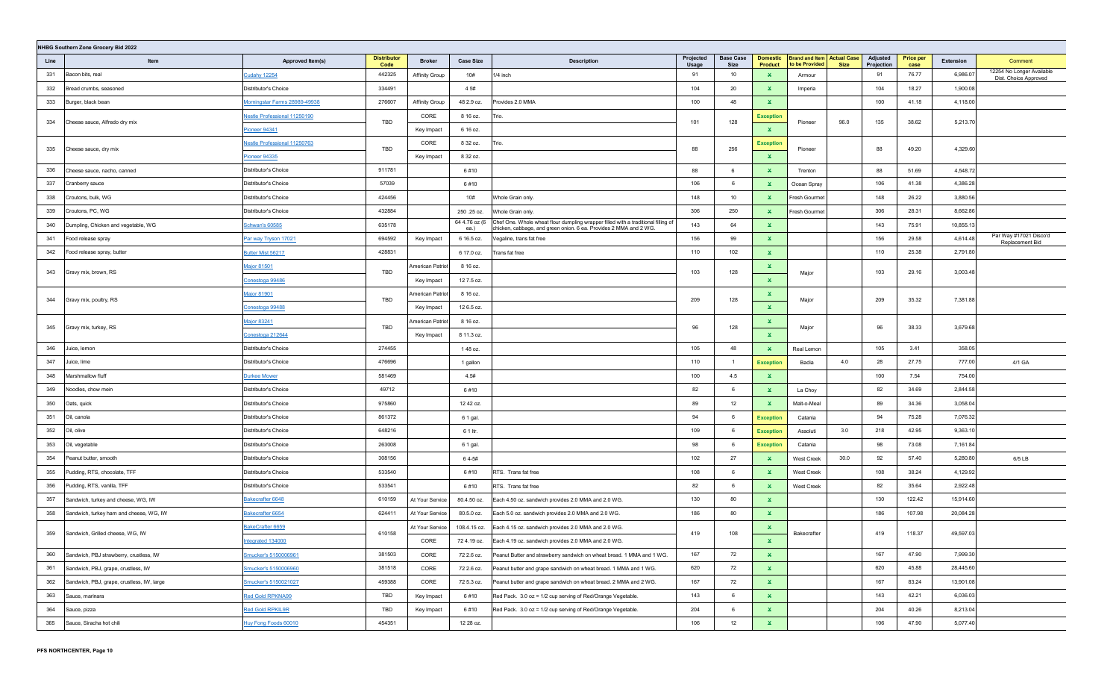|      | NHBG Southern Zone Grocery Bid 2022        |                                     |                            |                       |                       |                                                                                                                                                        |                    |                          |                                   |                                                     |             |                        |                          |           |                                                    |
|------|--------------------------------------------|-------------------------------------|----------------------------|-----------------------|-----------------------|--------------------------------------------------------------------------------------------------------------------------------------------------------|--------------------|--------------------------|-----------------------------------|-----------------------------------------------------|-------------|------------------------|--------------------------|-----------|----------------------------------------------------|
| Line | Item                                       | Approved Item(s)                    | <b>Distributor</b><br>Code | <b>Broker</b>         | <b>Case Size</b>      | <b>Description</b>                                                                                                                                     | Projected<br>Usage | <b>Base Case</b><br>Size | <b>Domestic</b><br><b>Product</b> | <b>Brand and Item Actual Case</b><br>to be Provided | <b>Size</b> | Adjusted<br>Projection | <b>Price per</b><br>case | Extension | Comment                                            |
| 331  | Bacon bits, real                           | <b>Cudahy 12254</b>                 | 442325                     | <b>Affinity Group</b> | 10#                   | 1/4 inch                                                                                                                                               | 91                 | 10                       | $\mathbf{x}$                      | Armour                                              |             | 91                     | 76.77                    | 6,986.07  | 12254 No Longer Available<br>Dist. Choice Approved |
| 332  | Bread crumbs, seasoned                     | Distributor's Choice                | 334491                     |                       | 4 5#                  |                                                                                                                                                        | 104                | 20                       | ×.                                | Imperia                                             |             | 104                    | 18.27                    | 1,900.08  |                                                    |
| 333  | Burger, black bean                         | Morningstar Farms 28989-49938       | 276607                     | <b>Affinity Group</b> | 48 2.9 oz.            | Provides 2.0 MMA                                                                                                                                       | 100                | 48                       | $\mathbf{x}$                      |                                                     |             | 100                    | 41.18                    | 4,118.00  |                                                    |
|      |                                            | <b>Vestle Professional 11250190</b> | TBD                        | CORE                  | 8 16 oz.              | Trio.                                                                                                                                                  | 101                | 128                      | <b>Exception</b>                  |                                                     | 96.0        | 135                    | 38.62                    | 5,213.70  |                                                    |
| 334  | Cheese sauce, Alfredo dry mix              | <u>Pioneer 94341</u>                |                            | Key Impact            | 6 16 oz.              |                                                                                                                                                        |                    |                          | $\mathbf{x}$                      | Pioneer                                             |             |                        |                          |           |                                                    |
| 335  |                                            | Nestle Professional 11250763        | TBD                        | CORE                  | 8 32 oz.              | Trio.                                                                                                                                                  | 88                 | 256                      | <b>Exception</b>                  | Pioneer                                             |             | 88                     | 49.20                    | 4,329.60  |                                                    |
|      | Cheese sauce, dry mix                      | Pioneer 94335                       |                            | Key Impact            | 8 32 oz.              |                                                                                                                                                        |                    |                          | $\mathbf{x}$                      |                                                     |             |                        |                          |           |                                                    |
| 336  | Cheese sauce, nacho, canned                | Distributor's Choice                | 911781                     |                       | 6#10                  |                                                                                                                                                        | 88                 | 6                        | $\mathbf{x}$                      | Trenton                                             |             | 88                     | 51.69                    | 4,548.72  |                                                    |
| 337  | Cranberry sauce                            | Distributor's Choice                | 57039                      |                       | 6#10                  |                                                                                                                                                        | 106                | 6                        | $\mathbf x$                       | Ocean Spray                                         |             | 106                    | 41.38                    | 4,386.28  |                                                    |
| 338  | Croutons, bulk, WG                         | Distributor's Choice                | 424456                     |                       | 10#                   | Whole Grain only.                                                                                                                                      | 148                | 10                       | ×.                                | Fresh Gourmet                                       |             | 148                    | 26.22                    | 3,880.56  |                                                    |
| 339  | Croutons, PC, WG                           | Distributor's Choice                | 432884                     |                       | 250 .25 oz.           | Whole Grain only.                                                                                                                                      | 306                | 250                      | $\mathbf{x}$                      | Fresh Gourme                                        |             | 306                    | 28.31                    | 8,662.86  |                                                    |
| 340  | Dumpling, Chicken and vegetable, WG        | Schwan's 60585                      | 635178                     |                       | 64 4.76 oz (6<br>ea.) | Chef One. Whole wheat flour dumpling wrapper filled with a traditional filling of<br>chicken, cabbage, and green onion. 6 ea. Provides 2 MMA and 2 WG. | 143                | 64                       | ×                                 |                                                     |             | 143                    | 75.91                    | 10,855.13 |                                                    |
| 341  | Food release spray                         | <u>Par way Tryson 17021</u>         | 694592                     | Key Impact            | 6 16.5 oz.            | Vegaline, trans fat free                                                                                                                               | 156                | 99                       | $\mathbf x$                       |                                                     |             | 156                    | 29.58                    | 4,614.48  | Par Way #17021 Disco'd<br>Replacement Bid          |
| 342  | Food release spray, butter                 | Butter Mist 56217                   | 428831                     |                       | 6 17.0 oz.            | Trans fat free                                                                                                                                         | 110                | 102                      | $\mathbf{x}$                      |                                                     |             | 110                    | 25.38                    | 2,791.80  |                                                    |
| 343  | Gravy mix, brown, RS                       | Major 81501                         | TBD                        | American Patriot      | 8 16 oz.              |                                                                                                                                                        | 103                | 128                      | $\mathbf{x}$                      | Major                                               |             | 103                    | 29.16                    | 3,003.48  |                                                    |
|      |                                            | <u>Conestoga 99486</u>              |                            | Key Impact            | 12 7.5 oz.            |                                                                                                                                                        |                    |                          | $\mathbf{x}$                      |                                                     |             |                        |                          |           |                                                    |
| 344  | Gravy mix, poultry, RS                     | <u>Major 81901</u>                  | TBD                        | American Patriot      | 8 16 oz.              |                                                                                                                                                        | 209                | 128                      | ×                                 |                                                     |             | 209                    | 35.32                    | 7,381.88  |                                                    |
|      |                                            | Conestoga 99488                     |                            | Key Impact            | 12 6.5 oz.            |                                                                                                                                                        |                    |                          | $\mathbf{x}$                      | Major                                               |             |                        |                          |           |                                                    |
| 345  | Gravy mix, turkey, RS                      | Major 83241                         | TBD                        | American Patriot      | 8 16 oz.              |                                                                                                                                                        | 96                 | 128                      | ×                                 | Major                                               |             | 96                     | 38.33                    | 3,679.68  |                                                    |
|      |                                            | Conestoga 212644                    |                            | Key Impact            | 8 11.3 oz.            |                                                                                                                                                        |                    |                          | $\mathbf{x}$                      |                                                     |             |                        |                          |           |                                                    |
| 346  | Juice, lemon                               | Distributor's Choice                | 274455                     |                       | 148 oz.               |                                                                                                                                                        | 105                | 48                       | $\mathbf{x}$                      | Real Lemon                                          |             | 105                    | 3.41                     | 358.05    |                                                    |
| 347  | Juice, lime                                | Distributor's Choice                | 476696                     |                       | 1 gallon              |                                                                                                                                                        | 110                | $\overline{1}$           | <b>Exception</b>                  | Badia                                               | 4.0         | 28                     | 27.75                    | 777.00    | 4/1 GA                                             |
| 348  | Marshmallow fluff                          | <b>Durkee Mower</b>                 | 581469                     |                       | 4.5#                  |                                                                                                                                                        | 100                | 4.5                      | ×.                                |                                                     |             | 100                    | 7.54                     | 754.00    |                                                    |
| 349  | Noodles, chow mein                         | Distributor's Choice                | 49712                      |                       | 6#10                  |                                                                                                                                                        | 82                 | 6                        | $\mathbf x$                       | La Choy                                             |             | 82                     | 34.69                    | 2,844.58  |                                                    |
| 350  | Oats, quick                                | Distributor's Choice                | 975860                     |                       | 12 42 oz.             |                                                                                                                                                        | 89                 | 12                       | $\mathbf{x}$                      | Malt-o-Meal                                         |             | 89                     | 34.36                    | 3,058.04  |                                                    |
| 351  | Oil, canola                                | Distributor's Choice                | 861372                     |                       | 6 1 gal.              |                                                                                                                                                        | 94                 | 6                        | <b>Exception</b>                  | Catania                                             |             | 94                     | 75.28                    | 7,076.32  |                                                    |
| 352  | Oil, olive                                 | Distributor's Choice                | 648216                     |                       | 6 1 ltr.              |                                                                                                                                                        | 109                | 6                        | <b>Exception</b>                  | Assoluti                                            | 3.0         | 218                    | 42.95                    | 9,363.10  |                                                    |
| 353  | Oil, vegetable                             | Distributor's Choice                | 263008                     |                       | 6 1 gal.              |                                                                                                                                                        | 98                 | 6                        | <b>Exception</b>                  | Catania                                             |             | 98                     | 73.08                    | 7,161.84  |                                                    |
| 354  | Peanut butter, smooth                      | Distributor's Choice                | 308156                     |                       | 64-5#                 |                                                                                                                                                        | 102                | 27                       | $\mathbf{x}$                      | West Creek                                          | 30.0        | 92                     | 57.40                    | 5,280.80  | 6/5 LB                                             |
| 355  | Pudding, RTS, chocolate, TFF               | Distributor's Choice                | 533540                     |                       | 6#10                  | RTS. Trans fat free                                                                                                                                    | 108                | 6                        | ×.                                | West Creek                                          |             | 108                    | 38.24                    | 4,129.92  |                                                    |
| 356  | Pudding, RTS, vanilla, TFF                 | Distributor's Choice                | 533541                     |                       | 6#10                  | RTS. Trans fat free                                                                                                                                    | 82                 | 6                        | ×.                                | West Creek                                          |             | 82                     | 35.64                    | 2,922.48  |                                                    |
| 357  | Sandwich, turkey and cheese, WG, IW        | Bakecrafter 6648                    | 610159                     | At Your Service       | 80.4.50 oz.           | Each 4.50 oz. sandwich provides 2.0 MMA and 2.0 WG.                                                                                                    | 130                | 80                       | $\mathbf{x}$                      |                                                     |             | 130                    | 122.42                   | 15,914.60 |                                                    |
| 358  | Sandwich, turkey ham and cheese, WG, IW    | <u>Bakecrafter 6654</u>             | 624411                     | At Your Service       | 80.5.0 oz.            | Each 5.0 oz. sandwich provides 2.0 MMA and 2.0 WG.                                                                                                     | 186                | 80                       | $\mathbf{x}$                      |                                                     |             | 186                    | 107.98                   | 20,084.28 |                                                    |
| 359  | Sandwich, Grilled cheese, WG, IW           | BakeCrafter 6659                    | 610158                     | At Your Service       | 108.4.15 oz.          | Each 4.15 oz. sandwich provides 2.0 MMA and 2.0 WG.                                                                                                    | 419                | 108                      | ×.                                | Bakecrafter                                         |             | 419                    | 118.37                   | 49,597.03 |                                                    |
|      |                                            | tegrated 134000                     |                            | CORE                  | 72 4.19 oz.           | Each 4.19 oz. sandwich provides 2.0 MMA and 2.0 WG.                                                                                                    |                    |                          | $\mathbf{x}$                      |                                                     |             |                        |                          |           |                                                    |
| 360  | Sandwich, PBJ strawberry, crustless, IW    | Smucker's 5150006961                | 381503                     | CORE                  | 72 2.6 oz.            | Peanut Butter and strawberry sandwich on wheat bread. 1 MMA and 1 WG.                                                                                  | 167                | 72                       | $\mathbf{x}$                      |                                                     |             | 167                    | 47.90                    | 7,999.30  |                                                    |
| 361  | Sandwich, PBJ, grape, crustless, IW        | Smucker's 5150006960                | 381518                     | CORE                  | 72 2.6 oz.            | Peanut butter and grape sandwich on wheat bread. 1 MMA and 1 WG.                                                                                       | 620                | 72                       | $\mathbf{x}$                      |                                                     |             | 620                    | 45.88                    | 28,445.60 |                                                    |
| 362  | Sandwich, PBJ, grape, crustless, IW, large | Smucker's 5150021027                | 459388                     | CORE                  | 72 5.3 oz.            | Peanut butter and grape sandwich on wheat bread. 2 MMA and 2 WG.                                                                                       | 167                | 72                       | $\mathbf{x}$                      |                                                     |             | 167                    | 83.24                    | 13,901.08 |                                                    |
| 363  | Sauce, marinara                            | Red Gold RPKNA99                    | TBD                        | Key Impact            | 6#10                  | Red Pack. 3.0 oz = 1/2 cup serving of Red/Orange Vegetable.                                                                                            | 143                | $6\phantom{.}6$          | $\mathbf{x}$                      |                                                     |             | 143                    | 42.21                    | 6,036.03  |                                                    |
| 364  | Sauce, pizza                               | <b>Red Gold RPKIL9R</b>             | TBD                        | Key Impact            | 6#10                  | Red Pack. 3.0 oz = 1/2 cup serving of Red/Orange Vegetable.                                                                                            | 204                | 6                        | $\mathbf{x}$                      |                                                     |             | 204                    | 40.26                    | 8,213.04  |                                                    |
| 365  | Sauce, Siracha hot chili                   | <b>Huy Fong Foods 60010</b>         | 454351                     |                       | 12 28 oz.             |                                                                                                                                                        | 106                | 12                       | $\mathbf{x}$                      |                                                     |             | 106                    | 47.90                    | 5,077.40  |                                                    |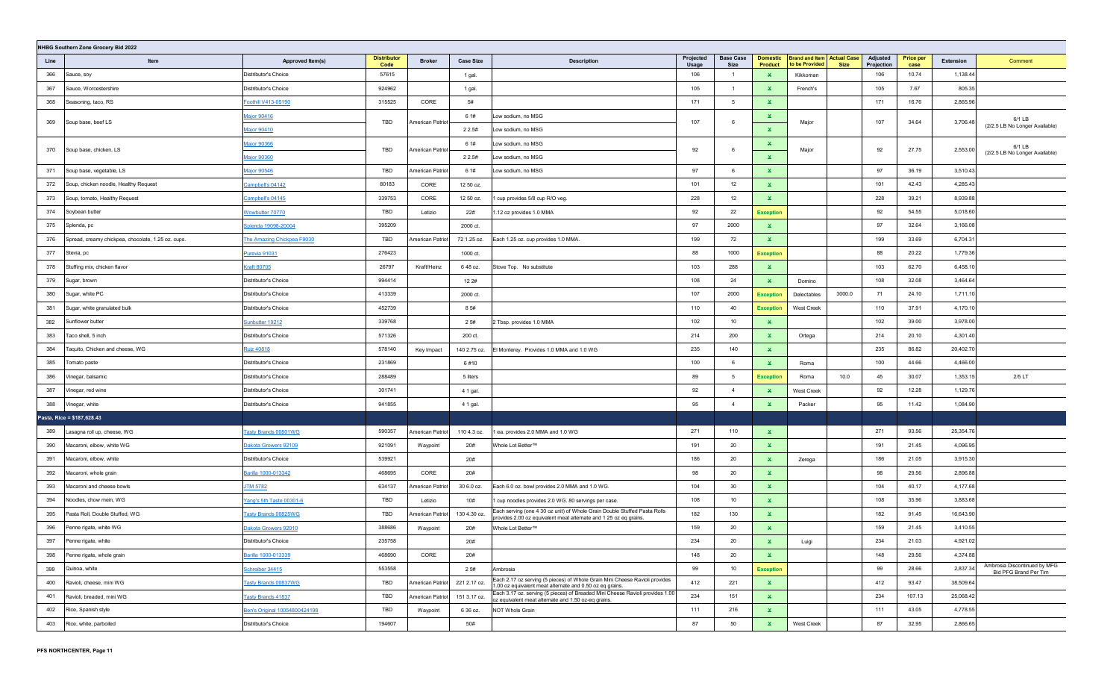|      | NHBG Southern Zone Grocery Bid 2022                |                               |                            |                  |                  |                                                                                                                                                |                           |                          |                                   |                                                     |             |                        |                          |           |                                                       |
|------|----------------------------------------------------|-------------------------------|----------------------------|------------------|------------------|------------------------------------------------------------------------------------------------------------------------------------------------|---------------------------|--------------------------|-----------------------------------|-----------------------------------------------------|-------------|------------------------|--------------------------|-----------|-------------------------------------------------------|
| Line | Item                                               | Approved Item(s)              | <b>Distributor</b><br>Code | <b>Broker</b>    | <b>Case Size</b> | <b>Description</b>                                                                                                                             | Projected<br><b>Usage</b> | <b>Base Case</b><br>Size | <b>Domestic</b><br><b>Product</b> | <b>Brand and Item Actual Case</b><br>to be Provided | <b>Size</b> | Adjusted<br>Projection | <b>Price per</b><br>case | Extension | Comment                                               |
| 366  | Sauce, soy                                         | Distributor's Choice          | 57615                      |                  | 1 gal.           |                                                                                                                                                | 106                       | $\overline{1}$           | $\mathbf{x}$                      | Kikkoman                                            |             | 106                    | 10.74                    | 1,138.44  |                                                       |
| 367  | Sauce, Worcestershire                              | Distributor's Choice          | 924962                     |                  | 1 gal.           |                                                                                                                                                | 105                       | $\overline{1}$           | ×.                                | French's                                            |             | 105                    | 7.67                     | 805.35    |                                                       |
| 368  | Seasoning, taco, RS                                | Foothill V413-05190           | 315525                     | CORE             | 5#               |                                                                                                                                                | 171                       | 5                        | $\mathbf x$                       |                                                     |             | 171                    | 16.76                    | 2,865.96  |                                                       |
| 369  | Soup base, beef LS                                 | Major 90416                   | TBD                        |                  | 6 1#             | Low sodium, no MSG                                                                                                                             | 107                       | 6                        | $\mathbf{x}$                      |                                                     |             | 107                    | 34.64                    | 3,706.48  | 6/1 LB                                                |
|      |                                                    | Major 90410                   |                            | American Patriot | 2 2.5#           | Low sodium, no MSG                                                                                                                             |                           |                          | $\mathbf{x}$                      | Major                                               |             |                        |                          |           | (2/2.5 LB No Longer Available)                        |
| 370  | Soup base, chicken, LS                             | Major 90366                   | TBD                        |                  | 6 1#             | Low sodium, no MSG                                                                                                                             | 92                        | 6                        | ×.                                |                                                     |             | 92                     | 27.75                    | 2,553.00  | 6/1 LB                                                |
|      |                                                    | <b>Aajor 90360</b>            |                            | American Patriot | 2 2.5#           | Low sodium, no MSG                                                                                                                             |                           |                          | $\mathbf x$                       | Major                                               |             |                        |                          |           | (2/2.5 LB No Longer Available)                        |
| 371  | Soup base, vegetable, LS                           | Major 90546                   | TBD                        | American Patriot | 6 1#             | Low sodium, no MSG                                                                                                                             | 97                        | 6                        | $\mathbf x$                       |                                                     |             | 97                     | 36.19                    | 3,510.43  |                                                       |
| 372  | Soup, chicken noodle, Healthy Request              | Campbell's 04142              | 80183                      | CORE             | 12 50 oz.        |                                                                                                                                                | 101                       | 12                       | $\mathbf x$                       |                                                     |             | 101                    | 42.43                    | 4,285.43  |                                                       |
| 373  | Soup, tomato, Healthy Request                      | Campbell's 04145              | 339753                     | CORE             | 12 50 oz.        | 1 cup provides 5/8 cup R/O veg.                                                                                                                | 228                       | 12                       | $\mathbf{x}$                      |                                                     |             | 228                    | 39.21                    | 8,939.88  |                                                       |
| 374  | Soybean butter                                     | <b>Nowbutter 70770</b>        | TBD                        | Letizio          | 22#              | .12 oz provides 1.0 MMA                                                                                                                        | 92                        | 22                       | <b>Exception</b>                  |                                                     |             | 92                     | 54.55                    | 5,018.60  |                                                       |
| 375  | Splenda, pc                                        | Splenda 19098-20004           | 395209                     |                  | 2000 ct.         |                                                                                                                                                | 97                        | 2000                     | $\mathbf{x}$                      |                                                     |             | 97                     | 32.64                    | 3,166.08  |                                                       |
| 376  | Spread, creamy chickpea, chocolate, 1.25 oz. cups. | The Amazing Chickpea F9030    | TBD                        | American Patriot | 72 1.25 oz.      | Each 1.25 oz. cup provides 1.0 MMA.                                                                                                            | 199                       | 72                       | ×.                                |                                                     |             | 199                    | 33.69                    | 6,704.31  |                                                       |
| 377  | Stevia, pc                                         | <u>Purevia 91031</u>          | 276423                     |                  | 1000 ct.         |                                                                                                                                                | 88                        | 1000                     | <b>Exception</b>                  |                                                     |             | 88                     | 20.22                    | 1,779.36  |                                                       |
| 378  | Stuffing mix, chicken flavor                       | Craft 80705                   | 26797                      | Kraft/Heinz      | 648 oz.          | Stove Top. No substitute                                                                                                                       | 103                       | 288                      | $\mathbf{x}$                      |                                                     |             | 103                    | 62.70                    | 6,458.10  |                                                       |
| 379  | Sugar, brown                                       | Distributor's Choice          | 994414                     |                  | 12 2#            |                                                                                                                                                | 108                       | 24                       | $\mathbf{x}$                      | Domino                                              |             | 108                    | 32.08                    | 3,464.64  |                                                       |
| 380  | Sugar, white PC                                    | Distributor's Choice          | 413339                     |                  | 2000 ct.         |                                                                                                                                                | 107                       | 2000                     | <b>Exception</b>                  | Delectables                                         | 3000.0      | 71                     | 24.10                    | 1,711.10  |                                                       |
| 381  | Sugar, white granulated bulk                       | Distributor's Choice          | 452739                     |                  | 85#              |                                                                                                                                                | 110                       | 40                       | <b>Exception</b>                  | <b>West Creek</b>                                   |             | 110                    | 37.91                    | 4,170.10  |                                                       |
| 382  | Sunflower butter                                   | Sunbutter 19212               | 339768                     |                  | 25#              | 2 Tbsp. provides 1.0 MMA                                                                                                                       | 102                       | 10                       | ×.                                |                                                     |             | 102                    | 39.00                    | 3,978.00  |                                                       |
| 383  | Taco shell, 5 inch                                 | Distributor's Choice          | 571326                     |                  | 200 ct.          |                                                                                                                                                | 214                       | 200                      | ×.                                | Ortega                                              |             | 214                    | 20.10                    | 4,301.40  |                                                       |
| 384  | Taquito, Chicken and cheese, WG                    | <b>Ruiz 40818</b>             | 578140                     | Key Impact       | 140 2.75 oz.     | El Monterey. Provides 1.0 MMA and 1.0 WG                                                                                                       | 235                       | 140                      | ×.                                |                                                     |             | 235                    | 86.82                    | 20,402.70 |                                                       |
| 385  | Tomato paste                                       | Distributor's Choice          | 231869                     |                  | 6#10             |                                                                                                                                                | 100                       | 6                        | $\mathbf{x}$                      | Roma                                                |             | 100                    | 44.66                    | 4,466.00  |                                                       |
| 386  | Vinegar, balsamic                                  | Distributor's Choice          | 288489                     |                  | 5 liters         |                                                                                                                                                | 89                        | 5                        | <b>Exception</b>                  | Roma                                                | 10.0        | 45                     | 30.07                    | 1,353.15  | 2/5 LT                                                |
| 387  | Vinegar, red wine                                  | Distributor's Choice          | 301741                     |                  | 4 1 gal.         |                                                                                                                                                | 92                        | $\overline{4}$           | ×.                                | West Creek                                          |             | 92                     | 12.28                    | 1,129.76  |                                                       |
| 388  | Vinegar, white                                     | Distributor's Choice          | 941855                     |                  | 4 1 gal.         |                                                                                                                                                | 95                        | $\overline{4}$           | $\mathbf{x}$                      | Packer                                              |             | 95                     | 11.42                    | 1,084.90  |                                                       |
|      | Pasta, Rice = \$187,628.43                         |                               |                            |                  |                  |                                                                                                                                                |                           |                          |                                   |                                                     |             |                        |                          |           |                                                       |
| 389  | Lasagna roll up, cheese, WG                        | <b>Tasty Brands 00801WG</b>   | 590357                     | American Patriot | 110 4.3 oz.      | 1 ea. provides 2.0 MMA and 1.0 WG                                                                                                              | 271                       | 110                      | ×.                                |                                                     |             | 271                    | 93.56                    | 25,354.76 |                                                       |
| 390  | Macaroni, elbow, white WG                          | <b>Dakota Growers 92109</b>   | 921091                     | Waypoint         | 20#              | Whole Lot Better™                                                                                                                              | 191                       | 20                       | $\mathbf x$                       |                                                     |             | 191                    | 21.45                    | 4,096.95  |                                                       |
| 391  | Macaroni, elbow, white                             | Distributor's Choice          | 539921                     |                  | 20#              |                                                                                                                                                | 186                       | 20                       | $\mathbf{x}$                      | Zerega                                              |             | 186                    | 21.05                    | 3,915.30  |                                                       |
| 392  | Macaroni, whole grain                              | Barilla 1000-013342           | 468695                     | CORE             | 20#              |                                                                                                                                                | 98                        | 20                       | $\mathbf{x}$                      |                                                     |             | 98                     | 29.56                    | 2,896.88  |                                                       |
| 393  | Macaroni and cheese bowls                          | <b>JTM 5782</b>               | 634137                     | American Patriot | 30 6.0 oz.       | Each 6.0 oz. bowl provides 2.0 MMA and 1.0 WG.                                                                                                 | 104                       | 30                       | $\mathbf{x}$                      |                                                     |             | 104                    | 40.17                    | 4,177.68  |                                                       |
| 394  | Noodles, chow mein, WG                             | Yang's 5th Taste 00301-6      | TBD                        | Letizio          | 10#              | 1 cup noodles provides 2.0 WG. 80 servings per case.                                                                                           | 108                       | 10                       | $\mathbf{x}$                      |                                                     |             | 108                    | 35.96                    | 3,883.68  |                                                       |
| 395  | Pasta Roll, Double Stuffed, WG                     | Tasty Brands 00825WG          | TBD                        | American Patriot | 130 4.30 oz.     | Each serving (one 4 30 oz unit) of Whole Grain Double Stuffed Pasta Rolls<br>provides 2.00 oz equivalent meat alternate and 1 25 oz eq grains. | 182                       | 130                      | $\mathbf x$                       |                                                     |             | 182                    | 91.45                    | 16,643.90 |                                                       |
| 396  | Penne rigate, white WG                             | <u>Dakota Growers 92010</u>   | 388686                     | Waypoint         | 20#              | Whole Lot Better™                                                                                                                              | 159                       | 20                       | $\mathbf x$                       |                                                     |             | 159                    | 21.45                    | 3,410.55  |                                                       |
| 397  | Penne rigate, white                                | Distributor's Choice          | 235758                     |                  | 20#              |                                                                                                                                                | 234                       | 20                       |                                   | Luigi                                               |             | 234                    | 21.03                    | 4,921.02  |                                                       |
| 398  | Penne rigate, whole grain                          | Barilla 1000-013339           | 468690                     | CORE             | 20#              |                                                                                                                                                | 148                       | 20                       | $\mathbf{x}$                      |                                                     |             | 148                    | 29.56                    | 4,374.88  |                                                       |
| 399  | Quinoa, white                                      | Schreiber 34415               | 553558                     |                  | 2 5#             | Ambrosia                                                                                                                                       | 99                        | 10                       | <b>Exception</b>                  |                                                     |             | 99                     | 28.66                    | 2,837.34  | Ambrosia Discontinued by MFG<br>Bid PFG Brand Per Tim |
| 400  | Ravioli, cheese, mini WG                           | Tasty Brands 00837WG          | TBD                        | American Patriot | 221 2.17 oz.     | Each 2.17 oz serving (5 pieces) of Whole Grain Mini Cheese Ravioli provides<br>1.00 oz equivalent meat alternate and 0.50 oz eq grains.        | 412                       | 221                      | $\mathbf{x}$                      |                                                     |             | 412                    | 93.47                    | 38,509.64 |                                                       |
| 401  | Ravioli, breaded, mini WG                          | <b>Tasty Brands 41837</b>     | TBD                        | American Patriot | 151 3.17 oz.     | Each 3.17 oz. serving (5 pieces) of Breaded Mini Cheese Ravioli provides 1.00<br>oz equivalent meat alternate and 1.50 oz-eq grains.           | 234                       | 151                      | $\mathbf{x}$                      |                                                     |             | 234                    | 107.13                   | 25,068.42 |                                                       |
| 402  | Rice, Spanish style                                | Ben's Original 10054800424198 | TBD                        | Waypoint         | 6 36 oz.         | NOT Whole Grain                                                                                                                                | 111                       | 216                      | $\mathbf{x}$                      |                                                     |             | 111                    | 43.05                    | 4,778.55  |                                                       |
| 403  | Rice, white, parboiled                             | Distributor's Choice          | 194607                     |                  | 50#              |                                                                                                                                                | 87                        | 50                       | $\mathbf{x}$                      | West Creek                                          |             | 87                     | 32.95                    | 2,866.65  |                                                       |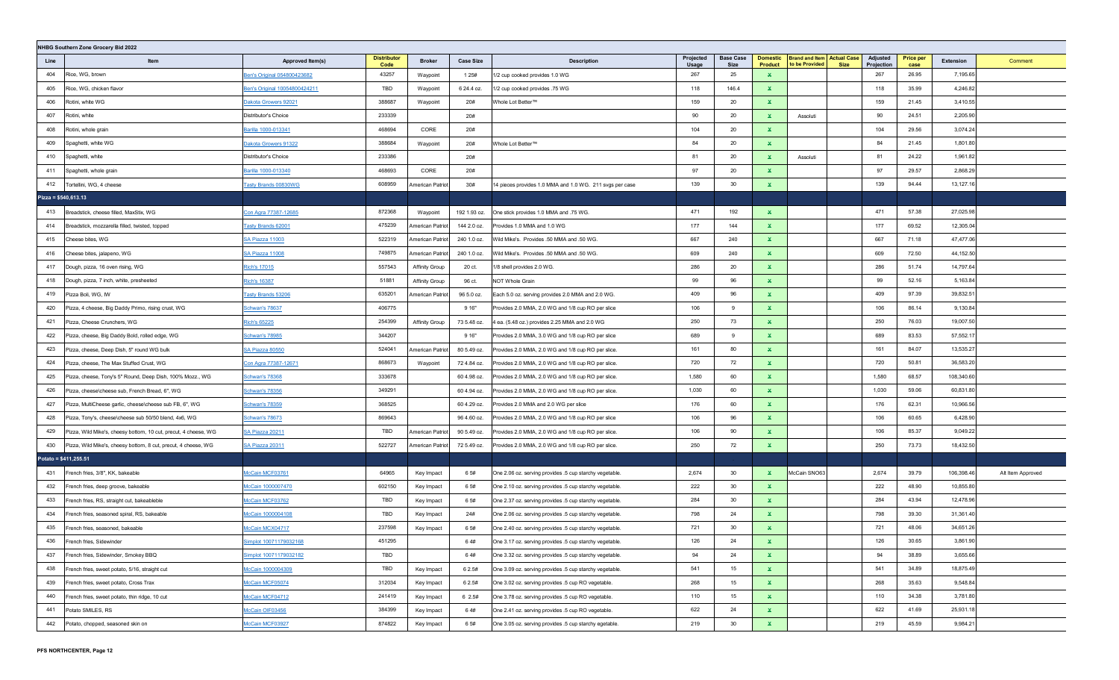|      | NHBG Southern Zone Grocery Bid 2022                             |                               |                            |                         |                  |                                                          |                    |                                 |                                   |                                                                    |                        |                          |            |                   |
|------|-----------------------------------------------------------------|-------------------------------|----------------------------|-------------------------|------------------|----------------------------------------------------------|--------------------|---------------------------------|-----------------------------------|--------------------------------------------------------------------|------------------------|--------------------------|------------|-------------------|
| Line | Item                                                            | Approved Item(s)              | <b>Distributor</b><br>Code | <b>Broker</b>           | <b>Case Size</b> | <b>Description</b>                                       | Projected<br>Usage | <b>Base Case</b><br><b>Size</b> | <b>Domestic</b><br><b>Product</b> | <b>Brand and Item Actual Case</b><br>to be Provided<br><b>Size</b> | Adjusted<br>Projection | <b>Price per</b><br>case | Extension  | Comment           |
| 404  | Rice, WG, brown                                                 | Ben's Original 054800423682   | 43257                      | Waypoint                | 1 2 5 #          | 1/2 cup cooked provides 1.0 WG                           | 267                | 25                              | $\mathbf x$                       |                                                                    | 267                    | 26.95                    | 7,195.65   |                   |
| 405  | Rice, WG, chicken flavor                                        | Ben's Original 10054800424211 | TBD                        | Waypoint                | 6 24.4 oz.       | 1/2 cup cooked provides .75 WG                           | 118                | 146.4                           | ×.                                |                                                                    | 118                    | 35.99                    | 4,246.82   |                   |
| 406  | Rotini, white WG                                                | Dakota Growers 92021          | 388687                     | Waypoint                | 20#              | Whole Lot Better™                                        | 159                | 20                              | $\mathbf{x}$                      |                                                                    | 159                    | 21.45                    | 3,410.55   |                   |
| 407  | Rotini, white                                                   | Distributor's Choice          | 233339                     |                         | 20#              |                                                          | 90                 | 20                              | $\mathbf{x}$                      | Assoluti                                                           | 90                     | 24.51                    | 2,205.90   |                   |
| 408  | Rotini, whole grain                                             | Barilla 1000-013341           | 468694                     | CORE                    | 20#              |                                                          | 104                | 20                              | $\mathbf{x}$                      |                                                                    | 104                    | 29.56                    | 3,074.24   |                   |
| 409  | Spaghetti, white WG                                             | Dakota Growers 91322          | 388684                     | Waypoint                | 20#              | Whole Lot Better™                                        | 84                 | 20                              | $\mathbf{x}$                      |                                                                    | 84                     | 21.45                    | 1,801.80   |                   |
| 410  | Spaghetti, white                                                | Distributor's Choice          | 233386                     |                         | 20#              |                                                          | 81                 | 20                              | $\mathbf{x}$                      | Assoluti                                                           | 81                     | 24.22                    | 1,961.82   |                   |
| 411  | Spaghetti, whole grain                                          | Barilla 1000-013340           | 468693                     | CORE                    | 20#              |                                                          | 97                 | 20                              | $\mathbf{x}$                      |                                                                    | 97                     | 29.57                    | 2,868.29   |                   |
| 412  | Tortellini, WG, 4 cheese                                        | Tasty Brands 00830WG          | 608959                     | American Patrio         | 30#              | 14 pieces provides 1.0 MMA and 1.0 WG. 211 svgs per case | 139                | 30                              | $\mathbf{x}$                      |                                                                    | 139                    | 94.44                    | 13,127.16  |                   |
|      | Pizza = $$540,613.13$                                           |                               |                            |                         |                  |                                                          |                    |                                 |                                   |                                                                    |                        |                          |            |                   |
| 413  | Breadstick, cheese filled, MaxStix, WG                          | Con Agra 77387-12685          | 872368                     | Waypoint                | 192 1.93 oz.     | One stick provides 1.0 MMA and .75 WG.                   | 471                | 192                             | $\mathbf{x}$                      |                                                                    | 471                    | 57.38                    | 27,025.98  |                   |
| 414  | Breadstick, mozzarella filled, twisted, topped                  | <b>Tasty Brands 62001</b>     | 475239                     | <b>American Patriot</b> | 144 2.0 oz.      | Provides 1.0 MMA and 1.0 WG                              | 177                | 144                             | $\mathbf{x}$                      |                                                                    | 177                    | 69.52                    | 12,305.04  |                   |
| 415  | Cheese bites, WG                                                | SA Piazza 11003               | 522319                     | American Patriot        | 240 1.0 oz.      | Wild Mike's. Provides .50 MMA and .50 WG.                | 667                | 240                             | $\mathbf x$                       |                                                                    | 667                    | 71.18                    | 47,477.06  |                   |
| 416  | Cheese bites, jalapeno, WG                                      | <b>SA Piazza 11008</b>        | 749875                     | American Patriot        | 240 1.0 oz.      | Wild Mike's. Provides .50 MMA and .50 WG.                | 609                | 240                             | $\mathbf{x}$                      |                                                                    | 609                    | 72.50                    | 44,152.50  |                   |
| 417  | Dough, pizza, 16 oven rising, WG                                | Rich's 17015                  | 557543                     | <b>Affinity Group</b>   | 20 ct.           | 1/8 shell provides 2.0 WG.                               | 286                | 20                              | $\mathbf x$                       |                                                                    | 286                    | 51.74                    | 14,797.64  |                   |
| 418  | Dough, pizza, 7 inch, white, presheeted                         | <b>Rich's 16387</b>           | 51881                      | <b>Affinity Group</b>   | 96 ct.           | NOT Whole Grain                                          | 99                 | 96                              | $\mathbf{x}$                      |                                                                    | 99                     | 52.16                    | 5,163.84   |                   |
| 419  | Pizza Boli, WG, IW                                              | Tasty Brands 53206            | 635201                     | American Patrio         | 96 5.0 oz.       | Each 5.0 oz. serving provides 2.0 MMA and 2.0 WG.        | 409                | 96                              | $\mathbf x$                       |                                                                    | 409                    | 97.39                    | 39,832.51  |                   |
| 420  | Pizza, 4 cheese, Big Daddy Primo, rising crust, WG              | Schwan's 78637                | 406775                     |                         | 9 16"            | Provides 2.0 MMA, 2.0 WG and 1/8 cup RO per slice        | 106                | 9                               | $\mathbf{x}$                      |                                                                    | 106                    | 86.14                    | 9,130.84   |                   |
| 421  | Pizza, Cheese Crunchers, WG                                     | Rich's 65225                  | 254399                     | <b>Affinity Group</b>   | 73 5.48 oz.      | 4 ea. (5.48 oz.) provides 2.25 MMA and 2.0 WG            | 250                | 73                              | $\mathbf{x}$                      |                                                                    | 250                    | 76.03                    | 19,007.50  |                   |
| 422  | Pizza, cheese, Big Daddy Bold, rolled edge, WG                  | <b>Schwan's 78985</b>         | 344207                     |                         | 9 16"            | Provides 2.0 MMA, 3.0 WG and 1/8 cup RO per slice        | 689                | 9                               | $\mathbf{x}$                      |                                                                    | 689                    | 83.53                    | 57,552.17  |                   |
| 423  | Pizza, cheese, Deep Dish, 5" round WG bulk                      | SA Piazza 80550               | 524041                     | American Patriot        | 80 5.49 oz.      | Provides 2.0 MMA, 2.0 WG and 1/8 cup RO per slice.       | 161                | 80                              | $\mathbf x$                       |                                                                    | 161                    | 84.07                    | 13,535.27  |                   |
| 424  | Pizza, cheese, The Max Stuffed Crust, WG                        | Con Agra 77387-12671          | 868673                     | Waypoint                | 72 4.84 oz.      | Provides 2.0 MMA, 2.0 WG and 1/8 cup RO per slice.       | 720                | 72                              | $\mathbf{x}$                      |                                                                    | 720                    | 50.81                    | 36,583.20  |                   |
| 425  | Pizza, cheese, Tony's 5" Round, Deep Dish, 100% Mozz., WG       | <b>Schwan's 78368</b>         | 333678                     |                         | 60 4.98 oz.      | Provides 2.0 MMA, 2.0 WG and 1/8 cup RO per slice.       | 1,580              | 60                              | $\mathbf{x}$                      |                                                                    | 1,580                  | 68.57                    | 108,340.60 |                   |
| 426  | Pizza, cheese\cheese sub, French Bread, 6", WG                  | Schwan's 78356                | 349291                     |                         | 60 4.94 oz.      | Provides 2.0 MMA, 2.0 WG and 1/8 cup RO per slice.       | 1,030              | 60                              | $\mathbf{x}$                      |                                                                    | 1,030                  | 59.06                    | 60,831.80  |                   |
| 427  | Pizza, MultiCheese garlic, cheese\cheese sub FB, 6", WG         | Schwan's 78359                | 368525                     |                         | 60 4.29 oz.      | Provides 2.0 MMA and 2.0 WG per slice                    | 176                | 60                              | $\mathbf{x}$                      |                                                                    | 176                    | 62.31                    | 10,966.56  |                   |
| 428  | Pizza, Tony's, cheese\cheese sub 50/50 blend, 4x6, WG           | Schwan's 78673                | 869643                     |                         | 96 4.60 oz.      | Provides 2.0 MMA, 2.0 WG and 1/8 cup RO per slice        | 106                | 96                              | x                                 |                                                                    | 106                    | 60.65                    | 6,428.90   |                   |
| 429  | Pizza, Wild Mike's, cheesy bottom, 10 cut, precut, 4 cheese, WG | SA Piazza 20211               | TBD                        | American Patriot        | 90 5.49 oz.      | Provides 2.0 MMA, 2.0 WG and 1/8 cup RO per slice.       | 106                | 90                              | $\mathbf x$                       |                                                                    | 106                    | 85.37                    | 9,049.22   |                   |
| 430  | Pizza, Wild Mike's, cheesy bottom, 8 cut, precut, 4 cheese, WG  | <b>SA Piazza 20311</b>        | 522727                     | American Patriot        | 72 5.49 oz.      | Provides 2.0 MMA, 2.0 WG and 1/8 cup RO per slice.       | 250                | 72                              | $\mathbf x$                       |                                                                    | 250                    | 73.73                    | 18,432.50  |                   |
|      | Potato = \$411,255.51                                           |                               |                            |                         |                  |                                                          |                    |                                 |                                   |                                                                    |                        |                          |            |                   |
| 431  | French fries, 3/8", KK, bakeable                                | McCain MCF03761               | 64965                      | Key Impact              | 6 5#             | One 2.06 oz. serving provides .5 cup starchy vegetable.  | 2,674              | 30                              | ×.                                | McCain SNO63                                                       | 2,674                  | 39.79                    | 106,398.46 | Alt Item Approved |
| 432  | French fries, deep groove, bakeable                             | McCain 1000007470             | 602150                     | Key Impact              | 65#              | One 2.10 oz. serving provides .5 cup starchy vegetable.  | 222                | 30                              | ×.                                |                                                                    | 222                    | 48.90                    | 10,855.80  |                   |
| 433  | French fries, RS, straight cut, bakeableble                     | McCain MCF03762               | TBD                        | Key Impact              | 6 5#             | One 2.37 oz. serving provides .5 cup starchy vegetable.  | 284                | 30                              | $\mathbf{x}$                      |                                                                    | 284                    | 43.94                    | 12,478.96  |                   |
| 434  | French fries, seasoned spiral, RS, bakeable                     | McCain 1000004108             | TBD                        | Key Impact              | 24#              | One 2.06 oz. serving provides .5 cup starchy vegetable.  | 798                | 24                              | $\mathbf{x}$                      |                                                                    | 798                    | 39.30                    | 31,361.40  |                   |
| 435  | French fries, seasoned, bakeable                                | McCain MCX04717               | 237598                     | Key Impact              | 6 5#             | One 2.40 oz. serving provides .5 cup starchy vegetable.  | 721                | 30                              | $\mathbf{x}$                      |                                                                    | 721                    | 48.06                    | 34,651.26  |                   |
| 436  | French fries, Sidewinder                                        | Simplot 10071179032168        | 451295                     |                         | 64#              | One 3.17 oz. serving provides .5 cup starchy vegetable.  | 126                | 24                              | x                                 |                                                                    | 126                    | 30.65                    | 3,861.90   |                   |
| 437  | French fries, Sidewinder, Smokey BBQ                            | Simplot 10071179032182        | TBD                        |                         | 64#              | One 3.32 oz. serving provides .5 cup starchy vegetable.  | 94                 | 24                              | $\mathbf{x}$                      |                                                                    | 94                     | 38.89                    | 3,655.66   |                   |
| 438  | French fries, sweet potato, 5/16, straight cut                  | McCain 1000004309             | TBD                        | Key Impact              | 6 2.5#           | One 3.09 oz. serving provides .5 cup starchy vegetable.  | 541                | 15                              | $\mathbf{x}$                      |                                                                    | 541                    | 34.89                    | 18,875.49  |                   |
| 439  | French fries, sweet potato, Cross Trax                          | McCain MCF05074               | 312034                     | Key Impact              | 6 2.5#           | One 3.02 oz. serving provides .5 cup RO vegetable.       | 268                | 15                              | $\mathbf{x}$                      |                                                                    | 268                    | 35.63                    | 9,548.84   |                   |
| 440  | French fries, sweet potato, thin ridge, 10 cut                  | McCain MCF04712               | 241419                     | Key Impact              | 6 2.5#           | One 3.78 oz. serving provides .5 cup RO vegetable.       | 110                | 15                              | $\mathbf{x}$                      |                                                                    | 110                    | 34.38                    | 3,781.80   |                   |
| 441  | Potato SMILES, RS                                               | McCain OIF03456               | 384399                     | Key Impact              | 64#              | One 2.41 oz. serving provides .5 cup RO vegetable.       | 622                | 24                              | $\mathbf{x}$                      |                                                                    | 622                    | 41.69                    | 25,931.18  |                   |
| 442  | Potato, chopped, seasoned skin on                               | McCain MCF03927               | 874822                     | Key Impact              | 6 5#             | One 3.05 oz. serving provides .5 cup starchy egetable.   | 219                | 30                              | $\mathbf{x}$                      |                                                                    | 219                    | 45.59                    | 9,984.21   |                   |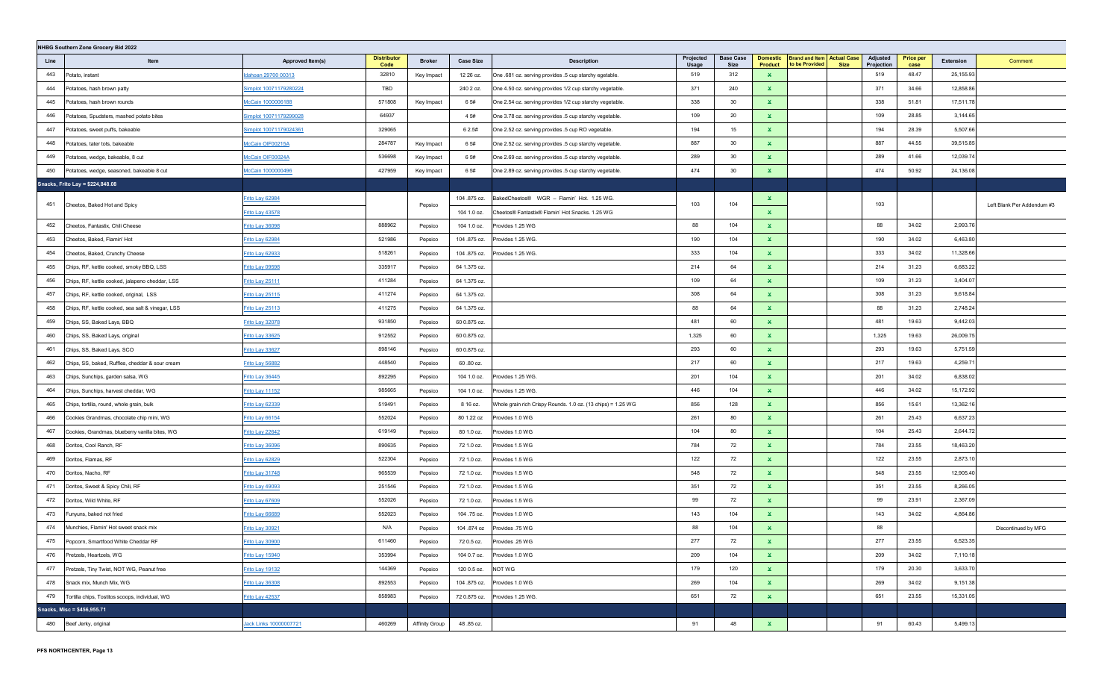| NHBG Southern Zone Grocery Bid 2022 |                                                   |                        |                            |                       |                  |                                                              |                    |                          |                                   |                                                                    |                        |                          |           |                            |
|-------------------------------------|---------------------------------------------------|------------------------|----------------------------|-----------------------|------------------|--------------------------------------------------------------|--------------------|--------------------------|-----------------------------------|--------------------------------------------------------------------|------------------------|--------------------------|-----------|----------------------------|
| Line                                | Item                                              | Approved Item(s)       | <b>Distributor</b><br>Code | <b>Broker</b>         | <b>Case Size</b> | <b>Description</b>                                           | Projected<br>Usage | <b>Base Case</b><br>Size | <b>Domestic</b><br><b>Product</b> | <b>Brand and Item Actual Case</b><br>to be Provided<br><b>Size</b> | Adjusted<br>Projection | <b>Price per</b><br>case | Extension | Comment                    |
| 443                                 | Potato, instant                                   | dahoan 29700 00313     | 32810                      | Key Impact            | 12 26 oz.        | One .681 oz. serving provides .5 cup starchy egetable.       | 519                | 312                      | $\mathbf{x}$                      |                                                                    | 519                    | 48.47                    | 25,155.93 |                            |
| 444                                 | Potatoes, hash brown patty                        | Simplot 10071179280224 | TBD                        |                       | 240 2 oz.        | One 4.50 oz. serving provides 1/2 cup starchy vegetable.     | 371                | 240                      | ×.                                |                                                                    | 371                    | 34.66                    | 12,858.86 |                            |
| 445                                 | Potatoes, hash brown rounds                       | McCain 1000006188      | 571808                     | Key Impact            | 65#              | One 2.54 oz. serving provides 1/2 cup starchy vegetable.     | 338                | 30                       | ×.                                |                                                                    | 338                    | 51.81                    | 17,511.78 |                            |
| 446                                 | Potatoes, Spudsters, mashed potato bites          | Simplot 10071179299028 | 64937                      |                       | 4 5#             | One 3.78 oz. serving provides .5 cup starchy vegetable.      | 109                | 20                       | $\mathbf x$                       |                                                                    | 109                    | 28.85                    | 3,144.65  |                            |
| 447                                 | Potatoes, sweet puffs, bakeable                   | Simplot 10071179024361 | 329065                     |                       | 6 2.5#           | One 2.52 oz. serving provides .5 cup RO vegetable.           | 194                | 15 <sub>15</sub>         | $\mathbf{x}$                      |                                                                    | 194                    | 28.39                    | 5,507.66  |                            |
| 448                                 | Potatoes, tater tots, bakeable                    | McCain OIF00215A       | 284787                     | Key Impact            | 6 5#             | One 2.52 oz. serving provides .5 cup starchy vegetable.      | 887                | 30                       | ×.                                |                                                                    | 887                    | 44.55                    | 39,515.85 |                            |
| 449                                 | Potatoes, wedge, bakeable, 8 cut                  | McCain OIF00024A       | 536698                     | Key Impact            | 65#              | One 2.69 oz. serving provides .5 cup starchy vegetable.      | 289                | 30                       | $\mathbf x$                       |                                                                    | 289                    | 41.66                    | 12,039.74 |                            |
| 450                                 | Potatoes, wedge, seasoned, bakeable 8 cut         | McCain 1000000496      | 427959                     | Key Impact            | 65#              | One 2.89 oz. serving provides .5 cup starchy vegetable.      | 474                | 30                       | $\mathbf{x}$                      |                                                                    | 474                    | 50.92                    | 24,136.08 |                            |
|                                     | Snacks, Frito Lay = \$224,848.08                  |                        |                            |                       |                  |                                                              |                    |                          |                                   |                                                                    |                        |                          |           |                            |
| 451                                 | Cheetos, Baked Hot and Spicy                      | Frito Lay 62984        |                            | Pepsico               | 104.875 oz.      | BakedCheetos® WGR - Flamin' Hot. 1.25 WG.                    | 103                | 104                      | x                                 |                                                                    | 103                    |                          |           | Left Blank Per Addendum #3 |
|                                     |                                                   | Frito Lay 43578        |                            |                       | 104 1.0 oz.      | Cheetos® Fantastix® Flamin' Hot Snacks. 1.25 WG              |                    |                          | $\mathbf{x}$                      |                                                                    |                        |                          |           |                            |
| 452                                 | Cheetos, Fantastix, Chili Cheese                  | Frito Lay 36098        | 888962                     | Pepsico               | 104 1.0 oz.      | Provides 1.25 WG                                             | 88                 | 104                      | ×.                                |                                                                    | 88                     | 34.02                    | 2,993.76  |                            |
| 453                                 | Cheetos, Baked, Flamin' Hot                       | Frito Lay 62984        | 521986                     | Pepsico               | 104.875 oz.      | Provides 1.25 WG.                                            | 190                | 104                      | $\mathbf{x}$                      |                                                                    | 190                    | 34.02                    | 6,463.80  |                            |
| 454                                 | Cheetos, Baked, Crunchy Cheese                    | <u>Frito Lay 62933</u> | 518261                     | Pepsico               | 104.875 oz.      | Provides 1.25 WG.                                            | 333                | 104                      | $\mathbf{x}$                      |                                                                    | 333                    | 34.02                    | 11,328.66 |                            |
| 455                                 | Chips, RF, kettle cooked, smoky BBQ, LSS          | Frito Lay 09598        | 335917                     | Pepsico               | 64 1.375 oz.     |                                                              | 214                | 64                       | ×.                                |                                                                    | 214                    | 31.23                    | 6,683.22  |                            |
| 456                                 | Chips, RF, kettle cooked, jalapeno cheddar, LSS   | Frito Lay 25111        | 411284                     | Pepsico               | 64 1.375 oz.     |                                                              | 109                | 64                       | ×.                                |                                                                    | 109                    | 31.23                    | 3,404.07  |                            |
| 457                                 | Chips, RF, kettle cooked, original, LSS           | Frito Lay 25115        | 411274                     | Pepsico               | 64 1.375 oz.     |                                                              | 308                | 64                       | $\mathbf{x}$                      |                                                                    | 308                    | 31.23                    | 9,618.84  |                            |
| 458                                 | Chips, RF, kettle cooked, sea salt & vinegar, LSS | Frito Lay 25113        | 411275                     | Pepsico               | 64 1.375 oz.     |                                                              | 88                 | 64                       | $\mathbf{x}$                      |                                                                    | 88                     | 31.23                    | 2,748.24  |                            |
| 459                                 | Chips, SS, Baked Lays, BBQ                        | Frito Lay 32078        | 931850                     | Pepsico               | 60 0.875 oz.     |                                                              | 481                | 60                       | $\mathbf{x}$                      |                                                                    | 481                    | 19.63                    | 9,442.03  |                            |
| 460                                 | Chips, SS, Baked Lays, original                   | Frito Lay 33625        | 912552                     | Pepsico               | 60 0.875 oz.     |                                                              | 1,325              | 60                       | ×.                                |                                                                    | 1,325                  | 19.63                    | 26,009.75 |                            |
| 461                                 | Chips, SS, Baked Lays, SCO                        | Frito Lay 33627        | 898146                     | Pepsico               | 60 0.875 oz.     |                                                              | 293                | 60                       | ×.                                |                                                                    | 293                    | 19.63                    | 5,751.59  |                            |
| 462                                 | Chips, SS, baked, Ruffles, cheddar & sour cream   | Frito Lay 56882        | 448540                     | Pepsico               | 60.80 oz.        |                                                              | 217                | 60                       | $\mathbf{x}$                      |                                                                    | 217                    | 19.63                    | 4,259.7'  |                            |
| 463                                 | Chips, Sunchips, garden salsa, WG                 | Frito Lay 36445        | 892295                     | Pepsico               | 104 1.0 oz.      | Provides 1.25 WG.                                            | 201                | 104                      | ×.                                |                                                                    | 201                    | 34.02                    | 6,838.02  |                            |
| 464                                 | Chips, Sunchips, harvest cheddar, WG              | Frito Lay 11152        | 985665                     | Pepsico               | 104 1.0 oz.      | Provides 1.25 WG.                                            | 446                | 104                      | $\mathbf{x}$                      |                                                                    | 446                    | 34.02                    | 15,172.92 |                            |
| 465                                 | Chips, tortilla, round, whole grain, bulk         | Frito Lay 62339        | 519491                     | Pepsico               | 8 16 oz.         | Whole grain rich Crispy Rounds. 1.0 oz. (13 chips) = 1.25 WG | 856                | 128                      | $\mathbf{x}$                      |                                                                    | 856                    | 15.61                    | 13,362.16 |                            |
| 466                                 | Cookies Grandmas, chocolate chip mini, WG         | Frito Lay 66154        | 552024                     | Pepsico               | 80 1.22 oz       | Provides 1.0 WG                                              | 261                | 80                       | $\mathbf{x}$                      |                                                                    | 261                    | 25.43                    | 6,637.23  |                            |
| 467                                 | Cookies, Grandmas, blueberry vanilla bites, WG    | Frito Lay 22642        | 619149                     | Pepsico               | 80 1.0 oz.       | Provides 1.0 WG                                              | 104                | 80                       | $\mathbf{x}$                      |                                                                    | 104                    | 25.43                    | 2,644.72  |                            |
| 468                                 | Doritos, Cool Ranch, RF                           | Frito Lay 36096        | 890635                     | Pepsico               | 72 1.0 oz.       | Provides 1.5 WG                                              | 784                | 72                       | $\mathbf{x}$                      |                                                                    | 784                    | 23.55                    | 18,463.20 |                            |
| 469                                 | Doritos, Flamas, RF                               | Frito Lay 62829        | 522304                     | Pepsico               | 72 1.0 oz.       | Provides 1.5 WG                                              | 122                | 72                       | $\mathbf{x}$                      |                                                                    | 122                    | 23.55                    | 2,873.10  |                            |
| 470                                 | Doritos, Nacho, RF                                | Frito Lay 31748        | 965539                     | Pepsico               | 72 1.0 oz.       | Provides 1.5 WG                                              | 548                | 72                       | $\mathbf{x}$                      |                                                                    | 548                    | 23.55                    | 12,905.40 |                            |
| 471                                 | Doritos, Sweet & Spicy Chili, RF                  | <u>Frito Lay 49093</u> | 251546                     | Pepsico               | 72 1.0 oz.       | Provides 1.5 WG                                              | 351                | 72                       | ×.                                |                                                                    | 351                    | 23.55                    | 8,266.05  |                            |
| 472                                 | Doritos, Wild White, RF                           | Frito Lay 67609        | 552026                     | Pepsico               | 72 1.0 oz.       | Provides 1.5 WG                                              | 99                 | 72                       | $\mathbf{x}$                      |                                                                    | 99                     | 23.91                    | 2,367.09  |                            |
| 473                                 | Funvuns, baked not fried                          | Frito Lay 66689        | 552023                     | Pepsico               | 104 .75 oz.      | Provides 1.0 WG                                              | 143                | 104                      | $\mathbf{x}$                      |                                                                    | 143                    | 34.02                    | 4,864.86  |                            |
| 474                                 | Munchies. Flamin' Hot sweet snack mix             | Frito Lay 30921        | N/A                        | Pepsico               | 104 .874 oz      | Provides .75 WG                                              | 88                 | 104                      | $\mathbf{x}$                      |                                                                    | 88                     |                          |           | Discontinued by MFG        |
| 475                                 | Popcorn, Smartfood White Cheddar RF               | Frito Lay 30900        | 611460                     | Pepsico               | 72 0.5 oz.       | Provides .25 WG                                              | 277                | 72                       | $\mathbf{x}$                      |                                                                    | 277                    | 23.55                    | 6,523.35  |                            |
| 476                                 | Pretzels, Heartzels, WG                           | Frito Lay 15940        | 353994                     | Pepsico               | 104 0.7 oz.      | Provides 1.0 WG                                              | 209                | 104                      | $\mathbf{x}$                      |                                                                    | 209                    | 34.02                    | 7,110.18  |                            |
|                                     | 477 Pretzels, Tiny Twist, NOT WG, Peanut free     | Frito Lay 19132        | 144369                     | Pepsico               | 120 0.5 oz.      | NOT WG                                                       | 179                | 120                      | $\mathbf{x}$                      |                                                                    | 179                    | 20.30                    | 3,633.70  |                            |
| 478                                 | Snack mix, Munch Mix, WG                          | Frito Lay 36308        | 892553                     | Pepsico               | 104 .875 oz.     | Provides 1.0 WG                                              | 269                | 104                      | $\mathbf{x}$                      |                                                                    | 269                    | 34.02                    | 9,151.38  |                            |
| 479                                 | Tortilla chips, Tostitos scoops, individual, WG   | Frito Lay 42537        | 858983                     | Pepsico               | 72 0.875 oz.     | Provides 1.25 WG.                                            | 651                | 72                       | $\mathbf{x}$                      |                                                                    | 651                    | 23.55                    | 15,331.05 |                            |
|                                     | Snacks, Misc = \$456,955.71                       |                        |                            |                       |                  |                                                              |                    |                          |                                   |                                                                    |                        |                          |           |                            |
|                                     | 480 Beef Jerky, original                          | Jack Links 10000007721 | 460269                     | <b>Affinity Group</b> | 48.85 oz.        |                                                              | 91                 | 48                       | $\mathbf{x}$                      |                                                                    | 91                     | 60.43                    | 5,499.13  |                            |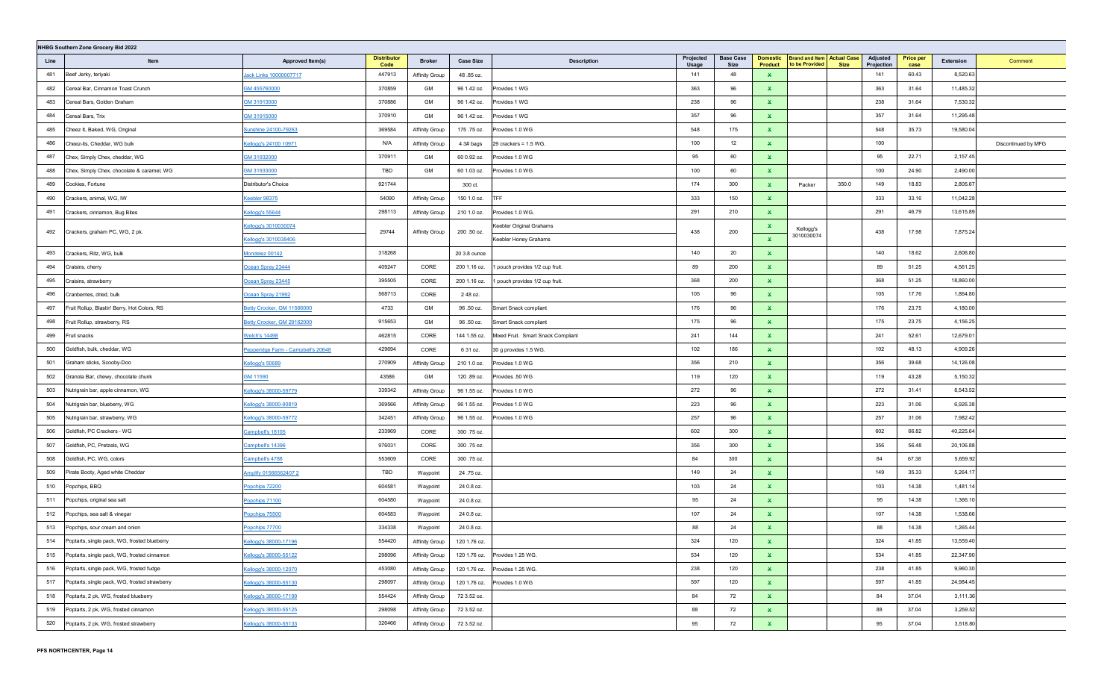| NHBG Southern Zone Grocery Bid 2022 |                                               |                                                                                                                                                                                                                                                      |                            |                       |                  |                                    |                    |                          |                            |                                                     |             |                        |                          |           |                     |
|-------------------------------------|-----------------------------------------------|------------------------------------------------------------------------------------------------------------------------------------------------------------------------------------------------------------------------------------------------------|----------------------------|-----------------------|------------------|------------------------------------|--------------------|--------------------------|----------------------------|-----------------------------------------------------|-------------|------------------------|--------------------------|-----------|---------------------|
| Line                                | Item                                          | Approved Item(s)                                                                                                                                                                                                                                     | <b>Distributor</b><br>Code | <b>Broker</b>         | <b>Case Size</b> | <b>Description</b>                 | Projected<br>Usage | <b>Base Case</b><br>Size | <b>Domestic</b><br>Product | <b>Brand and Item Actual Case</b><br>to be Provided | <b>Size</b> | Adjusted<br>Projection | <b>Price per</b><br>case | Extension | Comment             |
| 481                                 | Beef Jerky, teriyaki                          | Jack Links 10000007717                                                                                                                                                                                                                               | 447913                     | <b>Affinity Group</b> | 48.85 oz.        |                                    | 141                | 48                       | $\mathbf{x}$               |                                                     |             | 141                    | 60.43                    | 8,520.63  |                     |
| 482                                 | Cereal Bar, Cinnamon Toast Crunch             | GM 455760000                                                                                                                                                                                                                                         | 370859                     | GM                    | 96 1.42 oz.      | Provides 1 WG                      | 363                | 96                       | ×.                         |                                                     |             | 363                    | 31.64                    | 11,485.32 |                     |
| 483                                 | Cereal Bars, Golden Graham                    | GM 31913000                                                                                                                                                                                                                                          | 370886                     | GM                    | 96 1.42 oz.      | Provides 1 WG                      | 238                | 96                       | $\mathbf x$                |                                                     |             | 238                    | 31.64                    | 7,530.32  |                     |
| 484                                 | Cereal Bars, Trix                             | GM 31915000                                                                                                                                                                                                                                          | 370910                     | GM                    | 96 1.42 oz.      | Provides 1 WG                      | 357                | 96                       | $\mathbf{x}$               |                                                     |             | 357                    | 31.64                    | 11,295.48 |                     |
| 485                                 | Cheez It, Baked, WG, Original                 | Sunshine 24100-79263                                                                                                                                                                                                                                 | 369584                     | Affinity Group        | 175.75 oz.       | Provides 1.0 WG                    | 548                | 175                      | $\mathbf{x}$               |                                                     |             | 548                    | 35.73                    | 19,580.04 |                     |
| 486                                 | Cheez-its, Cheddar, WG bulk                   | Kellogg's 24100 10971                                                                                                                                                                                                                                | N/A                        | Affinity Group        | 4 3# bags        | 29 crackers = 1.5 WG.              | 100                | 12                       | $\mathbf{x}$               |                                                     |             | 100                    |                          |           | Discontinued by MFG |
| 487                                 | Chex, Simply Chex, cheddar, WG                | GM 31932000                                                                                                                                                                                                                                          | 370911                     | GM                    | 60 0.92 oz.      | Provides 1.0 WG                    | 95                 | 60                       | $\mathbf x$                |                                                     |             | 95                     | 22.71                    | 2,157.45  |                     |
| 488                                 | Chex, Simply Chex, chocolate & caramel, WG    | GM 31933000                                                                                                                                                                                                                                          | TBD                        | GM                    | 60 1.03 oz.      | Provides 1.0 WG                    | 100                | 60                       | $\mathbf{x}$               |                                                     |             | 100                    | 24.90                    | 2,490.00  |                     |
| 489                                 | Cookies, Fortune                              | Distributor's Choice                                                                                                                                                                                                                                 | 921744                     |                       | 300 ct.          |                                    | 174                | 300                      | $\mathbf{x}$               | Packer                                              | 350.0       | 149                    | 18.83                    | 2,805.67  |                     |
| 490                                 | Crackers, animal, WG, IW                      | Ceebler 98375                                                                                                                                                                                                                                        | 54090                      | Affinity Group        | 150 1.0 oz.      | <b>TFF</b>                         | 333                | 150                      | $\mathbf{x}$               |                                                     |             | 333                    | 33.16                    | 11,042.28 |                     |
| 491                                 | Crackers, cinnamon, Bug Bites                 | Kellogg's 55644                                                                                                                                                                                                                                      | 298113                     | Affinity Group        | 210 1.0 oz.      | Provides 1.0 WG.                   | 291                | 210                      | $\mathbf{x}$               |                                                     |             | 291                    | 46.79                    | 13,615.89 |                     |
| 492                                 |                                               | Kellogg's 3010030074                                                                                                                                                                                                                                 | 29744                      |                       | 200 .50 oz.      | <b>Keebler Original Grahams</b>    | 438                | 200                      | ×.                         | Kellogg's                                           |             | 438                    | 17.98                    | 7,875.24  |                     |
|                                     | Crackers, graham PC, WG, 2 pk.                | <ellogg's 3010038406<="" td=""><td></td><td>Affinity Group</td><td></td><td>Keebler Honey Grahams</td><td></td><td></td><td><math display="inline">\mathbf{x}</math></td><td>3010030074</td><td></td><td></td><td></td><td></td><td></td></ellogg's> |                            | Affinity Group        |                  | Keebler Honey Grahams              |                    |                          | $\mathbf{x}$               | 3010030074                                          |             |                        |                          |           |                     |
| 493                                 | Crackers, Ritz, WG, bulk                      | Mondelez 00142                                                                                                                                                                                                                                       | 318268                     |                       | 20 3.8 ounce     |                                    | 140                | 20                       | $\mathbf{x}$               |                                                     |             | 140                    | 18.62                    | 2,606.80  |                     |
| 494                                 | Craisins, cherry                              | Ocean Spray 23444                                                                                                                                                                                                                                    | 409247                     | CORE                  | 200 1.16 oz.     | pouch provides 1/2 cup fruit.      | 89                 | 200                      | $\mathbf{x}$               |                                                     |             | 89                     | 51.25                    | 4,561.25  |                     |
| 495                                 | Craisins, strawberry                          | Ocean Spray 23445                                                                                                                                                                                                                                    | 395505                     | CORE                  | 200 1.16 oz.     | pouch provides 1/2 cup fruit.      | 368                | 200                      | $\mathbf{x}$               |                                                     |             | 368                    | 51.25                    | 18,860.00 |                     |
| 496                                 | Cranberries, dried, bulk                      | Ocean Spray 21992                                                                                                                                                                                                                                    | 568713                     | CORE                  | 2 48 oz.         |                                    | 105                | 96                       | $\mathbf{x}$               |                                                     |             | 105                    | 17.76                    | 1,864.80  |                     |
| 497                                 | Fruit Rollup, Blastin' Berry, Hot Colors, RS  | Betty Crocker, GM 11566000                                                                                                                                                                                                                           | 4733                       | GM                    | 96.50 oz.        | Smart Snack compliant              | 176                | 96                       | $\mathbf{x}$               |                                                     |             | 176                    | 23.75                    | 4,180.00  |                     |
| 498                                 | Fruit Rollup, strawberry, RS                  | Betty Crocker, GM 29162000                                                                                                                                                                                                                           | 915653                     | GM                    | 96.50 oz.        | Smart Snack compliant              | 175                | 96                       | $\mathbf{x}$               |                                                     |             | 175                    | 23.75                    | 4,156.25  |                     |
| 499                                 | Fruit snacks                                  | <b>Welch's 14498</b>                                                                                                                                                                                                                                 | 462815                     | CORE                  | 144 1.55 oz.     | Mixed Fruit. Smart Snack Compliant | 241                | 144                      | ×.                         |                                                     |             | 241                    | 52.61                    | 12,679.01 |                     |
| 500                                 | Goldfish, bulk, cheddar, WG                   | Pepperidge Farm - Campbell's 20648                                                                                                                                                                                                                   | 429694                     | CORE                  | 6 31 oz.         | 30 g provides 1.5 WG.              | 102                | 186                      | $\mathbf{x}$               |                                                     |             | 102                    | 48.13                    | 4,909.26  |                     |
| 501                                 | Graham sticks, Scooby-Doo                     | Kellogg's 50689                                                                                                                                                                                                                                      | 270909                     | Affinity Group        | 210 1.0 oz.      | Provides 1.0 WG                    | 356                | 210                      | $\mathbf{x}$               |                                                     |             | 356                    | 39.68                    | 14,126.08 |                     |
| 502                                 | Granola Bar, chewy, chocolate chunk           | GM 11590                                                                                                                                                                                                                                             | 43586                      | GM                    | 120.89 oz.       | Provides .50 WG                    | 119                | 120                      | $\mathbf{x}$               |                                                     |             | 119                    | 43.28                    | 5,150.32  |                     |
| 503                                 | Nutrigrain bar, apple cinnamon, WG            | Cellogg's 38000-59779                                                                                                                                                                                                                                | 339342                     | Affinity Group        | 96 1.55 oz.      | Provides 1.0 WG                    | 272                | 96                       | $\mathbf{x}$               |                                                     |             | 272                    | 31.41                    | 8,543.52  |                     |
| 504                                 | Nutrigrain bar, blueberry, WG                 | Cellogg's 38000-90819                                                                                                                                                                                                                                | 369566                     | Affinity Group        | 96 1.55 oz.      | rovides 1.0 WG                     | 223                | 96                       | $\mathbf{x}$               |                                                     |             | 223                    | 31.06                    | 6,926.38  |                     |
| 505                                 | Nutrigrain bar, strawberry, WG                | Cellogg's 38000-59772                                                                                                                                                                                                                                | 342451                     | Affinity Group        | 96 1.55 oz.      | Provides 1.0 WG                    | 257                | 96                       | $\mathbf{x}$               |                                                     |             | 257                    | 31.06                    | 7,982.42  |                     |
| 506                                 | Goldfish, PC Crackers - WG                    | Campbell's 18105                                                                                                                                                                                                                                     | 233969                     | CORE                  | 300.75 oz.       |                                    | 602                | 300                      | $\mathbf{x}$               |                                                     |             | 602                    | 66.82                    | 40,225.64 |                     |
| 507                                 | Goldfish, PC, Pretzels, WG                    | Campbell's 14396                                                                                                                                                                                                                                     | 976031                     | CORE                  | 300.75 oz.       |                                    | 356                | 300                      | $\mathbf{x}$               |                                                     |             | 356                    | 56.48                    | 20,106.88 |                     |
| 508                                 | Goldfish, PC, WG, colors                      | Campbell's 4788                                                                                                                                                                                                                                      | 553609                     | CORE                  | 300.75 oz.       |                                    | 84                 | 300                      | ×.                         |                                                     |             | 84                     | 67.38                    | 5,659.92  |                     |
| 509                                 | Pirate Booty, Aged white Cheddar              | Amplify 01566562407 2                                                                                                                                                                                                                                | TBD                        | Waypoint              | 24 .75 oz.       |                                    | 149                | 24                       | ×.                         |                                                     |             | 149                    | 35.33                    | 5,264.17  |                     |
| 510                                 | Popchips, BBQ                                 | Popchips 72200                                                                                                                                                                                                                                       | 604581                     | Waypoint              | 24 0.8 oz.       |                                    | 103                | 24                       | $\mathbf{x}$               |                                                     |             | 103                    | 14.38                    | 1,481.14  |                     |
| 511                                 | Popchips, original sea salt                   | Popchips 71100                                                                                                                                                                                                                                       | 604580                     | Waypoint              | 24 0.8 oz.       |                                    | 95                 | 24                       | $\mathbf{x}$               |                                                     |             | 95                     | 14.38                    | 1,366.10  |                     |
| 512                                 | Popchips, sea salt & vinegar                  | Popchips 75500                                                                                                                                                                                                                                       | 604583                     | Waypoint              | 24 0.8 oz.       |                                    | 107                | 24                       | $\mathbf{x}$               |                                                     |             | 107                    | 14.38                    | 1,538.66  |                     |
| 513                                 | Popchips, sour cream and onion                | Popchips 77700                                                                                                                                                                                                                                       | 334338                     | Waypoint              | 24 0.8 oz.       |                                    | 88                 | 24                       | $\mathbf{x}$               |                                                     |             | 88                     | 14.38                    | 1,265.44  |                     |
| 514                                 | Poptarts, single pack, WG, frosted blueberry  | Kellogg's 38000-17196                                                                                                                                                                                                                                | 554420                     | <b>Affinity Group</b> | 120 1.76 oz.     |                                    | 324                | 120                      | $\mathbf{x}$               |                                                     |             | 324                    | 41.85                    | 13,559.40 |                     |
| 515                                 | Poptarts, single pack, WG, frosted cinnamon   | Kellogg's 38000-55122                                                                                                                                                                                                                                | 298096                     | <b>Affinity Group</b> | 120 1.76 oz.     | Provides 1.25 WG.                  | 534                | 120                      | $\mathbf{x}$               |                                                     |             | 534                    | 41.85                    | 22,347.90 |                     |
| 516                                 | Poptarts, single pack, WG, frosted fudge      | Kellogg's 38000-12070                                                                                                                                                                                                                                | 453080                     | <b>Affinity Group</b> | 120 1.76 oz.     | Provides 1.25 WG.                  | 238                | 120                      | $\mathbf{x}$               |                                                     |             | 238                    | 41.85                    | 9,960.30  |                     |
| 517                                 | Poptarts, single pack, WG, frosted strawberry | Kellogg's 38000-55130                                                                                                                                                                                                                                | 298097                     | Affinity Group        | 120 1.76 oz.     | Provides 1.0 WG                    | 597                | 120                      | $\mathbf{x}$               |                                                     |             | 597                    | 41.85                    | 24,984.45 |                     |
| 518                                 | Poptarts, 2 pk, WG, frosted blueberry         | Kellogg's 38000-17199                                                                                                                                                                                                                                | 554424                     | Affinity Group        | 72 3.52 oz.      |                                    | 84                 | 72                       | $\mathbf{x}$               |                                                     |             | 84                     | 37.04                    | 3,111.36  |                     |
| 519                                 | Poptarts, 2 pk, WG, frosted cinnamon          | Kellogg's 38000-55125                                                                                                                                                                                                                                | 298098                     | Affinity Group        | 72 3.52 oz.      |                                    | 88                 | 72                       | $\mathbf{x}$               |                                                     |             | 88                     | 37.04                    | 3,259.52  |                     |
| 520                                 | Poptarts, 2 pk, WG, frosted strawberry        | Kellogg's 38000-55133                                                                                                                                                                                                                                | 326466                     | Affinity Group        | 72 3.52 oz.      |                                    | 95                 | 72                       | $\mathbf{x}$               |                                                     |             | 95                     | 37.04                    | 3,518.80  |                     |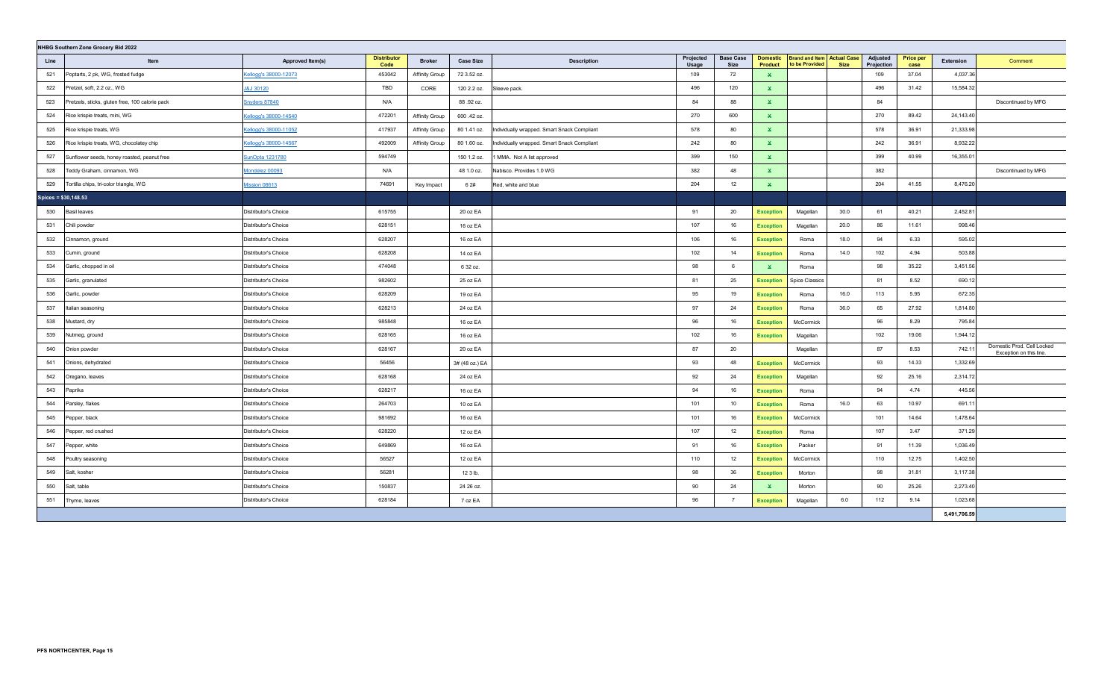| NHBG Southern Zone Grocery Bid 2022 |                                                 |                       |                            |                       |                  |                                             |                    |                          |                            |                                                     |             |                        |                          |              |                                                       |
|-------------------------------------|-------------------------------------------------|-----------------------|----------------------------|-----------------------|------------------|---------------------------------------------|--------------------|--------------------------|----------------------------|-----------------------------------------------------|-------------|------------------------|--------------------------|--------------|-------------------------------------------------------|
| Line                                | Item                                            | Approved Item(s)      | <b>Distributor</b><br>Code | <b>Broker</b>         | <b>Case Size</b> | <b>Description</b>                          | Projected<br>Usage | <b>Base Case</b><br>Size | <b>Domestic</b><br>Product | <b>Brand and Item Actual Case</b><br>to be Provided | <b>Size</b> | Adjusted<br>Projection | <b>Price per</b><br>case | Extension    | Comment                                               |
| 521                                 | Poptarts, 2 pk, WG, frosted fudge               | Kellogg's 38000-12073 | 453042                     | <b>Affinity Group</b> | 72 3.52 oz.      |                                             | 109                | 72                       | $\mathbf x$                |                                                     |             | 109                    | 37.04                    | 4,037.36     |                                                       |
| 522                                 | Pretzel, soft, 2.2 oz., WG                      | J&J 30120             | TBD                        | CORE                  | 120 2.2 oz.      | Sleeve pack.                                | 496                | 120                      | $\mathbf{x}$               |                                                     |             | 496                    | 31.42                    | 15,584.32    |                                                       |
| 523                                 | Pretzels, sticks, gluten free, 100 calorie pack | Snyders 87840         | N/A                        |                       | 88.92 oz.        |                                             | 84                 | 88                       | $\mathbf{x}$               |                                                     |             | 84                     |                          |              | Discontinued by MFG                                   |
| 524                                 | Rice krispie treats, mini, WG                   | Cellogg's 38000-14540 | 472201                     | Affinity Group        | 600 .42 oz.      |                                             | 270                | 600                      | $\mathbf{x}$               |                                                     |             | 270                    | 89.42                    | 24,143.40    |                                                       |
| 525                                 | Rice krispie treats, WG                         | Cellogg's 38000-11052 | 417937                     | <b>Affinity Group</b> | 80 1.41 oz.      | Individually wrapped. Smart Snack Compliant | 578                | 80                       | $\mathbf{x}$               |                                                     |             | 578                    | 36.91                    | 21,333.98    |                                                       |
| 526                                 | Rice krispie treats, WG, chocolatey chip        | Kellogg's 38000-14567 | 492009                     | Affinity Group        | 80 1.60 oz.      | Individually wrapped. Smart Snack Compliant | 242                | 80                       | $\mathbf{x}$               |                                                     |             | 242                    | 36.91                    | 8,932.22     |                                                       |
| 527                                 | Sunflower seeds, honey roasted, peanut free     | unOpta 1231780        | 594749                     |                       | 150 1.2 oz.      | MMA. Not A list approved                    | 399                | 150                      | $\mathbf{x}$               |                                                     |             | 399                    | 40.99                    | 16,355.01    |                                                       |
| 528                                 | Teddy Graham, cinnamon, WG                      | Mondelez 00093        | N/A                        |                       | 48 1.0 oz.       | Nabisco. Provides 1.0 WG                    | 382                | 48                       | $\mathbf{x}$               |                                                     |             | 382                    |                          |              | Discontinued by MFG                                   |
| 529                                 | Tortilla chips, tri-color triangle, WG          | Mission 08613         | 74691                      | Key Impact            | 6 2#             | Red, white and blue                         | 204                | 12                       | $\mathbf{x}$               |                                                     |             | 204                    | 41.55                    | 8,476.20     |                                                       |
| Spices = \$30,148.53                |                                                 |                       |                            |                       |                  |                                             |                    |                          |                            |                                                     |             |                        |                          |              |                                                       |
| 530                                 | <b>Basil leaves</b>                             | Distributor's Choice  | 615755                     |                       | 20 oz EA         |                                             | 91                 | 20                       | <b>Exception</b>           | Magellan                                            | 30.0        | 61                     | 40.21                    | 2,452.81     |                                                       |
| 531                                 | Chili powder                                    | Distributor's Choice  | 628151                     |                       | 16 oz EA         |                                             | 107                | 16                       | <b>Exception</b>           | Magellan                                            | 20.0        | 86                     | 11.61                    | 998.46       |                                                       |
| 532                                 | Cinnamon, ground                                | Distributor's Choice  | 628207                     |                       | 16 oz EA         |                                             | 106                | 16                       | <b>Exception</b>           | Roma                                                | 18.0        | 94                     | 6.33                     | 595.02       |                                                       |
| 533                                 | Cumin, ground                                   | Distributor's Choice  | 628208                     |                       | 14 oz EA         |                                             | 102                | 14                       | <b>Exception</b>           | Roma                                                | 14.0        | 102                    | 4.94                     | 503.88       |                                                       |
| 534                                 | Garlic, chopped in oil                          | Distributor's Choice  | 474048                     |                       | 6 32 oz.         |                                             | 98                 | 6                        | $\mathbf{x}$               | Roma                                                |             | 98                     | 35.22                    | 3,451.56     |                                                       |
| 535                                 | Garlic, granulated                              | Distributor's Choice  | 982602                     |                       | 25 oz EA         |                                             | 81                 | 25                       | <b>Exception</b>           | <b>Spice Classics</b>                               |             | 81                     | 8.52                     | 690.12       |                                                       |
| 536                                 | Garlic, powder                                  | Distributor's Choice  | 628209                     |                       | 19 oz EA         |                                             | 95                 | 19                       | <b>Exception</b>           | Roma                                                | 16.0        | 113                    | 5.95                     | 672.35       |                                                       |
| 537                                 | Italian seasoning                               | Distributor's Choice  | 628213                     |                       | 24 oz EA         |                                             | 97                 | 24                       | <b>Exception</b>           | Roma                                                | 36.0        | 65                     | 27.92                    | 1,814.80     |                                                       |
| 538                                 | Mustard, dry                                    | Distributor's Choice  | 985848                     |                       | 16 oz EA         |                                             | 96                 | 16                       | <b>Exception</b>           | McCormick                                           |             | 96                     | 8.29                     | 795.84       |                                                       |
| 539                                 | Nutmeg, ground                                  | Distributor's Choice  | 628165                     |                       | 16 oz EA         |                                             | 102                | 16                       | <b>Exception</b>           | Magellan                                            |             | 102                    | 19.06                    | 1,944.12     |                                                       |
| 540                                 | Onion powder                                    | Distributor's Choice  | 628167                     |                       | 20 oz EA         |                                             | 87                 | 20                       |                            | Magellan                                            |             | 87                     | 8.53                     | 742.11       | Domestic Prod. Cell Locked<br>Exception on this line. |
| 541                                 | Onions, dehydrated                              | Distributor's Choice  | 56456                      |                       | 3# (48 oz.) EA   |                                             | 93                 | 48                       | <b>Exception</b>           | McCormick                                           |             | 93                     | 14.33                    | 1,332.69     |                                                       |
| 542                                 | Oregano, leaves                                 | Distributor's Choice  | 628168                     |                       | 24 oz EA         |                                             | 92                 | 24                       | <b>Exception</b>           | Magellan                                            |             | 92                     | 25.16                    | 2,314.72     |                                                       |
| 543                                 | Paprika                                         | Distributor's Choice  | 628217                     |                       | 16 oz EA         |                                             | 94                 | 16                       | <b>Exception</b>           | Roma                                                |             | 94                     | 4.74                     | 445.56       |                                                       |
| 544                                 | Parsley, flakes                                 | Distributor's Choice  | 264703                     |                       | 10 oz EA         |                                             | 101                | 10                       | <b>Exception</b>           | Roma                                                | 16.0        | 63                     | 10.97                    | 691.11       |                                                       |
| 545                                 | Pepper, black                                   | Distributor's Choice  | 981692                     |                       | 16 oz EA         |                                             | 101                | 16                       | <b>Exception</b>           | McCormick                                           |             | 101                    | 14.64                    | 1,478.64     |                                                       |
| 546                                 | Pepper, red crushed                             | Distributor's Choice  | 628220                     |                       | 12 oz EA         |                                             | 107                | 12                       | <b>Exception</b>           | Roma                                                |             | 107                    | 3.47                     | 371.29       |                                                       |
| 547                                 | Pepper, white                                   | Distributor's Choice  | 649869                     |                       | 16 oz EA         |                                             | 91                 | 16                       | <b>Exception</b>           | Packer                                              |             | 91                     | 11.39                    | 1,036.49     |                                                       |
| 548                                 | Poultry seasoning                               | Distributor's Choice  | 56527                      |                       | 12 oz EA         |                                             | 110                | 12                       | <b>Exception</b>           | McCormick                                           |             | 110                    | 12.75                    | 1,402.50     |                                                       |
| 549                                 | Salt, kosher                                    | Distributor's Choice  | 56281                      |                       | 12 3 lb.         |                                             | 98                 | 36                       | <b>Exception</b>           | Morton                                              |             | 98                     | 31.81                    | 3,117.38     |                                                       |
| 550                                 | Salt, table                                     | Distributor's Choice  | 150837                     |                       | 24 26 oz.        |                                             | 90                 | 24                       | $\mathbf{x}$               | Morton                                              |             | 90                     | 25.26                    | 2,273.40     |                                                       |
| 551                                 | Thyme, leaves                                   | Distributor's Choice  | 628184                     |                       | 7 oz EA          |                                             | 96                 | $\overline{7}$           | <b>Exception</b>           | Magellan                                            | 6.0         | 112                    | 9.14                     | 1,023.68     |                                                       |
|                                     |                                                 |                       |                            |                       |                  |                                             |                    |                          |                            |                                                     |             |                        |                          | 5,491,706.59 |                                                       |